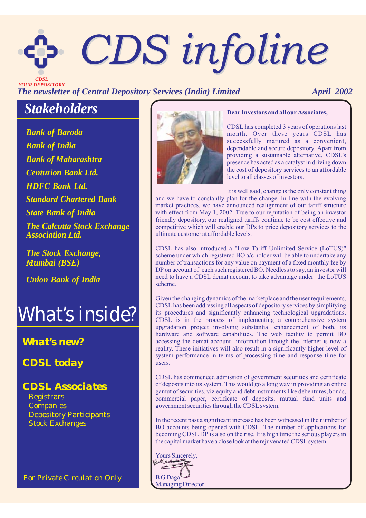# *CDS infoline CDS infoline*

*The newsletter of Central Depository Services (India) Limited April 2002 CDSL YOUR DEPOSITORY*

# *Stakeholders*

*Bank of Baroda Bank of Maharashtra Centurion Bank Ltd. HDFC Bank Ltd. Standard Chartered Bank Bank of India State Bank of India The Calcutta Stock Exchange Association Ltd.*

*The Stock Exchange, Mumbai (BSE)*

*Union Bank of India*



## *What's new?*

*CDSL today*

## *CDSL Associates*

Registrars Companies Stock Exchanges Depository Participants

*For Private Circulation Only*



## **Dear Investors and all our Associates,**

CDSL has completed 3 years of operations last month. Over these years CDSL has successfully matured as a convenient, dependable and secure depository. Apart from providing a sustainable alternative, CDSL's presence has acted as a catalyst in driving down the cost of depository services to an affordable level to all classes of investors.

It is well said, change is the only constant thing

and we have to constantly plan for the change. In line with the evolving market practices, we have announced realignment of our tariff structure with effect from May 1, 2002. True to our reputation of being an investor friendly depository, our realigned tariffs continue to be cost effective and competitive which will enable our DPs to price depository services to the ultimate customer at affordable levels.

CDSL has also introduced a "Low Tariff Unlimited Service (LoTUS)" scheme under which registered BO a/c holder will be able to undertake any number of transactions for any value on payment of a fixed monthly fee by DP on account of each such registered BO. Needless to say, an investor will need to have a CDSL demat account to take advantage under the LoTUS scheme.

Given the changing dynamics of the marketplace and the user requirements, CDSL has been addressing all aspects of depository services by simplifying its procedures and significantly enhancing technological upgradations. CDSL is in the process of implementing a comprehensive system upgradation project involving substantial enhancement of both, its hardware and software capabilities. The web facility to permit BO accessing the demat account information through the Internet is now a reality. These initiatives will also result in a significantly higher level of system performance in terms of processing time and response time for users.

CDSL has commenced admission of government securities and certificate of deposits into its system. This would go a long way in providing an entire gamut of securities, viz equity and debt instruments like debentures, bonds, commercial paper, certificate of deposits, mutual fund units and government securities through the CDSL system.

In the recent past a significant increase has been witnessed in the number of BO accounts being opened with CDSL. The number of applications for becoming CDSL DP is also on the rise. It is high time the serious players in the capital market have a close look at the rejuvenated CDSL system.

Yours Sincerely, B G Daga Managing Director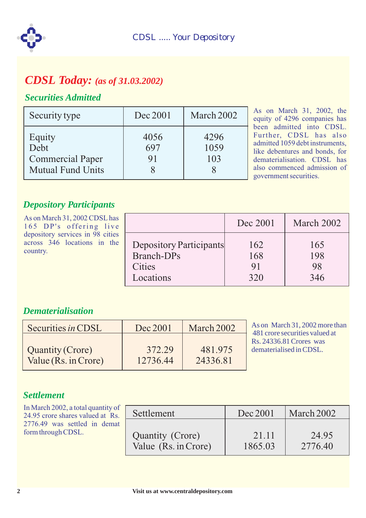

## *CDSL Today: (as of 31.03.2002)*

## *Securities Admitted*

| Security type                                                         | Dec 2001          | March 2002          |
|-----------------------------------------------------------------------|-------------------|---------------------|
| Equity<br>Debt<br><b>Commercial Paper</b><br><b>Mutual Fund Units</b> | 4056<br>697<br>91 | 4296<br>1059<br>103 |

As on March 31, 2002, the equity of 4296 companies has been admitted into CDSL. Further, CDSL has also admitted 1059 debt instruments, like debentures and bonds, for dematerialisation. CDSL has also commenced admission of government securities.

## *Depository Participants*

| As on March 31, 2002 CDSL has<br>165 DP's offering live                     |                                                                            | Dec 2001                | March 2002              |
|-----------------------------------------------------------------------------|----------------------------------------------------------------------------|-------------------------|-------------------------|
| depository services in 98 cities<br>across 346 locations in the<br>country. | Depository Participants<br><b>Branch-DPs</b><br><b>Cities</b><br>Locations | 162<br>168<br>91<br>320 | 165<br>198<br>98<br>346 |

## *Dematerialisation*

| Securities in CDSL      | Dec 2001 | March 2002 |
|-------------------------|----------|------------|
| <b>Quantity (Crore)</b> | 372.29   | 481.975    |
| Value (Rs. in Crore)    | 12736.44 | 24336.81   |

As on March 31, 2002 more than 481 crore securities valued at Rs. 24336.81 Crores was dematerialised in CDSL.

## *Settlement*

| In March 2002, a total quantity of<br>24.95 crore shares valued at Rs. | Settlement           | Dec 2001 | March 2002 |
|------------------------------------------------------------------------|----------------------|----------|------------|
| 2776.49 was settled in demat                                           |                      |          |            |
| form through CDSL.                                                     | Quantity (Crore)     | 21.11    | 24.95      |
|                                                                        | Value (Rs. in Crore) | 1865.03  | 2776.40    |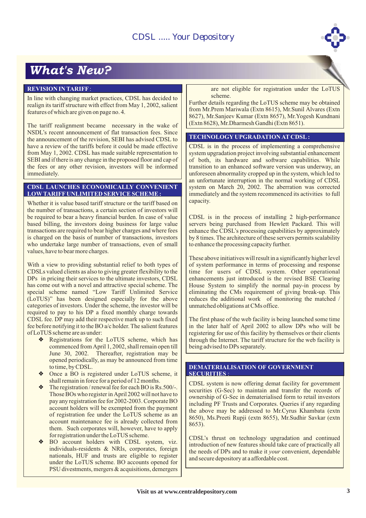# *What's New?*

#### **REVISION IN TARIFF** :

In line with changing market practices, CDSL has decided to realign its tariff structure with effect from May 1, 2002, salient features of which are given on page no. 4.

The tariff realignment became necessary in the wake of NSDL's recent announcement of flat transaction fees. Since the announcement of the revision, SEBI has advised CDSL to have a review of the tariffs before it could be made effective from May 1, 2002. CDSL has made suitable representation to SEBI and if there is any change in the proposed floor and cap of the fees or any other revision, investors will be informed immediately.

#### **CDSL LAUNCHES ECONOMICALLY CONVENIENT LOW TARIFF UNLIMITED SERVICE SCHEME :**

Whether it is value based tariff structure or the tariff based on the number of transactions, a certain section of investors will be required to bear a heavy financial burden. In case of value based billing, the investors doing business for large value transactions are required to bear higher charges and where fees is charged on the basis of number of transactions, investors who undertake large number of transactions, even of small values, have to bear more charges.

With a view to providing substantial relief to both types of CDSLs valued clients as also to giving greater flexibility to the DPs in pricing their services to the ultimate investors, CDSL has come out with a novel and attractive special scheme. The special scheme named "Low Tariff Unlimited Service (LoTUS)" has been designed especially for the above categories of investors. Under the scheme, the investor will be required to pay to his DP a fixed monthly charge towards CDSL fee. DP may add their respective mark up to such fixed fee before notifying it to the BO a/c holder. The salient features of LoTUS scheme are as under:

- Registrations for the LoTUS scheme, which has ❖ commenced from April 1, 2002, shall remain open till June 30, 2002. Thereafter, registration may be opened periodically, as may be announced from time to time, by CDSL.
- Once a BO is registered under LoTUS scheme, it ❖ shall remain in force for a period of 12 months.
- The registration / renewal fee for each BO is Rs.500/-. ❖ Those BOs who register in April 2002 will not have to pay any registration fee for 2002-2003. Corporate BO account holders will be exempted from the payment of registration fee under the LoTUS scheme as an account maintenance fee is already collected from them. Such corporates will, however, have to apply for registration under the LoTUS scheme.
- BO account holders with CDSL system, viz. individuals-residents & NRIs, corporates, foreign nationals, HUF and trusts are eligible to register under the LoTUS scheme. BO accounts opened for PSU divestments, mergers & acquisitions, demergers

are not eligible for registration under the LoTUS scheme.

Further details regarding the LoTUS scheme may be obtained from Mr.Prem Mariwala (Extn 8615), Mr.Sunil Alvares (Extn 8627), Mr.Sanjeev Kumar (Extn 8657), Mr.Yogesh Kundnani (Extn 8628), Mr.Dharmesh Gandhi (Extn 8651).

#### **TECHNOLOGY UPGRADATION AT CDSL :**

CDSL is in the process of implementing a comprehensive system upgradation project involving substantial enhancement of both, its hardware and software capabilities. While transition to an enhanced software version was underway, an unforeseen abnormality cropped up in the system, which led to an unfortunate interruption in the normal working of CDSL system on March 20, 2002. The aberration was corrected immediately and the system recommenced its activities to full capacity.

CDSL is in the process of installing 2 high-performance servers being purchased from Hewlett Packard. This will enhance the CDSL's processing capabilities by approximately by 8 times. The architecture of these servers permits scalability to enhance the processing capacity further.

These above initiatives will result in a significantly higher level of system performance in terms of processing and response time for users of CDSL system. Other operational enhancements just introduced is the revised BSE Clearing House System to simplify the normal pay-in process by eliminating the CMs requirement of giving break-up. This reduces the additional work of monitoring the matched / unmatched obligations at CMs office.

The first phase of the web facility is being launched some time in the later half of April 2002 to allow DPs who will be registering for use of this facility by themselves or their clients through the Internet. The tariff structure for the web facility is being advised to DPs separately.

#### **DEMATERIALISATION OF GOVERNMENT SECURITIES** :

CDSL system is now offering demat facility for government securities (G-Sec) to maintain and transfer the records of ownership of G-Sec in dematerialised form to retail investors including PF Trusts and Corporates. Queries if any regarding the above may be addressed to Mr.Cyrus Khambata (extn 8650), Ms.Preeti Rupji (extn 8655), Mr.Sudhir Savkar (extn 8653).

CDSL's thrust on technology upgradation and continued introduction of new features should take care of practically all the needs of DPs and to make it *your* convenient, dependable and secure depository at a affordable cost.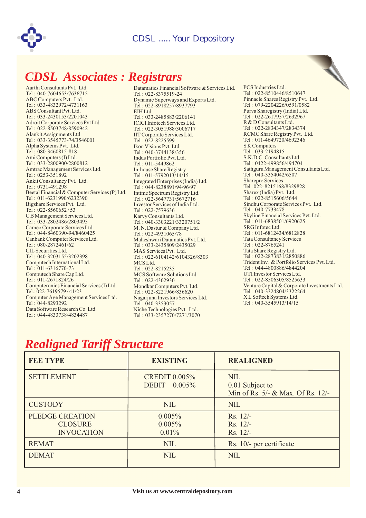

# *CDSL Associates : Registrars*

Aarthi Consultants Pvt. Ltd. Tel : 040-7604653/7636715 ABC Computers Pvt. Ltd. Tel : 033-4832972/4731163 ABS Consultant Pvt. Ltd. Tel : 033-2430153/2201043 Adroit Corporate Services Pvt Ltd Tel : 022-8503748/8590942 Alankit Assignments Ltd. Tel : 033-3545773-74/3546001 Alpha Systems Pvt. Ltd. Tel : 080-3460815-818 Ami Computers (I) Ltd. Tel : 033-2800900/2800812 Amtrac Management Services Ltd. Tel : 0253-351892 Ankit Consultancy Pvt. Ltd. Tel : 0731-491298 Beetal Financial & Computer Services (P) Ltd. Tel: 011-6231990/6232390 Bigshare Services Pvt. Ltd. Tel : 022-8560652 / 53 C B Management Services Ltd. Tel : 033-2802486/2803495 Cameo Corporate Services Ltd. Tel : 044-8460390-94/8460425 Canbank Computer Services Ltd. Tel : 080-2872461/62 CIL Securities Ltd. Tel : 040-3203155/3202398 Computech International Ltd. Tel : 011-6316770-73 Computech Share Cap Ltd. Tel : 011-2671824/26 Computeronics Financial Services (I) Ltd. Tel.: 022-7619579 / 41/23 Computer Age Management Services Ltd. Tel : 044-8293292 Data Software Research Co. Ltd. Tel : 044-4833738/4834487

Datamatics Financial Software & Services Ltd. Tel : 022-8375519-24 Dynamic Superways and Exports Ltd. Tel : 022-8918257/8937793 EIH Ltd. Tel : 033-2485883/2206141 ICICI Infotech Services Ltd. Tel : 022-3051988/3006717 IIT Corporate Services Ltd. Tel: 022-8225599 Ikon Visions Pvt. Ltd. Tel : 040-3744138/356 Indus Portfolio Pvt. Ltd. Tel : 011-5449862 In-house Share Registry Tel : 011-5792013/14/15 Integrated Enterprises (India) Ltd. Tel : 044-8238891/94/96/97 Intime Spectrum Registry Ltd. Tel: 022-5647731/5672716 Investor Services of India Ltd. Tel : 022-7579636 Karvy Consultants Ltd. Tel : 040-3303221/3320751/2 M. N. Dastur & Company Ltd.  $Tel: 022-4931065/78$ Maheshwari Datamatics Pvt. Ltd. Tel : 033-2435809/2435029 MAS Services Pvt. Ltd. Tel : 022-6104142/6104326/8303 MCS Ltd. Tel : 022-8215235 MCS Software Solutions Ltd Tel : 022-4302930 Mondkar Computers Pvt. Ltd. Tel : 022-8221966/836620 Nagarjuna Investors Services Ltd. Tel: 040-3353057 Niche Technologies Pvt. Ltd. Tel : 033-2357270/7271/3070



## *Realigned Tariff Structure*

| <b>FEE TYPE</b>                                               | <b>EXISTING</b>                         | <b>REALIGNED</b>                                                   |
|---------------------------------------------------------------|-----------------------------------------|--------------------------------------------------------------------|
| <b>SETTLEMENT</b>                                             | <b>CREDIT 0.005%</b><br>DEBIT $0.005\%$ | <b>NIL</b><br>0.01 Subject to<br>Min of Rs. 5/- & Max. Of Rs. 12/- |
| <b>CUSTODY</b>                                                | <b>NIL</b>                              | <b>NIL</b>                                                         |
| <b>PLEDGE CREATION</b><br><b>CLOSURE</b><br><b>INVOCATION</b> | 0.005%<br>0.005%<br>$0.01\%$            | $Rs. 12/-$<br>$Rs. 12/-$<br>$Rs. 12/-$                             |
| <b>REMAT</b>                                                  | <b>NIL</b>                              | Rs. 10/- per certificate                                           |
| <b>DEMAT</b>                                                  | <b>NIL</b>                              | <b>NIL</b>                                                         |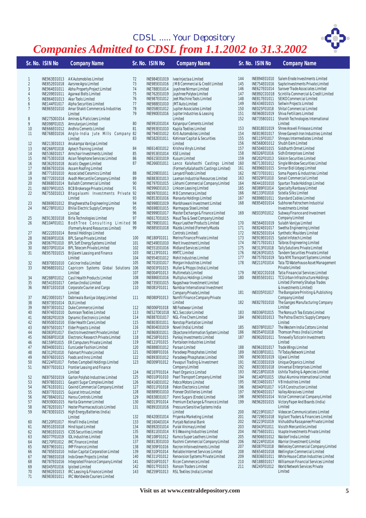## *CDSL ..... Your Depository Companies Admitted to CDSL from 1.1.2002 to 31.3.2002*

|                     | Sr. No. ISIN No              | <b>Company Name</b>                                                                    |            | Sr. No. ISIN No.             | <b>Company Name</b>                                                                     |            | Sr. No. ISIN No              | <b>Company Name</b>                                                                          |
|---------------------|------------------------------|----------------------------------------------------------------------------------------|------------|------------------------------|-----------------------------------------------------------------------------------------|------------|------------------------------|----------------------------------------------------------------------------------------------|
|                     |                              |                                                                                        |            |                              |                                                                                         |            |                              |                                                                                              |
| 1                   |                              | INE963E01013 AK Automobiles Limited                                                    | 72         | INE984E01019                 | Ivee Injectaa Limited                                                                   | 144        | INE894E01010                 | Salem Erode Investments Limited                                                              |
| $\overline{2}$<br>3 | INE852E01018<br>INE964E01011 | Aarsree Agra Limited<br>Abha Property Project Limited                                  | 73<br>74   | INE788E01014                 | INE985E01016 JMB Commercial & Credit Limited<br>Jayshree Nirman Limited                 | 145<br>146 | INE754E01016<br>INE627E01014 | Sapte Investments Private Limited<br>Sarover Trade Associates Limited                        |
| 4                   | INE209E01011                 | Agarwal Bolts Limited                                                                  | 75         | INE762E01019                 | Jayshree Polytex Limited                                                                | 147        | INE892C01018                 | Scintilla Commercial & Credit Limited                                                        |
| 5                   | INE864E01013                 | Akar Tools Limited                                                                     | 76         |                              | INE987E01012 Jeet Machine Tools Limited                                                 | 148        | INE817E01011                 | SEIKO Commercial Limited                                                                     |
| $\boldsymbol{6}$    | INE144F01017                 | Alpha Securities Limited                                                               | 77         |                              | INE988E01010 JMT Auto Limited                                                           | 149        | INE434E01015                 | Sellwin Projects Limited                                                                     |
| 7                   | INE865E01010                 | Amar Shakti Commerce & Industries                                                      | 78         |                              | INE058E01012 Jupiter Associates Limited                                                 | 150        | INE025F01018                 | Shital Commercial Limited                                                                    |
|                     |                              | Limited                                                                                | 79         | INE990E01016                 | Jupiter Industries & Leasing                                                            | 151        | INE960E01019                 | Shiva Fertilizers Limited                                                                    |
| 8                   | INE275D01014                 | Amines & Platicizers Limited                                                           |            |                              | Limited                                                                                 | 152        | INE735B01011                 | Shonkh Technologies International                                                            |
| 9                   | INE098F01015                 | Amrutanjan Limited                                                                     | 80         | INE991E01014                 | Kalyanpur Cements Limited                                                               |            |                              | Limited                                                                                      |
| 10                  | INE666E01012                 | Andhra Cements Limited                                                                 | 81         | INE993E01010                 | Kapila Textiles Limited                                                                 | 153        | INE818E01019                 | Shree Araveli Finlease Limited                                                               |
| 11                  | INE768E01016                 | Anglo-India Jute Mills Company 82<br>Limited                                           | 83         | INE794E01012<br>INE582E01011 | Kirti Automobiles Limited<br>Kohinoor Capital & Securities                              | 154<br>155 | INE819E01017<br>INE115F01017 | Shree Ganesh Iron Industries Limited<br>Shreyas Intermediates Limited                        |
| 12                  |                              | INE213E01013 Anukampa Vanijya Limited                                                  |            |                              | Limited                                                                                 | 156        | INE568D01012                 | Shubh Exim Limited                                                                           |
| 13                  | INE266F01018                 | Aptech Training Limited                                                                | 84         | INE614E01012                 | Krishna Vinyls Limited                                                                  | 157        | INE504E01015                 | Siddharth Ormet Limited                                                                      |
| 14                  | INE536E01017                 | Armchair Investments Limited                                                           | 85         | INE953E01014                 | <b>KSE Limited</b>                                                                      | 158        | INE026F01016                 | Sidh Enterprises Limited                                                                     |
| 15                  | INE753E01018                 | Asian Telephone Services Limited                                                       | 86         | INE615E01019                 | Kusum Limited                                                                           | 159        | INE202F01013                 | Sikkim Securities Limited                                                                    |
| 16                  | INE362E01018                 | Asiatic Oxygen Limited                                                                 | 87         | INE266E01011                 | Lanco Kalahasthi Castings Limited                                                       | 160        | INE713E01012                 | Single Window Securities Limited                                                             |
| 17                  | INE867E01016                 | Assam Roofing Limited                                                                  |            |                              | (Formerly Kalahasthi Castings Limited)                                                  | 161        | INE896E01015                 | Sinnar Bidi Udyog Limited                                                                    |
| 18                  | INE771E01010                 | Associated Ceramics Limited                                                            | 88         | INE209E01011                 | Lanyard Foods Limited                                                                   | 162        | INE737E01011                 | Soma Papers & Industries Limited                                                             |
| 19                  | INE772E01018                 | Avadh Mercantile Company Limited                                                       | 89         | INE883E01013                 | Laxman Industrial Resources Limited                                                     | 163        | INE029F01010                 | Sonali Commercial Limited                                                                    |
| 20<br>21            | INE079F01015                 | INE868E01014 Ballabh Commercial Limited                                                | 90<br>91   |                              | INE797E01015 Likhami Commercial Company Limited<br>INE996E01013 Linkson Leasing Limited | 164<br>165 | INE441E01010<br>INE089F01014 | Spartan Trade Holdings Limited<br>Specialty Ranbaxy Limited                                  |
| 22                  |                              | BCB Brokerage Private Limited<br>INE755E01013 Bhagalaxmi Investments Private 92        |            | INE997E01011                 | MB Commerce Limited                                                                     | 166        | INE133F01010                 | Sstella Silks Limited                                                                        |
|                     |                              | Limited                                                                                | 93         |                              | INE853E01016 Manavta Holdings Limited                                                   | 167        | INE898E01011                 | Standard Cables Limited                                                                      |
| 23                  | INE869E01012                 | Bhagheeratha Engineering Limited                                                       | 94         | INE998E01019                 | Manbhawani Investment Limited                                                           | 168        | INE854E01014                 | Subhsree Patrochem Industrial                                                                |
| 24                  |                              | INE278F01013 Bhilai Electric Supply Company                                            | 95         | INE698E01015                 | Marmagoa Steel Limited                                                                  |            |                              | <b>Investments Limited</b>                                                                   |
|                     |                              | I imited                                                                               | 96         | INE999E01017                 | Master Exchange & Finance Limited                                                       | 169        | INE033F01012                 | Subway Finance and Investment                                                                |
| 25                  | INE913E01018                 | Birla Technologies Limited                                                             | 97         | INE617E01015                 | Maud Tea & Seed Company Limited                                                         |            |                              | Company Limited                                                                              |
| 26                  | INE104F01011                 | BodhTree Consulting Limited 98                                                         |            | INE799E01011                 | Mayur Leather Products Limited                                                          | 170        | INE564E01019                 | Sulabh Vanijya Limited                                                                       |
|                     |                              | (Formerly Anand Resources Limited)                                                     | 99         | INE885E01018                 | Mazda Limited (Formerly Mazda                                                           | 171        | INE824E01017                 | Swetha Engineering Limited                                                                   |
| 27<br>28            | INE222E01014                 | <b>Borosil Holdings Limited</b>                                                        | 100        | INE180F01011                 | Controls Limited)                                                                       | 172<br>173 | INE825E01014<br>INE919E01015 | Synthetic Moulders Limited<br>Systel Infotech Limited                                        |
| 29                  | INE069F01016<br>INE067F01010 | BPL Sanyo Private Limited<br>BPL Soft Energy Systems Limited                           | 101        | INE549E01010                 | Merino Finance Private Limited<br>Merit Investment Limited                              | 174        | INE717E01013                 | Talbros Engineering Limited                                                                  |
| 30                  | INE070F01014                 | <b>BPL Telecom Private Limited</b>                                                     | 102        | INE551E01016                 | Midland Services Limited                                                                | 175        | INE313F01018                 | Tally Solutions Private Limited                                                              |
| 31                  | INE957E01015                 | Brijlaxmi Leasing and Finance                                                          | 103        | INE123F01011                 | <b>MMTC Limited</b>                                                                     | 176        | INE263F01015                 | Tandem Securities Private Limited                                                            |
|                     |                              | Limited                                                                                | 104        |                              | INE954E01012 Mohit Industries Limited                                                   | 177        | INE757E01019                 | Tata NYK Transport Systems Limited                                                           |
| 32                  | INE870E01010                 | Calcinor India Limited                                                                 | 105        | INE701E01017                 | Morgan Industries Limited                                                               | 178        | INE211F01014                 | Tata TD Waterhouse Asset Management                                                          |
| 33                  | INE968E01012                 | Capricorn Systems Global Solutions 106                                                 |            | INE003F01015                 | Muller & Phipps (India) Limited                                                         |            |                              | Private Limited                                                                              |
|                     |                              | Limited                                                                                | 107        | INE004F01013                 | Multimetals Limited                                                                     | 179        | INE302C01018                 | Tatia Finaancial Services Limited                                                            |
| 34                  | INE288F01012                 | Casil Health Products Limited                                                          | 108        | INE886E01016                 | Multiplus Holdings Limited                                                              | 180        | INE855E01011                 | TCG Urban Infrastructure Holdings                                                            |
| 35                  | INE541E01017                 | Centax (India) Limited                                                                 | 109<br>110 | INE735E01015<br>INE081F01011 | Nageshwar Investment Limited<br>Nambiar International Investment                        |            |                              | Limited (Formerly Shabya Trades<br>& Investments Limited)                                    |
| 36                  | INE871E01018                 | Corporate Courier and Cargo<br>Limited                                                 |            |                              | Company Private Limited                                                                 | 181        | INE035F01017                 | The Bangalore Priniting & Publishing                                                         |
| 37                  |                              | INE230E01017 Dabriwala Banijya Udyog Limited                                           | 111        | INE080F01013                 | Namfil Finance Company Private                                                          |            |                              | Company Limited                                                                              |
| 38                  | INE873E01014                 | <b>DLX Limited</b>                                                                     |            |                              | Limited                                                                                 | 182        | INE827E01010                 | The Ganges Manufacturing Company                                                             |
| 39                  |                              | INE973E01012 Duke Commerce Limited                                                     | 112        | INE006F01018                 | NB Footwear Limited                                                                     |            |                              | Limited                                                                                      |
| 40                  |                              | INE974E01010 Dumraon Textiles Limited                                                  | 113        |                              | INE527D01018 NCL Seccolor Limited                                                       | 183        | INE036F01015                 | The Nonsuch Tea Estate Limited                                                               |
| 41                  | INE082F01019                 | Dynamic Electronics Limited                                                            | 114        | INE887E01017                 | NGL-Fine Chem Limited                                                                   | 184        | INE901E01013                 | The Patna Electric Supply Company                                                            |
| 42                  |                              | INE950E01010 Elder Health Care Limited                                                 | 115        | INE803E01011                 | Nonstop Plantation Limited                                                              |            |                              | Limited                                                                                      |
| 43                  |                              | INE975E01017 Elder Projects Limited<br>INE083F01017 Electro Investment Private Limited | 116<br>117 |                              | INE804E01019 Novel (India) Limited<br>INE860E01011 Objectone Information System Limited | 185<br>186 |                              | INE078F01017 The Western India Cottons Limited<br>INE054F01018 Thomson Press (India) Limited |
| 44<br>45            |                              | INE068F01018 Electronic Research Private Limited                                       | 118        | INE258F01015                 | Pankaj Investments Limited                                                              | 187        |                              | INE902E01011 Tinnevelly Tuticorin Investments                                                |
| 46                  | INE159F01015                 | ER Computers Private Limited                                                           | 119        | INE121F01015                 | Pantaloon Industries Limited                                                            |            |                              | Limited                                                                                      |
| 47                  | INE940E01011                 | Euro Leder Fashion Limited                                                             | 120        | INE888E01012                 | Paraan Limited                                                                          | 188        | INE961E01017                 | Trade Wings Limited                                                                          |
| 48                  | INE312F01010                 | <b>Fabmart Private Limited</b>                                                         | 121        | INE088F01016                 | Paradeep Phosphates Limited                                                             | 189        | INE038F01011                 | TV Today Network Limited                                                                     |
| 49                  | INE976E01015                 | Foods and Inns Limited                                                                 | 122        | INE893E01012                 | Paradeep Phosphates Limited                                                             | 190        | INE903E01019                 | Ujjwal Limited                                                                               |
| 50                  | INE224F01017                 | Forbes Campbell Holdings Limited                                                       | 123        | INE009F01012                 | Pavapuri Trading & Investment                                                           | 191        | INE333E01019                 | Unique Organics Limited                                                                      |
| 51                  | INE977E01013                 | Frontier Leasing and Finance                                                           |            |                              | Company Limited                                                                         | 192        | INE833E01018                 | Universal Enterprises Limited                                                                |
|                     |                              | Limited                                                                                | 124        | INE107F01014                 | Pearl Organics Limited                                                                  | 193        | INE218F01019<br>INE140F01015 | Ushita Trading & Agencies Limited                                                            |
| 52<br>53            | INE875E01019<br>INE978E01011 | Garlon Polyfab Industries Limited<br>Gayatri Sugar Complex Limited                     | 125<br>126 | INE010F01010<br>INE416E01012 | Pearl Transport Company Limited<br>Pebco Motors Limited                                 | 194<br>195 | INE334E01017                 | Utkal Alumina International Limited<br>VB Industries Limited                                 |
| 54                  | INE761E01011                 | Govind Commercial Company Limited                                                      | 127        | INE011F01018                 | Pekon Electonics Limited                                                                | 196        | INE040F01017                 | V G R Construction Limited                                                                   |
| 55                  | INE877E01015                 | Gujarat Intrux Limited                                                                 | 128        | INE889E01010                 | Pioneer Distilleries Limited                                                            | 197        | INE904E01017                 | Valley Abrasives Limited                                                                     |
| 56                  | INE788A01012                 | Hansu Controls Limited                                                                 | 129        | INE838E01017                 | Ponni Sugars (Erode) Limited                                                            | 198        | INE905E01014                 | Victor Commercial Company Limited                                                            |
| 57                  | INE939D01015                 | Harita Grammer Limited                                                                 | 130        | INE013F01014                 | Premium Exchange & Finance Limited                                                      | 199        | INE962E01015                 | Victory Paper And Boards (India)                                                             |
| 58                  | INE782E01017                 | Hester Pharmaceuticals Limited                                                         | 131        | INE891E01016                 | Pressure Sensitive Systems India                                                        |            |                              | Limited                                                                                      |
| 59                  | INE783E01015                 | High Energy Batteries (India)                                                          |            |                              | Limited                                                                                 | 200        | INE219F01017                 | Videocon Communications Limited                                                              |
|                     |                              | Limited                                                                                | 132        | INE420E01014                 | Priyanka Marketing Limited                                                              | 201        | INE729E01018                 | Vigilant Traders & Financiers Limited                                                        |
| 60                  | INE120F01017                 | Hinafil India Limited                                                                  | 133        | INE160A01014                 | Punjab National Bank                                                                    | 202        | INE223F01019                 | Vishuddha Rasayanee Private Limited                                                          |
| 61                  | INE951E01018                 | Hind Ispat Limited                                                                     | 134        | INE892E01014                 | Purak Vinimay Limited                                                                   | 203        | INE043F01011                 | Visisth Mercantile Limited                                                                   |
| 62                  | INE981E01015                 | <b>ICDS Securities Limited</b><br><b>IDL Industries Limited</b>                        | 135        | INE811E01014                 | R S Weaving Industries Limited<br>Ramco Super Leathers Limited                          | 204<br>205 | INE756E01011<br>INE906E01012 | Vsapte Investments Private Limited<br>Waldorf India Limited                                  |
| 63<br>64            | INE077F01019<br>INE170F01012 | <b>IMC Finance Limited</b>                                                             | 136<br>137 | INE108F01012<br>INE813E01010 | Rashmi Commercial Company Limited                                                       | 206        | INE224F01014                 | Warrior (Investment) Limited                                                                 |
| 65                  | INE879E01011                 | <b>IMP Finance Limited</b>                                                             | 138        | INE309F01016                 | Recron Infoinvestments Limited                                                          | 207        | INE087F01018                 | Wellesley Commercial Company Limited                                                         |
| 66                  | INE785E01010                 | Indian Capital Corporation Limited                                                     | 139        | INE310F01014                 | Reliable Internet Services Limited                                                      | 208        | INE654E01018                 | Wellington Commercial Limited                                                                |
| 67                  | INE786E01018                 | Indo Green Projects Limited                                                            | 140        | INE311F01012                 | Renovision Systems Private Limited                                                      | 209        | INE836E01011                 | White House Cotton Industries Limited                                                        |
| 68                  | INE787E01016                 | Integrated Finance Company Limited                                                     | 141        | INE016F01017                 | Ricon Commerce Limited                                                                  | 210        | INE188E01017                 | Williamson Financial Services Limited                                                        |
| 69                  | INE045F01016                 | Ipisteel Limited                                                                       | 142        | INE017F01015                 | Ronson Traders Limited                                                                  | 211        | INE245F01012                 | World Network Services Private                                                               |
| 70                  | INE982E01013                 | IRC Leasing & Finance Limited                                                          | 143        | INE259F01013                 | RSL Textiles (India) Limited                                                            |            |                              | Limited                                                                                      |
| 71                  | INE983E01011                 | IRC Worldwide Couriers Limited                                                         |            |                              |                                                                                         |            |                              |                                                                                              |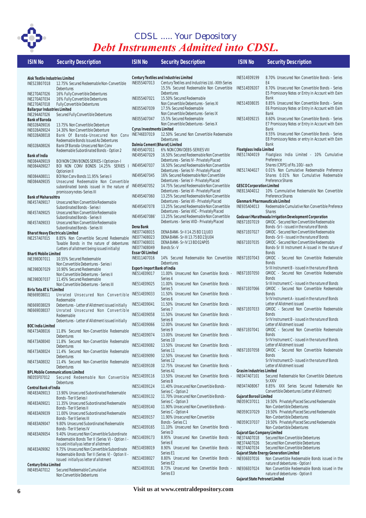

## *Debt Instruments Admitted into CDSL. CDSL ..... Your Depository*

| <b>ISIN No</b>                               | <b>Security Description</b>                                                                  | <b>ISIN No</b>                                   | <b>Security Description</b>                                                                         | <b>ISIN No</b>                                     | <b>Security Description</b>                                                                            |
|----------------------------------------------|----------------------------------------------------------------------------------------------|--------------------------------------------------|-----------------------------------------------------------------------------------------------------|----------------------------------------------------|--------------------------------------------------------------------------------------------------------|
|                                              |                                                                                              |                                                  |                                                                                                     |                                                    |                                                                                                        |
| Alok Textile Industries Limited              |                                                                                              | INE055A07013                                     | <b>Century Textiles and Industries Limited</b><br>Century Textiles and Industries Ltd.-XIIth Series | INE514E09199                                       | 8.70% Unsecured Non Convertible Bonds - Series<br>E <sub>4</sub>                                       |
| INE523B07018                                 | 12.75% Secured Redeemable Non-Convertible<br>Debentures                                      |                                                  | 15.5% Secured Redeemable Non Convertible                                                            | INE514E09207                                       | 8.70% Unsecured Non Convertible Bonds - Series                                                         |
| INE270A07026                                 | 16% Fully Convertible Debentures                                                             | INE055A07021                                     | <b>Debentures</b><br>15.50% Secured Redeemable                                                      |                                                    | E5 Promissory Notes or Entry in Account with Exim<br><b>Bank</b>                                       |
| INE270A07034<br>INE270A07018                 | 16% Fully Convertible Debentures<br><b>Fully Convertible Debentures</b>                      |                                                  | Non Convertible Debentures - Series XI                                                              | INE514E08035                                       | 8.85% Unsecured Non Convertible Bonds - Series                                                         |
| <b>Ballarpur Industries Limited</b>          |                                                                                              | INE055A07039                                     | 17.5% Secured Redeemable                                                                            |                                                    | E6 Promissory Notes or Entry in Account with Exim<br><b>Bank</b>                                       |
| INE294A07026<br><b>Bank of Baroda</b>        | Secured Fully Convertible Debentures                                                         | INE055A07047                                     | Non Convertible Debentures - Series IX<br>15.5% Secured Redeemable                                  | INE514E09215                                       | 8.60% Unsecured Non Convertible Bonds - Series                                                         |
| INE028A09016                                 | 13.75% Non Convertible Debenture                                                             |                                                  | Non Convertible Debentures - Series X                                                               |                                                    | E7 Promissory Notes or Entry in Account with Exim                                                      |
| INE028A09024<br>INE028A08018                 | 14.30% Non Convertible Debenture<br>Bank Of Baroda-Unsecured Non Conv                        | <b>Cyrus Investments Limited</b><br>INE746E07019 | 12.50% Secured Non Convertible Redeemable                                                           |                                                    | <b>Bank</b><br>8.55% Unsecured Non Convertible Bonds - Series                                          |
|                                              | Redeemable Bonds Issued As Debentures                                                        |                                                  | Debentures                                                                                          |                                                    | E8 Promissory Notes or entry in Account with Exim                                                      |
| INE028A08026                                 | Bank Of Baroda-Unsecured Non Conv<br>Redeemable Subordinated Bonds - Option 2                | Dalmia Cement (Bharat) Limited<br>INE495A07011   | 6% NON CONV DEBS-SERIES VIII                                                                        | <b>Floatglass India Limited</b>                    | <b>Bank</b>                                                                                            |
| <b>Bank of India</b>                         |                                                                                              | INE495A07029                                     | 16.50% Secured Redeemable Non Convertible                                                           | INE517A04019                                       | Floatglass India Limited - 10% Cumulative                                                              |
| INE084A09019<br>INE084A09027                 | BOI NON CONV BONDS SERIES-I Optionion-I<br>BOI NON CONV BONDS 14.25% SERIES I                | INE495A07037                                     | Debentures - Series IV - Privately Placed<br>16.50% Secured Redeemable Non Convertible              |                                                    | Preference<br>Shares (CRPS) of Rs.100/- each                                                           |
|                                              | Optionion II                                                                                 |                                                  | Debentures - Series IV - Privately Placed                                                           | INE517A04027                                       | 0.01% Non Cumulative Redeemable Preference                                                             |
| INE084A08011                                 | BOI Non Conv Bonds 11.95% Series li                                                          | INE495A07045                                     | 16% Secured Redeemable Non Convertible<br>Debentures - Series V - Privately Placed                  |                                                    | Shares 0.01% Non Cumulative Redeemable<br>Preference Shares                                            |
| INE084A09035                                 | Unsecured Redeemable Non Convertible<br>subordinated bonds issued in the nature of           | INE495A07052                                     | 14.75% Secured Redeemable Non Convertible                                                           | <b>GESCO Corporation Limited</b>                   |                                                                                                        |
|                                              | promissory notes-Series III                                                                  | INE495A07060                                     | Debentures - Series VI - Privately Placed<br>13.25% Secured Redeemable Non Convertible              | INE813A04012                                       | 10% Cummulative Redeemable Non Convertible<br>Preference Shares                                        |
| <b>Bank of Maharashtra</b><br>INE457A09017   | Unsecured Non Convertible Redeemable                                                         |                                                  | Debentures - Series VII - Privately Placed                                                          | <b>Glenmark Pharmaeuticals Limited</b>             |                                                                                                        |
|                                              | Subordinated Bonds - Series I                                                                | INE495A07078                                     | 13.25% Secured Redeemable Non Convertible<br>Debentures - Series VIIC - Privately Placed            | INE935A04013                                       | Redeemable Cumulative Non Convertible Preferece<br><b>Shares</b>                                       |
| INE457A09025                                 | Unsecured Non Convertible Redeemable<br>Subordinated Bonds - Series II                       | INE495A07086'                                    | 13.25% Secured Redeemable Non Convertible                                                           |                                                    | Godavari Marathwada Irrigation Development Corporation                                                 |
| INE457A09033                                 | Unsecured Non Convertible Redeemable                                                         |                                                  | Debentures - Series VIID - Privately Placed                                                         | INE671E07019                                       | GMIDC - Secured Non Convertible Redeemable                                                             |
| <b>Bharat Heavy Electricals Limited</b>      | Subordinated Bonds - Series III                                                              | Dena Bank<br>INE077A08015                        | DENA BANK - Sr-II 14.25 BD 11JU03                                                                   | INE671E07027                                       | Bonds - Sr I - issued in the nature of Bonds<br><b>GMIDC</b> - Secured Non Convertible Redeemable      |
| INE257A07015                                 | 8.85% Non Convertible Secured Redeemable                                                     | INE077A08023                                     | DENA BANK - Sr-III 13.75 BD 23JU04                                                                  |                                                    | Bonds - Sr II - issued in the nature of Bonds                                                          |
|                                              | Taxable Bonds in the nature of debentures<br>(Letters of allotment being issued initially)   | INE077A08031<br>INE077A08049                     | DENA BANK - Sr-IV 13 BD 02AP05<br>Bonds Sr.-V                                                       | INE671E07035                                       | <b>GMIDC - Secured Non Convertible Redeemable</b><br>Bonds-Sr III Instrument A-issued in the nature of |
| <b>Bharti Mobile Limited</b>                 |                                                                                              | <b>Essar Oil Limited</b>                         |                                                                                                     |                                                    | <b>Bonds</b>                                                                                           |
| INE398D07011                                 | 10.55% Secured Redeemable<br>Non Convertible Debentures - Series I                           | INE011A07016                                     | 14% Secured Redeemable Non Convertible INE671E07043<br>Debentures                                   |                                                    | GMIDC - Secured Non Convertible Redeemable<br><b>Bonds</b>                                             |
| INE398D07029                                 | 10.90% Secured Redeemable                                                                    | <b>Export-Import Bank of India</b>               |                                                                                                     |                                                    | Sr III Instrument B - issued in the nature of Bonds                                                    |
|                                              | Non Convertible Debentures - Series II                                                       | INE514E09017                                     | 11.00% Unsecured Non Convertible Bonds -<br>Series 4                                                | INE671E07050                                       | GMIDC - Secured Non Convertible Redeemable<br><b>Bonds</b>                                             |
| INE398D07037                                 | 11.45% Secured Redeemable<br>Non Convertible Debentures - Series III                         | INE514E09025                                     | 11.00% Unsecured Non Convertible Bonds -                                                            |                                                    | Sr III Instrument C - issued in the nature of Bonds                                                    |
| Birla Tata AT & T Limited                    |                                                                                              | INE514E09033                                     | Series 5<br>11.50% Unsecured Non Convertible Bonds -                                                | INE671E07066                                       | GMIDC - Secured Non Convertible Redeemable<br><b>Bonds</b>                                             |
| INE669E08011                                 | Unrated Unsecured Non Convertible<br>Redeemable                                              |                                                  | Series 6                                                                                            |                                                    | Sr IV Instrument A - issued in the nature of Bonds                                                     |
| INE669E08029                                 | Debentures - Letter of Allotment issued initially                                            | INE514E09041                                     | 11.50% Unsecured Non Convertible Bonds -<br>Series <sub>7</sub>                                     | INE671E07033                                       | Letter of Allotment issued<br>GMIDC - Secured Non Convertible Redeemable                               |
| INE669E08037                                 | Unrated Unsecured Non Convertible<br>Redeemable                                              | INE514E09058                                     | 11.50% Unsecured Non Convertible Bonds -                                                            |                                                    | <b>Bonds</b>                                                                                           |
|                                              | Debentures - Letter of Allotment issued initially                                            | INE514E09066                                     | Series 8<br>12.00% Unsecured Non Convertible Bonds -                                                |                                                    | Sr IV Instrument B - issued in the nature of Bonds<br>Letter of Allotment issued                       |
| BOC India Limited<br>INE473A08016            | 11.8% Secured Non-Convertible Redeemable                                                     |                                                  | Series 9                                                                                            | INE671E07041                                       | GMIDC - Secured Non Convertible Redeemable                                                             |
|                                              | Debentures                                                                                   | INE514E09074                                     | 13.00% Unsecured Non Convertible Bonds -<br>Series <sub>10</sub>                                    |                                                    | <b>Bonds</b><br>Sr IV Instrument C - issued in the nature of Bonds                                     |
| INE473A08040                                 | 11.8% Secured Non-Convertible Redeemable<br>Debentures                                       | INE514E09082                                     | 13.50% Unsecured Non Convertible Bonds -                                                            |                                                    | Letter of Allotment issued                                                                             |
| INE473A08024                                 | 11.4% Secured Non-Convertible Redeemable                                                     | INE514E09090                                     | Series <sub>11</sub><br>12.50% Unsecured Non Convertible Bonds -                                    | INE671E07058                                       | GMIDC - Secured Non Convertible Redeemable<br><b>Bonds</b>                                             |
| INE473A08032                                 | Debentures<br>11.4% Secured Non-Convertible Redeemable                                       |                                                  | Series <sub>12</sub>                                                                                |                                                    | Sr IV Instrument D - issued in the nature of Bonds                                                     |
|                                              | Debentures                                                                                   | INE514E09108                                     | 12.75% Unsecured Non Convertible Bonds -                                                            | <b>Grasim Industries Limited</b>                   | Letter of Allotment issued                                                                             |
| INE055F07012                                 | <b>BPL Mobile Communications Limited</b><br>Secured Redeemable Non Convertible               | INE514E09116                                     | Series A1<br>13.50% Unsecured Non Convertible Bonds -                                               | INE047A07101                                       | Secured Redeemable Non Convertible Debentures                                                          |
|                                              | Debentures                                                                                   |                                                  | Series B                                                                                            |                                                    | Sr.XXIV                                                                                                |
| <b>Central Bank of India</b><br>INE483A09013 | 13.90% Unsecured Subordinated Redeemable                                                     | INE514E09124                                     | 11.40% Unsecured Non Convertible Bonds -<br>Series C - Option 2                                     | INE047A08067                                       | 8.85% XXX Series Secured Redeemable Non<br>Convertible Debentures (Letter of Allotment)                |
|                                              | Bonds - Tier II Series I                                                                     | INE514E09132                                     | 11.70% Unsecured Non Convertible Bonds -                                                            | <b>Gujarat Borosil Limited</b>                     |                                                                                                        |
| INE483A09021                                 | 11.35% Unsecured Subordinated Redeemable<br>Bonds - Tier II Series II                        | INE514E09140                                     | Series C - Option 3<br>11.90% Unsecured Non Convertible Bonds -                                     | INE059C07011                                       | 19.50% Privately Placed Secured Redeemable<br>Non-Conbertible Debentures                               |
| INE483A09039                                 | 11.00% Unsecured Subordinated Redeemable                                                     |                                                  | Series C - Option 4                                                                                 | INE059C07029                                       | 19.50% Privately Placed Secured Redeemable                                                             |
| INE483A09047                                 | Bonds - Tier II Series III                                                                   | INE514E09157                                     | 11.90% Unsecured Non Convertible<br>Bonds - Series C1                                               | INE059C07037                                       | Non-Conbertible Debentures<br>19.50% Privately Placed Secured Redeemable                               |
|                                              | 9.80% Unsecured Subordinated Redeemable<br>Bonds - Tier II Series IV                         | INE514E09165                                     | 11.10% Unsecured Non Convertible Bonds -                                                            |                                                    | Non-Conbertible Debentures                                                                             |
| INE483A09054                                 | 9.40% Unsecured Non Convertible Subordinate                                                  | INE514E09173                                     | Series D<br>8.95% Unsecured Non Convertible Bonds -                                                 | <b>Gujarat Gas Company Limited</b><br>INE374A07018 | Secured Non Convertible Debentures                                                                     |
|                                              | Redeemable Bonds Tier II (Series V) - Option I<br>Issued initially as letter of allotment    |                                                  | Series E                                                                                            | INE374A07026                                       | Secured Non Convertible Debentures                                                                     |
| INE483A09062                                 | 9.75% Unsecured Non Convertible Subordinate                                                  | INE514E08019                                     | 8.90% Unsecured Non Convertible Bonds -<br>Series E1                                                | INE374A07034                                       | Secured Non Convertible Debentures<br><b>Gujarat State Energy Generation Limited</b>                   |
|                                              | Redeemable Bonds Tier II (Series V) - Option II -<br>Issued initially as letter of allotment | INE514E08027                                     | 8.80% Unsecured Non Convertible Bonds -                                                             | INE936E07016                                       | Non Convertible Redeemable Bonds issued in the                                                         |
| Century Enka Limited                         |                                                                                              | INE514E09181                                     | Series E2<br>8.73% Unsecured Non Convertible Bonds -                                                | INE936E07024                                       | nature of debentures - Option I<br>Non Convertible Redeemable Bonds issued in the                      |
| INE485A07012                                 | Secured Redeemable Cumulative<br>Non Convertible Debentures                                  |                                                  | Series E3                                                                                           |                                                    | nature of debentures - Option II                                                                       |

**Visit us at www.centraldepository.com Gujarat State Petronet Limited**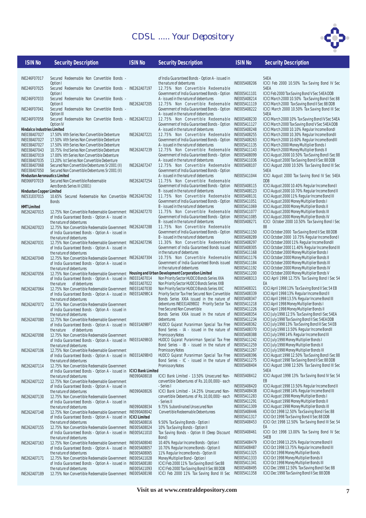

| <b>ISIN No</b> | <b>Security Description</b> |  |
|----------------|-----------------------------|--|
|                |                             |  |
|                |                             |  |

#### **ISIN No Security Description ISIN No Security Description ISIN No Security Description**

| <b>Security Descrip</b> |  |
|-------------------------|--|
|                         |  |

ICICI March 2000 Tax Saving Bond II Sec 88 DDB ICICI March 2000 10.50% Tax Saving Bond III Sec

ICICI August 2000 10.50% Tax Saving Bond III Sec

ICICI August 2000 10.70% Regular Income Bond II

54EA

54EA

54EA

54EA

DDB

| INE246F07017                                    | Secured Redeemable Non Convertible Bonds -                                                         |                      | of India Guarantee                             |
|-------------------------------------------------|----------------------------------------------------------------------------------------------------|----------------------|------------------------------------------------|
| INE246F07025                                    | Option I<br>Secured Redeemable Non Convertible Bonds - INE262A07197                                |                      | the nature of deber<br>12.75% Non 0            |
|                                                 | Option I                                                                                           |                      | Government of Ind                              |
| INE246F07033                                    | Secured Redeemable Non Convertible Bonds -<br>Option <sub>II</sub>                                 | INE262A07205         | A - issued in the na<br>12.75% Non 0           |
| INE246F07041                                    | Secured Redeemable Non Convertible Bonds -                                                         |                      | Government of Ind                              |
|                                                 | Option III                                                                                         |                      | A - issued in the na                           |
| INE246F07058                                    | Secured Redeemable Non Convertible Bonds - INE262A07213<br>Option <sub>IV</sub>                    |                      | 12.75% Non 0<br>Government of Ind              |
| <b>Hindalco Industries Limited</b>              |                                                                                                    |                      | A - issued in the na                           |
| INE038A07027                                    | 17.50% VIth Series Non Convertible Debenture                                                       | INE262A07221         | 12.75% Non 0                                   |
| INE038A07027                                    | 17.50% VIth Series Non Convertible Debenture<br>17.50% VIth Series Non Convertible Debenture       |                      | Government of Ind<br>A - issued in the na      |
| INE038A07027<br>INE038A07043                    | 10.75% IInd Series Non Convertible Debenture                                                       | INE262A07239         | 12.75% Non (                                   |
| INE038A07019                                    | 17.00% Vth Series Non Convertible Debenture                                                        |                      | Government of Ind                              |
| INE038A07035                                    | 13.20% Ist Series Non Convertible Debenture                                                        |                      | A - issued in the na                           |
| INE038A07068<br>INE038A07050                    | Secured Non Convertible Debentures Sr 2001 (II)<br>Secured Non Convertible Debentures Sr 2001 (II) | INE262A07247         | 12.75% Non 0<br>Government of Ind              |
| <b>Hindustan Aeronautics Limited</b>            |                                                                                                    |                      | A - issued in the na                           |
| INE066F07019                                    | Secured Non Convertible Redeemable                                                                 | INE262A07254         | 11.75% Non (                                   |
|                                                 | Aero Bonds Series III (2001)                                                                       |                      | Government of Ind                              |
| <b>Hindustan Copper Limited</b><br>INE531E07015 | 10.65% Secured Redeemable Non Convertible INE262A07262                                             |                      | B - issued in the na<br>11.75% Non (           |
|                                                 | <b>Bonds</b>                                                                                       |                      | Government of Ind                              |
| <b>HMT Limited</b>                              |                                                                                                    |                      | B - issued in the na                           |
| INE262A07015                                    | 12.75% Non Convertible Redeemable Government INE262A07270                                          |                      | 11.75% Non (<br>Government of Ind              |
|                                                 | of India Guaranteed Bonds - Option A - issued in<br>the nature of debentures                       |                      | B - issued in the na                           |
| INE262A07023                                    | 12.75% Non Convertible Redeemable Government INE262A07288                                          |                      | 11.75% Non (                                   |
|                                                 | of India Guaranteed Bonds - Option A - issued in                                                   |                      | Government of Ind                              |
| INE262A07031                                    | the nature of debentures<br>12.75% Non Convertible Redeemable Government                           | INE262A07296         | B - issued in the na<br>11.30% Non (           |
|                                                 | of India Guaranteed Bonds - Option A - issued in                                                   |                      | Government of Ind                              |
|                                                 | the nature of debentures                                                                           |                      | in the nature of deb                           |
| INE262A07049                                    | 12.75% Non Convertible Redeemable Government                                                       | INE262A07304         | 10.75% Non (<br>Government of Ind              |
|                                                 | of India Guaranteed Bonds - Option A - issued in<br>the nature of debentures                       |                      | in the nature of deb                           |
| INE262A07056                                    | 12.75% Non Convertible Redeemable Government                                                       |                      | Housing and Urban Development Cor              |
|                                                 | of India Guaranteed Bonds - Option A - issued in                                                   | INE031A07014         | Non Priority Sector                            |
| INE262A07064                                    | the nature<br>of debentures<br>12.75% Non Convertible Redeemable Government INE031A07030           | INE031A07022         | Non Priority Sector<br>Non Priority Sector     |
|                                                 | of India Guaranteed Bonds - Option A - issued in INE031A09BC4                                      |                      | <b>Priority Sector Tax</b>                     |
|                                                 | the nature of debentures                                                                           |                      | Bonds Series XXI                               |
| INE262A07072                                    | 12.75% Non Convertible Redeemable Government                                                       |                      | debentures INE031<br>free Secured Non C        |
|                                                 | of India Guaranteed Bonds - Option A - issued in<br>the nature of debentures                       |                      | Bonds Series XXI                               |
| INE262A07080                                    | 12.75% Non Convertible Redeemable Government                                                       |                      | debentures                                     |
|                                                 | of India Guaranteed Bonds - Option A - issued in INE031A09BF7                                      |                      | HUDCO Gujarat P                                |
| INE262A07098                                    | the nature<br>of debentures<br>12.75% Non Convertible Redeemable Government                        |                      | Bond Series - IA<br>Promissory Notes           |
|                                                 | of India Guaranteed Bonds - Option A - issued in INE031A09BG5                                      |                      | HUDCO Gujarat P                                |
|                                                 | the nature of debentures                                                                           |                      | Bond Series - IB                               |
| INE262A07106                                    | 12.75% Non Convertible Redeemable Government                                                       |                      | Promissory Notes<br>HUDCO Gujarat P            |
|                                                 | of India Guaranteed Bonds - Option A - issued in INE031A09BH3<br>the nature of debentures          |                      | Bond Series - IC                               |
| INE262A07114                                    | 12.75% Non Convertible Redeemable Government                                                       |                      | Promissory Notes                               |
|                                                 | of India Guaranteed Bonds - Option A - issued in ICICI Bank Limited                                |                      |                                                |
| INE262A07122                                    | the nature of debentures<br>12.75% Non Convertible Redeemable Government                           | INE090A08018         | <b>ICICI Bank Limiter</b><br>convertible Deben |
|                                                 | of India Guaranteed Bonds - Option A - issued in                                                   |                      | - Series I                                     |
|                                                 | the nature of debentures                                                                           | INE090A08026         | <b>ICICI Bank Limiter</b>                      |
| INE262A07130                                    | 12.75% Non Convertible Redeemable Government                                                       |                      | convertible Deben<br>- Series II               |
|                                                 | of India Guaranteed Bonds - Option A - issued in<br>the nature of debentures                       | INE090A08034         | 9.75% Subordinat                               |
| INE262A07148                                    | 12.75% Non Convertible Redeemable Government                                                       | INE090A08042         | Convertible Redee                              |
|                                                 | of India Guaranteed Bonds - Option A - issued in                                                   | <b>ICICI Limited</b> |                                                |
| INE262A07155                                    | the nature of debentures<br>12.75% Non Convertible Redeemable Government INE005A08024              | INE005A08016         | 9.50% Tax Saving<br>10% Tax Saving Bo          |
|                                                 | of India Guaranteed Bonds - Option A - issued in INE005A11010                                      |                      | <b>Tax Saving Bonds</b>                        |
|                                                 | the nature of debentures                                                                           |                      | Bond)                                          |
| INE262A07163                                    | 12.75% Non Convertible Redeemable Government INE005A08040                                          |                      | 10.40% Regular In                              |
|                                                 | of India Guaranteed Bonds - Option A - issued in INE005A08057<br>the nature of debentures          | INE005A08065         | 10.70% Regular In<br>11% Regular Incor         |
| INE262A07171                                    | 12.75% Non Convertible Redeemable Government INE005A11028                                          |                      | Money Multiplier B                             |
|                                                 | of India Guaranteed Bonds - Option A - issued in INE005A08180                                      |                      | <b>ICICI Feb 2000 119</b>                      |
| INE262A07189                                    | the nature of debentures<br>12.75% Non Convertible Redeemable Government INE005A08198              | INE005A11093         | ICICI Feb 2000 Tax<br>ICICI Feb 2000 1         |
|                                                 |                                                                                                    |                      |                                                |

d Bonds - Option A - issued in tures Convertible Redeemable ia Guaranteed Bonds - Option ture of debentures Convertible Redeemable Government of India Guaranteed Bonds - Option ture of debentures Convertible Redeemable INE005A08230 ia Guaranteed Bonds - Option ture of debentures Convertible Redeemable ia Guaranteed Bonds - Option ture of debentures Convertible Redeemable ia Guaranteed Bonds - Option ture of debentures Convertible Redeemable ia Guaranteed Bonds - Option ture of debentures Innyertible Redeemable ia Guaranteed Bonds - Option ture of debentures Convertible Redeemable ia Guaranteed Bonds - Option ture of debentures Convertible Redeemable ia Guaranteed Bonds - Option B - issued in the nature of debentures **Convertible Redeemable** ia Guaranteed Bonds - Option B - it ure of debentures Innyertible Redeemable Government of India Guaranteed Bonds issued bentures Convertible Redeemable lia Guaranteed Bonds issued in the nature of a **INECO Bonds Series XXA** HUDCO Bonds Series XXB **HUDCO Bonds Series XXC** A issued in the nature of - issued in the nature of - issued in the nature of - issued in the nature of d - 13.50% Unsecured Nontures of Rs.10,00,000/- each **Poration Limited** free Secured Non Convertible A issued in the nature of A09BD2 Priority Sector Tax onvertible uranirman Special Tax Free uranirman Special Tax Free uranirman Special Tax Free

d - 14.25% Unsecured Nontures of  $Rs.10,00,000/$ - each INE090A08042 Convertible Redeemable Debenturees **Bonds - Option I** Inds - Option II - Option III (Deep Discount INE005A08040 10.40% Regular Income Bonds - Option I ed Unsecured Non

Isomo Bonds - Option II<br>Icome Bonds - Option II ne Bonds - Option III Inned - Option I 6 Tax Saving Bond I Sec88 **Shandaring Editor Cooper** 1% Tax Saving Bond III Sec

INE005A08206 ICICI Feb 2000 10.50% Tax Saving Bond IV Sec INE005A11101 ICICI Feb 2000 Tax Saving Bond V Sec 54EA DDB INE005A08214 ICICI March 2000 10.50% Tax Saving Bond I Sec 88<br>INE005A08214 ICICI March 2000 10.50% Tax Saving Bond II Sec 88<br>INE005A11119 ICICI March 2000 Tax Saving Bond II Sec 88 DDB

INE005A08230 ICICI March 2000 10% Tax Saving Bond IV Sec 54EA INE005A11127 ICICI March 2000 Tax Saving Bond V Sec 54EA DDB INE005A08248 ICICI March 2000 10.10% Regular Income BondI INE005A08255 ICICI March 2000 10.30% Regular Income BondII INE005A08263 ICICI March 2000 10.60% Regular Income BondIII INE005A11135 ICICI March 2000 Money Multiplier Bonds I<br>INE005A11143 ICICI March 2000 Money Multiplier Bonds II INE005A11143 ICICI March 2000 Money Multiplier Bonds II INE005A08099 ICICI August 2000 10.50% Tax Saving Bond I Sec 88 INE005A11036 ICICI August 2000 Tax Saving Bond II Sec 88 DDB

INE005A11044 ICICI August 2000 Tax Saving Bond IV Sec 54EA

INE005A08115 ICICI August 2000 10.40% Regular Income Bond I INE005A08131 ICICI August 2000 11% Regular Income Bond III INE005A11051 ICICI August 2000 Money Multiplier Bonds I INE005A11069 ICICI August 2000 Money Multiplier Bonds II INE005A11077 ICICI August 2000 Money Multiplier Bonds III INE005A11085 ICICI August 2000 Money Multiplier Bonds IV

ICICI October 2000 10.50% Tax Saving Bond I Sec 88 INE005A11150 ICICI October 2000 Tax Saving Bond II Sec 88 DDB INE005A08289 ICICI October 2000 10.75% Regular Income Bond I INE005A08297 ICICI October 2000 11% Regular Income BondII INE005A08305 ICICI October 2000 11.40% Regular Income Bond III INE005A11168 ICICI October 2000 Money Multiplier Bonds I INE005A11176 ICICI October 2000 Money Multiplier Bonds II<br>INE005A11184 ICICI October 2000 Money Multiplier Bonds III INE005A11184 ICICI October 2000 Money Multiplier Bonds III INE005A11192 ICICI October 2000 Money Multiplier Bonds IV INE005A11200 ICICI October 2000 Money Multiplier Bonds V ICICI April 1998 12.75% Tax Saving Bond I Sec 54 EA INE005A08321 ICICI April 1998 13% Tax Saving Bond II Sec 54 EB INE005A08339 ICICI April 1998 13% Regular Income Bond II

ICICI April 1998 13.5% Regular Income Bond III INE005A11218 ICICI April 1998 Money Multiplier Bonds I<br>INE005A11226 ICICI April 1998 Money Multiplier Bonds II INE005A11226 ICICI April 1998 Money Multiplier Bonds II INE005A08354 ICICI July 1998 12.5% Tax Saving Bond I Sec 54EA INE005A11234 ICICI July 1998 Tax Saving Bond II Sec 54EA DDB INE005A08362 ICICI July 1998 13% Tax Saving Bond III Sec 54 EB<br>INE005A08370 ICICI July 1998 13.50% Regular Income BondII INE005A08370 ICICI July 1998 13.50% Regular Income BondII INE005A08388 ICICI July 1998 14% Regular Income Bond III<br>INE005A11242 ICICI July 1998 Money Multiplier Bonds I ICICI July 1998 Money Multiplier Bonds I INE005A11259 ICICI July 1998 Money Multiplier Bonds II INE005A11267 ICICI July 1998 Money Multiplier Bonds III INE005A08396 ICICI August 1998 12.50% Tax Saving Bond I Sec 88 INE005A11275 ICICI August 1998 Tax Saving Bond II Sec 88 DDB ICICI August 1998 12.50% Tax Saving Bond III Sec 54EA INE005A08412 ICICI August 1998 13% Tax Saving Bond IV Sec 54 EB INE005A08420 ICICI August 1998 13.50% Regular Income Bond II INE005A08438 ICICI August 1998 14% Regular Income Bond III INE005A11283 ICICI August 1998 Money Multiplier Bonds I INE005A11291 ICICI August 1998 Money Multiplier Bonds II INE005A11309 ICICI August 1998 Money Multiplier Bonds III INE005A08446 ICICI Oct 1998 12.50% Tax Saving Bond I Sec 88 INE005A11317 ICICI Oct 1998 Tax Saving Bond II Sec 88 DDB ICICI Oct 1998 12.50% Tax Saving Bond III Sec 54

EA INE005A08461 ICICI Oct 1998 13.00% Tax Saving Bond IV Sec 54EB

INE005A08479 ICICI Oct 1998 13.25% Regular Income Bond II INE005A08487 ICICI Oct 1998 13.75% Regular Income Bond III<br>INE005A01487 ICICI Oct 1998 Money Multiplier Bonds INE005A11325 ICICI Oct 1998 Money Multiplier Bonds INE005A11333 ICICI Oct 1998 Money Multiplier Bonds II INE005A11341 ICICI Oct 1998 Money Multiplier Bonds III INE005A08495 ICICI Dec 1998 12.50% Tax Saving Bond I Sec 88 ICICI Dec 1998 Tax Saving Bond II Sec 88 DDB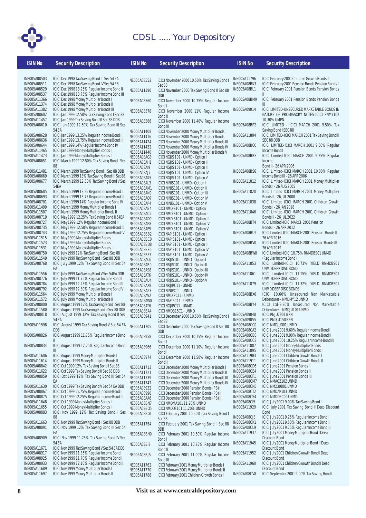

| <b>ISIN No</b>                      | <b>Security Description</b>                                                                     | <b>ISIN No</b>               | <b>Security Description</b>                                                                 | <b>ISIN No</b>               | <b>Security Description</b>                                                                  |
|-------------------------------------|-------------------------------------------------------------------------------------------------|------------------------------|---------------------------------------------------------------------------------------------|------------------------------|----------------------------------------------------------------------------------------------|
|                                     |                                                                                                 |                              |                                                                                             |                              |                                                                                              |
| INE005A08503                        | ICICI Dec 1998 Tax Saving Bond III Sec 54 EA                                                    | INE005A08552                 | ICICI November 2000 10.50% Tax Saving Bond I                                                | INE005A11796                 | ICICI February 2001 Children Growth Bonds II                                                 |
| INE005A08511                        | ICICI Dec 1998 Tax Saving Bond IV Sec 54 EB                                                     |                              | Sec 88                                                                                      | INE005A08BK3                 | ICICI February 2001 Pension Bonds Pension Bonds I                                            |
| INE005A08529                        | ICICI Dec 1998 13.25% Regular Income Bond II                                                    | INE005A11390                 | ICICI November 2000 Tax Saving Bond II Sec 88                                               | INE005A08BL1                 | ICICI February 2001 Pension Bonds Pension Bonds                                              |
| INE005A08537                        | ICICI Dec 1998 13.75% Regular Income Bond III                                                   |                              | <b>DDB</b>                                                                                  |                              | $\mathbf{II}$                                                                                |
| INE005A11366                        | ICICI Dec 1998 Money Multiplier Bonds I                                                         | <b>INE005A08560</b>          | ICICI November 2000 10.75% Regular Income                                                   | INE005A08BM9                 | ICICI February 2001 Pension Bonds Pension Bonds                                              |
| INE005A11374                        | ICICI Dec 1998 Money Multiplier Bonds II                                                        |                              | Bond I                                                                                      |                              | III                                                                                          |
| INE005A11382                        | ICICI Dec 1998 Money Multiplier Bonds III                                                       | INE005A08578                 | ICICI November 2000 11% Regular Income                                                      | INE005A09014                 | ICICI LIMITED-UNSECURED MARKETABLE BONDS IN                                                  |
| INE005A08602<br>INE005A11457        | ICICI Jan 1999 12.50% Tax Saving Bond I Sec 88                                                  |                              | Bond II                                                                                     |                              | NATURE OF PROMISSORY NOTES-ICICI PNMY102<br>10.30% UMPN                                      |
| INE005A08610                        | ICICI Jan 1999 Tax Saving Bond II Sec 88 DDB<br>ICICI Jan 1999 12.50% Tax Saving Bond III Sec   | INE005A08586                 | ICICI November 2000 11.40% Regular Income                                                   | INE005A08BP2                 | ICICI LIMITED - ICICI MARCH 2001 9.50% Tax                                                   |
|                                     | 54 EA                                                                                           |                              | Bond III                                                                                    |                              | Saving Bond I SEC 88                                                                         |
| INE005A08628                        | ICICI Jan 1999 13.25% Regular Income Bond II                                                    | INE005A11408<br>INE005A11416 | ICICI November 2000 Money Multiplier Bondsl<br>ICICI November 2000 Money Multiplier BondsII | INE005A11804                 | ICICI LIMITED-ICICI MARCH 2001 Tax Saving Bond II                                            |
| INE005A08636                        | ICICI Jan 1999 13.75% Regular Income Bond III                                                   | INE005A11424                 | ICICI November 2000 Money Multiplier Bonds III                                              |                              | SEC 88 DDB                                                                                   |
| <b>INE005A08644</b>                 | ICICI Jan 1999 14% Regular Income Bond IV                                                       | INE005A11432                 | ICICI November 2000 Money Multiplier Bonds IV                                               | <b>INE005A08BQ0</b>          | ICICI LIMITED-ICICI MARCH 2001 9.50% Regular                                                 |
| INE005A11465                        | ICICI Jan 1999 Money Multiplier Bonds I                                                         | INE005A11440                 | ICICI November 2000 Money Multiplier Bonds V                                                |                              | Income Bond I                                                                                |
| INE005A11473                        | ICICI Jan 1999 Money Multiplier Bonds II                                                        | INE005A08AG3                 | ICICI NGJIS 101 - UNMD - Option I                                                           | INE005A08BR8                 | ICICI Limited-ICICI MARCH 2001 9.75% Regular                                                 |
| INE005A08651                        | ICICI March 1999 12.50% Tax Saving Bond I Sec                                                   | INE005A08AH1                 | ICICI NGJIS 101 - UNMD - Option II                                                          |                              | Income                                                                                       |
|                                     | 88                                                                                              | INE005A08AI9                 | ICICI NGJIS 101 - UNMD - Option III                                                         |                              | Bond II - 26 APR 2006                                                                        |
| INE005A11481                        | ICICI March 1999 Tax Saving Bond II Sec 88 DDB                                                  | INE005A08AJ7                 | ICICI NGJIS 101 - UNMD - Option IV                                                          | INE005A08BS6                 | ICICI Limited-ICICI MARCH 2001 10.00% Regular                                                |
| INE005A08669<br>INE005A08677        | ICICI March 1999 13% Tax Saving Bond III Sec88<br>ICICI March 1999 12.50% Tax Saving Bond V Sec | INE005A08AK5                 | ICICI NGJIS 101 - UNMD - Option V                                                           | INE005A11812                 | Income Bond III - 26 APR 2006<br>ICICI Limited-ICICI MARCH 2001 Money Multiplier             |
|                                     | 54EA                                                                                            | INE005A08AL3                 | ICICI NINIS101 - UNMD - Option I                                                            |                              | Bonds I - 26 AUG 2005                                                                        |
| INE005A08685                        | ICICI March 1999 13.25 Regular Income Bond II                                                   | INE005A08AM1<br>INE005A08AN9 | ICICI NINIS101 - UNMD - Option II                                                           | INE005A11820                 | ICICI Limited-ICICI MARCH 2001 Money Multiplier                                              |
| INE005A08693                        | ICICI March 1999 13.75 Regular Income Bond III                                                  | <b>INE005A08A07</b>          | ICICI NINIS101 - UNMD - Option III<br>ICICI NINIS101 - UNMD - Option IV                     |                              | Bonds II - 26 JUL 2008                                                                       |
| <b>INE005A08701</b>                 | ICICI March 1999 14% Regular Income Bond IV                                                     | INE005A08AP4                 | ICICI NINIS101 - UNMD - Option V                                                            | INE005A11838                 | ICICI Limited-ICICI MARCH 2001 Children Growth                                               |
| INE005A11499                        | ICICI March 1999 Money Multiplier Bonds I                                                       | INE005A08AB4                 | ICICI NMDIS101 - UNMD - Option I                                                            |                              | Bonds I - 26 JAN 2018                                                                        |
| INE005A11507                        | ICICI March 1999 Money Multiplier Bonds II                                                      | INE005A08AC2                 | ICICI NMDIS101 - UNMD - Option II                                                           | INE005A11846                 | ICICI Limited-ICICI MARCH 2001 Children Growth                                               |
| INE005A08719                        | ICICI May 1999 12.25% Tax Saving Bond II 54EA                                                   | INE005A08AD0                 | ICICI NMDIS101 - UNMD - Option III                                                          |                              | Bonds II - 26 JUL 2022                                                                       |
| INE005A08727                        | ICICI May 1999 12% Regular Income Bond II                                                       | INE005A08AE8                 | ICICI NMDIS101 - UNMD - Option IV                                                           | INE005A08BT4                 | ICICI Limited-ICICI MARCH 2001 Pension                                                       |
| INE005A08735                        | ICICI May 1999 12.50% Regular Income Bond III                                                   | INE005A08AF5                 | ICICI NMDIS101 - UNMD - Option V                                                            |                              | Bonds I - 26 APR 2012                                                                        |
| INE005A08743<br>INE005A11515        | ICICI May 1999 12.75% Regular Income Bond IV<br>ICICI May 1999 Money Multiplier Bonds I         | INE005A08BB2                 | ICICI NAPIS101 - UNMD - Option I                                                            | INE005A08BU2                 | ICICI Limited-ICICI MARCH 2001 Pension Bonds II -<br>26 APR 2016                             |
| INE005A11523                        | ICICI May 1999 Money Multiplier Bonds II                                                        | INE005A08BC0                 | ICICI NAPIS101 - UNMD - Option II                                                           | INE005A08BV0                 | ICICI Limited-ICICI MARCH 2001 Pension Bonds III -                                           |
| INE005A11531                        | ICICI May 1999 Money Multiplier Bonds III                                                       | INE005A08BD8                 | ICICI NAPIS101 - UNMD - Option III                                                          |                              | 26 APR 2019                                                                                  |
| INE005A08750                        | ICICI July 1999 12% Tax Saving Bond I Sec 88                                                    | INE005A08BE6<br>INE005A08BF3 | ICICI NAPIS101 - UNMD - Option IV<br>ICICI NAPIS101 - UNMD - Option V                       | INE005A08BW8                 | ICICI Limited-ICICI 10.75% RNMDBS01 UNMD                                                     |
| INE005A11549                        | ICICI July 1999 Tax Saving Bond II Sec 88 DDB                                                   | <b>INE005A08AQ2</b>          | ICICI NRJIS101 - UNMD - Option I                                                            |                              | (Regular Income Bond)                                                                        |
| INE005A08768                        | ICICI July 1999 12% Tax Saving Bond III Sec 54                                                  | INE005A08AR0                 | ICICI NRJIS101 - UNMD - Option II                                                           | INE005A11853                 | ICICI Limited-ICICI 10.73% YIELD RNMDBS01                                                    |
|                                     | EA                                                                                              | INE005A08AS8                 | ICICI NRJIS101 - UNMD - Option III                                                          |                              | UNMD DEEP DISC BOND                                                                          |
| INE005A11556                        | ICICI July 1999 Tax Saving Bond V Sec 54EA DDB                                                  | INE005A08AT6                 | ICICI NRJIS101 - UNMD - Option IV                                                           | INE005A11861                 | ICICI Limited-ICICI 11.15% YIELD RNMDBS01                                                    |
| INE005A08776                        | ICICI July 1999 11.75% Regular Income BondII                                                    | INE005A08AU4                 | ICICI NRJIS101 - UNMD - Option V                                                            |                              | UNMD DEEP DISC BOND                                                                          |
| <b>INE005A08784</b><br>INE005A08792 | ICICI July 1999 12.25% Regular Income BondIII<br>ICICI July 1999 12.30% Regular Income BondIV   | INE005A08AX8                 | ICICI NRJIPC11 - UNMD                                                                       | INE005A11879                 | ICICI Limited-ICICI 11.32% YIELD RNMDBS01<br>UNMD DEEP DISC BONDS                            |
| INE005A11564                        | ICICI July 1999 Money Multiplier Bonds I                                                        | INE005A08AZ3                 | ICICI NINIPC11 - UNMD                                                                       | INE005A08BX6                 | ICICI 10.60% Unsecured Non Marketable                                                        |
| INE005A11572                        | ICICI July 1999 Money Multiplier Bonds II                                                       | INE005A08AV2                 | ICICI NMDIPC11 - UNMD                                                                       |                              | Debentures - NMDMY12 UNMD                                                                    |
| <b>INE005A08800</b>                 | ICICI August 1999 12% Tax Saving Bond I Sec 88                                                  | INE005A08AW0<br>INE005A08AY6 | ICICI NAPIPC11 - UNMD<br><b>ICICI NGJIPC11 - UNMD</b>                                       | INE005A08BY4                 | ICICI Ltd-9.90% Unsecured Non Marketable                                                     |
| INE005A11580                        | ICICI August 1999 Tax Saving Bond II Sec 88 DDB                                                 | INE005A08BA4                 | ICICI NMDB15C1 - UNMD                                                                       |                              | Debentures - NMDJU101 UNMD                                                                   |
| INE005A08818                        | ICICI August 1999 12% Tax Saving Bond II Sec                                                    | INE005A08941                 | ICICI December 2000 10.50% Tax Saving Bond I                                                | INE005A09048                 | ICICI PNJU2901 BPN                                                                           |
|                                     | 54 EA                                                                                           |                              | Sec 88                                                                                      | INE005A09055                 | ICICI PNDJU150 BPN                                                                           |
| INE005A11598                        | ICICI August 1999 Tax Saving Bond V Sec 54 EA                                                   | INE005A11705                 | ICICI December 2000 Tax Saving Bond II Sec 88                                               | INE005A08CG9                 | <b>ICICI NMDJUD01 UNMD</b>                                                                   |
|                                     | DDB                                                                                             |                              | <b>DDB</b>                                                                                  | INE005A08CA2                 | ICICI June 2001 9.60% Regular Income Bondl                                                   |
| INE005A08826                        | ICICI August 1999 11.75% Regular Income Bond INE005A08958<br>$\mathbb I$                        |                              | ICICI December 2000 10.75% Regular Income                                                   | INE005A08CB0<br>INE005A08CC8 | ICICI June 2001 9.90% Regular Income BondII<br>ICICI June 2001 10.25% Regular Income BondIII |
| INE005A08834                        | ICICI August 1999 12.25% Regular Income Bond                                                    |                              | Bond I                                                                                      | INE005A11887                 | ICICI June 2001 Money Multiplier Bonds I                                                     |
|                                     | Ш                                                                                               | INE005A08966                 | ICICI December 2000 11.10% Regular Income                                                   | INE005A11895                 | ICICI June 2001 Money Multiplier Bonds II                                                    |
| INE005A11606                        | ICICI August 1999 Money Multiplier Bonds I                                                      | INE005A08974                 | Bondll<br>ICICI December 2000 11.50% Regular Income                                         | INE005A11903                 | ICICI June 2001 Children Growth Bonds I                                                      |
| INE005A11614                        | ICICI August 1999 Money Multiplier Bonds II                                                     |                              | <b>BondIII</b>                                                                              | INE005A11911                 | ICICI June 2001 Children Growth Bonds II                                                     |
| INE005A08842                        | ICICI Oct 1999 12% Tax Saving Bond I Sec 88                                                     | INE005A11713                 | ICICI December 2000 Money Multiplier Bonds I                                                | INE005A08CD6                 | ICICI June 2001 Pension Bonds I                                                              |
| INE005A11622                        | ICICI Oct 1999 Tax Saving Bond II Sec 88 DDB                                                    | INE005A11721                 | ICICI December 2000 Money Multiplier Bonds II                                               | INE005A08CE4                 | ICICI June 2001 Pension Bonds II                                                             |
| INE005A08859                        | ICICI Oct 1999 12% Tax Saving Bond III Sec 54                                                   | INE005A11739                 | ICICI December 2000 Money Multiplier Bonds III                                              | INE005A08CF1                 | ICICI June 2001 Pension Bonds III                                                            |
|                                     | EA                                                                                              | INE005A11747                 | ICICI December 2000 Money Multiplier Bonds IV                                               | INE005A08CM7                 | ICICI NMAG2102 UNMD                                                                          |
| INE005A11630<br>INE005A08867        | ICICI Oct 1999 Tax Saving Bond V Sec 54 EA DDB<br>ICICI Oct 1999 11.75% Regular Income Bond II  | INE005A08932                 | ICICI December 2000 Pension Bonds (PB) I                                                    | INE005A08CN5<br>INE005A08CT2 | ICICI NM230801 UNMD<br>ICICI NMDAP103 UNMD                                                   |
| INE005A08875                        | ICICI Oct 1999 12.25% Regular Income Bond III                                                   | INE005A08990                 | ICICI December 2000 Pension Bonds (PB) II                                                   | INE005A08CS4                 | <b>ICICI NMDDEC00 UNMD</b>                                                                   |
| INE005A11648                        | ICICI Oct 1999 Money Multiplier Bonds I                                                         | INE005A08AA6                 | ICICI December 2000 Pension Bonds (PB) III                                                  | INE005A08CI5                 | ICICI July 2001 9.00% Tax Saving Bond I                                                      |
| INE005A11655                        | ICICI Oct 1999 Money Multiplier Bonds II                                                        | INE005A08BN7<br>INE005A08B05 | ICICI NMDMA10111.20% UNMD<br>ICICI NMDDF10111.20% UNMD                                      | INE005A11929                 | ICICI July 2001 Tax Saving Bond II Deep Discount                                             |
| INE005A08883                        | ICICI Nov 1999 12% Tax Saving Bond I Sec                                                        | INE005A08BG1                 | ICICI February 2001 10.50% Tax Saving Bond I                                                |                              | <b>Bond</b>                                                                                  |
|                                     | 88                                                                                              |                              | Sec 88                                                                                      | INE005A08CJ3                 | ICICI July 2001 9.25% Regular Income Bondl                                                   |
| INE005A11663                        | ICICI Nov 1999 Tax Saving Bond II Sec 88 DDB                                                    | INE005A11754                 | ICICI February 2001 Tax Saving Bond II Sec 88                                               | INE005A08CK1                 | ICICI July 2001 9.50% Regular Income BondII                                                  |
| INE005A08891                        | ICICI Nov 1999 12% Tax Saving Bond III Sec 54                                                   |                              | DDB                                                                                         | INE005A08CL9                 | ICICI July 2001 9.75% Regular Income BondIII                                                 |
|                                     | EA                                                                                              | INE005A08BH9                 | ICICI February 2001 10.50% Regular Income                                                   | INE005A11937                 | ICICI July 2001 Money Multiplier Bond I Deep                                                 |
| INE005A08909                        | ICICI Nov 1999 11.25% Tax Saving Bond IV Sec<br>54 EA                                           |                              | Bond I                                                                                      | INE005A11945                 | Discount Bond                                                                                |
| INE005A11671                        | ICICI Nov 1999 Tax Saving Bond V Sec 54 EA DDB                                                  | INE005A08BI7                 | ICICI February 2001 10.75% Regular Income                                                   |                              | ICICI July 2001 Money Multiplier Bond II Deep<br><b>Discount Bond</b>                        |
| INE005A08917                        | ICICI Nov 1999 11.35% Regular Income Bondl                                                      |                              | Bond II                                                                                     | INE005A11952                 | ICICI July 2001 Children Gwowth Bond I Deep                                                  |
| INE005A08925                        | ICICI Nov 1999 11.70% Regular Income BondII                                                     | INE005A08BJ5                 | ICICI February 2001 11.00% Regular Income<br>Bond III                                       |                              | Discount Bond                                                                                |
| INE005A08933                        | ICICI Nov 1999 12.10% Regular Income BondIII                                                    | INE005A11762                 | ICICI February 2001 Money Multiplier Bonds I                                                | INE005A11960                 | ICICI July 2001 Children Gwowth Bond II Deep                                                 |
| INE005A11689                        | ICICI Nov 1999 Money Multiplier Bonds I                                                         | INE005A11770                 | ICICI February 2001 Money Multiplier Bonds II                                               |                              | <b>Discount Bond</b>                                                                         |
| INE005A11697                        | ICICI Nov 1999 Money Multiplier Bonds II                                                        | INE005A11788                 | ICICI February 2001 Children Growth Bonds I                                                 | INE005A08CV8                 | ICICI September 2001 9.00% Tax Saving Bondl                                                  |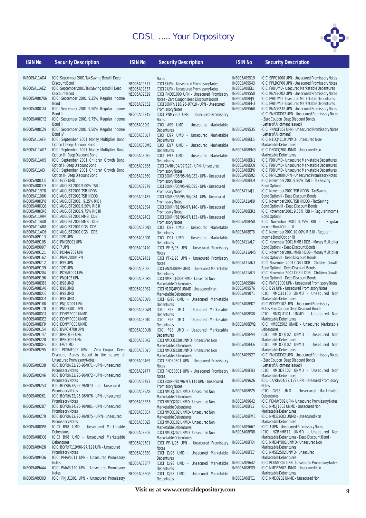

#### **ISIN No** Security Description **ISIN No** Security Description **ISIN No** Security Description

INE005A11AD4 ICICI September 2001 Tax Saving Bond II Deep Discount Bond INE005A11AE2 ICICI September 2001 Tax Saving Bond III Deep Discount Bond INE005A08CW6 ICICI September 2001 9.25% Regular Income Bond I INE005A08CX4 ICICI September 2001 9.50% Regular Income Bond II INE005A08CY2 ICICI September 2001 9.75% Regular Income Bond III INE005A08CZ9 ICICI September 2001 9.50% Regular Income Bond IV INE005A11AF9 ICICI September 2001 Money Multiplier Bond Option I Deep Discount Bond INE005A11AG7 ICICI September 2001 Money Multiplier Bond Option II - Deep Discount Bond INE005A11AH5 ICICI September 2001 Children Growth Bond Option I - Deep Discount Bond INE005A11AI3 ICICI September 2001 Children Growth Bond Option II - Deep Discount Bond INE005A08CU0 ICICI G/98 UMD INE005A08CO3 ICICI AUGUST 2001 9.00% TSB I INE005A11978 ICICI AUGUST 2001 TSB II DDB INE005A11986 ICICI AUGUST 2001 TSB III DDB ICICLAHGUST 2001 9.25% RIB I INE005A08CQ8 ICICI AUGUST 2001 9.50% RIB II INE005A08CR6 ICICI AUGUST 2001 9.75% RIB III INE005A11994 ICICI AUGUST 2001 MMB I DDB INE005A11AA0 ICICI AUGUST 2001 MMB II DDB INE005A11AB8 ICICI AUGUST 2001 CGB I DDB ICICI AUGUST 2001 CGB II DDB<br>ICICI 12D UPN INE005A09113<br>INE005A09105 **ICICI PNISEC01 UPN** INE005A09097 ICICI 7 UPN<br>INE005A09121 ICICI PDMA INE005A09121 ICICI PDMAY202 UPN<br>INE005A09162 ICICI PNPL2000 UPN ICICI PNPL2000 UPN<br>ICICI B99 UPN INE005A09212 ICICI B99 UPN<br>INE005A09139 ICICI 12D UPN INE005A09139<br>INE005A09204 INE005A09204 ICICI PDSMF004 UPN<br>INE005A09196 ICICI PN0102 UPN ICICI PNQ102 UPN<br>ICICI B98 UMD INE005A08DB8 ICICI B98 UMD<br>INE005A08DA0 ICICI B98 UMD INE005A08DA0 ICICI B98 UMD<br>INE005A08DC6 ICICI B98 UMD INE005A08DC6 ICICI B98 UMD<br>INE005A08DD4 ICICI B98 UMD INE005A08DD4 INE005A09188 ICICI PNJU2001 UPN<br>INE005A09170 ICICI PNDDJU01 UPN INE005A09170 ICICI PNDDJU01 UPN<br>INE005A08DG7 ICICI DDNMPC00 UN INE005A08DG7 ICICI DDNMPC00 UNMD INE005A08DE2 ICICI DDNMPC00 UNMD<br>INFO05A08DE9 ICICI DDNMPC00 UNMD INE005A08DF9 ICICI DDNMPC00 UNMD<br>INF005A09154 ICICI BVPCM700 UPN INE005A09154 ICICI BVPCM700 UPN<br>INE005A09147 ICICI BPNQ199 UPN INE005A09147 ICICI BPNQ199 UPN<br>INE005A09220 ICICI BPNQ399 UPN ICICI BPNQ399 UPN INE005A08DH5 ICICI F97 UMD INE005A09295 ICICI PDSMF005 UPN - Zero Coupon Deep Discound Bonds issued in the nature of Unsecured Promissory Notes INE005A09238 ICICI BO/RH/32/95-96/071 - UPN - Unsecured Promissory Notes INE005A09246 ICICI BO/RH/32/95-96/072 - UPN - Unsecured Promissory Notes INE005A09253 ICICI BO/RH/32/95-96/073 - upn - Unsecured Promissory Notes INE005A09261 ICICI BO/RH/32/95-96/076 - UPN - Unsecured Promissory Notes INE005A09287 ICICI BO/RH/34/95-96/081 - UPN - Unsecured Promissory Notes INE005A09279 ICICI BO/RH/32/95-96/075 - UIPN - Unsecured Promissory Notes INE005A08DP8 ICICI B98 UMD - Unsecured Marketable **Debentures** INE005A08DQ6 ICICI B98 UMD - Unsecured Marketable Debentures INE005A09428 ICICI BO/RY/119/96-97/191 UPN - Unsecured Promissory Notes INE005A09436 ICICI PMAPL011 UPN - Unsecured Promissory **Notes** INE005A09444 ICICI PMAPL120 UPN - Unsecured Promissory **Notes** INE005A09303 ICICI PNJU1301 UPN - Unsecured Promissory

Notes INE005A09311 ICICI 6 UPN - Unsecured Promissory Notes **ICICI 2 UPN - Unsecured Promissory Notes** INE005A09329 ICICI PNDD1000 UPN - Unsecured Promissory Notes - Zero Coupon deep Discount Bonds INE005A09352 ICICI BO/RY/116/96-97/18 - UPN - Unsecured Promissory Notes INE005A09345 ICICI PNMY902 UPN - Unsecured Promissory **Notes** INE005A08DJ1 ICICI A99 UMD - Unsecured Marketable Debentures INE005A08DL7 ICICI D97 UMD - Unsecured Marketable **Debentures** INE005A08DM5 ICICI E97 UMD - Unsecured Marketable **Debentures** INE005A08DK9 ICICI E97 UMD - Unsecured Marketable Debentures INE005A09386 ICICI CA/RH/04/97/127 - UPN - Unsecured Promissory Notes INE005A09360 ICICI BO/RH/35/95-96/082 - UPN - Unsecured Promissory Notes INE005A09378 ICICI BO/RH/35/95-96/085 - UPN - Unsecured Promissory Notes INE005A09485 ICICI BO/RH/35/95-96/084 - UPN - Unsecured Promissory Notes INE005A09394 ICICI BO/RH/81/96-97/140 - UPN - Unsecured Promissory Notes INE005A09402 ICICI BO/RH/81/96-97/153 - UPN - Unsecured Promissory Notes<br>ICICI D97 UMD INE005A08DN3 ICICI D97 UMD - Unsecured Marketable Debentures INE005A08DO1 ICICI D97 UMD - Unsecured Marketable Debentures INE005A09410 ICICI PF-5/96 UPN - Unsecured Promissory Notes INE005A09451 ICICI PF-2/95 UPN - Unsecured Promissory **Notes** INE005A08DI3 ICICI ANAM0899 UMD - Unsecured Marketable **Debentures** INE005A08DR4 ICICI NMPCQ300 UNMD - Unsecred Non-Marketable Debentures INE005A08DS2 ICICI N1DQ4PC0 UNMD - Unsecured Non-Marketable Debentures INE005A08DV6 ICICI G/98 UMD - Unsecured Marketable Debentures INE005A08DW4 ICICI F98 UMD - Usecured Marketable Debentures INE005A08DT0 ICICI F98 UMD - Usecured Marketable Debentures INE005A08DU8 ICICI F98 UMD - Usecured Marketable Debentures INE005A08DX2 ICICI NMDDEC00 UNMD - Unsecured Non Marketable Debentures INE005A08DY0 ICICI NMDDEC00 UNMD - Unsecured Non Marketable Debentures INE005A09469 ICICI PN080501 UPN - Unsecured Promissory **Notes** INE005A09477 ICICI PN050501 UPN - Unsecured Promissory Notes INE005A09493 ICICI BO/RH/81/96-97/141 UPN - Unsecured Promissory Notes INE005A08EA8 ICICI NMDQ102 UNMD - Unsecured Non Marketable Debentures INE005A08EB6 ICICI NMDQ202 UNMD - Unsecured Non Marketable Debentures INE005A08EC4 ICICI NMDQ102 UNMD - Unsecured Non Marketable Debentures INE005A08DZ7 ICICI NMDQ102 UNMD - Unsecured Non Marketable Debentures INE005A08ED2 ICICI NMDQ202 UNMD - Unsecured Non Marketable Debentures INE005A09501 ICICI PF-1/96 UPN - Unsecured Promissory Notes INE005A08EE0 ICICI D/98 UMD - Unsecured Marketable **Debentures** INE005A08EF7 ICICI D/98 UMD - Unsecured Marketable Debentures INE005A08EG5 ICICI D/98 UMD - Unsecured Marketable **Debentures** INE005

| INE005A09519<br>INE005A09543<br>INE005A08EI1 | ICICI SPPC1000 UPN - Unsecured Promissory Notes<br>ICICI PPLBOP00 UPN - Unsecured Promissory Notes |
|----------------------------------------------|----------------------------------------------------------------------------------------------------|
|                                              |                                                                                                    |
|                                              |                                                                                                    |
|                                              |                                                                                                    |
|                                              | ICICI F98 UMD - Usecured Marketable Debentures                                                     |
| INE005A09550                                 | ICICI PNAGF202 UPN - Unsecured Promissory Notes                                                    |
|                                              |                                                                                                    |
| INE005A08EJ9                                 | ICICI F98 UMD - Usecured Marketable Debentures                                                     |
| INE005A08EH3                                 | ICICI F98 UMD - Usecured Marketable Debentures                                                     |
| INE005A09568                                 | ICICI PNAGF232 UPN - Unsecured Promissory Notes                                                    |
|                                              |                                                                                                    |
|                                              | ICICI PNNODD02 UPN - Unsecured Promissory Notes                                                    |
|                                              | - Zero Coupon Deep Discount Bonds                                                                  |
|                                              | (Letter of Allotment issued)                                                                       |
| INE005A09535                                 | ICICI PNNOFLO2 UPN - Unsecured Promissory Notes                                                    |
|                                              |                                                                                                    |
|                                              | (Letter of Allotment)                                                                              |
| INE005A08EL5                                 | ICICI N1DQ4C10 UNMD - Unsecured Non-                                                               |
|                                              | Marketable Debentures                                                                              |
|                                              |                                                                                                    |
| INF005A08FM3                                 | ICICI DNOCQ200 UNMD - Unsecured Non                                                                |
|                                              | Marketable Debentures                                                                              |
| INE005A08EN1                                 | ICICI F98 UMD - Unsecured Marketable Debentures                                                    |
|                                              |                                                                                                    |
| <b>INE005A08E09</b>                          | ICICI F98 UMD - Unsecured Marketable Debentures                                                    |
| INE005A08EP6                                 | ICICI F98 UMD - Unsecured Marketable Debentures                                                    |
| INE005A09592                                 | ICICI PNPL2000 UPN - Unsecured Promissory Notes                                                    |
| INE006A08EQ4                                 | ICICI November 2001 9.90% TSB I - Tax Saving                                                       |
|                                              |                                                                                                    |
|                                              | <b>Bond Option I</b>                                                                               |
| <b>INE005A11AJ1</b>                          | ICICI November 2001 TSB II DDB - Tax Saving                                                        |
|                                              | Bond Option II - Deep Discount Bonds                                                               |
|                                              |                                                                                                    |
| <b>INE005A11AK9</b>                          | ICICI November 2001 TSB III DDB - Tax Saving                                                       |
|                                              | Bond Option III - Deep Discount Bonds                                                              |
| INE005A08ER2                                 | ICICI November 2001 9.50% RIB I - Regular Income                                                   |
|                                              |                                                                                                    |
|                                              | <b>Bond Option I</b>                                                                               |
| INE005A08ES0                                 | ICICI November 2001 9.75% RIB II - Regular                                                         |
|                                              | Income Bond Option II                                                                              |
|                                              |                                                                                                    |
| INE005A08ET8                                 | ICICI November 2001 10.00% RIB III - Regular                                                       |
|                                              | Income Bond Option III                                                                             |
| INE005A11AL7                                 | ICICI November 2001 MMB I DDB - Money Multiplier                                                   |
|                                              |                                                                                                    |
|                                              | Bond Option I - Deep Discount Bonds                                                                |
| INE005A11AM5                                 | ICICI November 2001 MMB II DDB - Money Multiplier                                                  |
|                                              | Bond Option II - Deep Discount Bonds                                                               |
| INE005A11AN3                                 | ICICI November 2001 CGB I DDB - Children Growth                                                    |
|                                              |                                                                                                    |
|                                              | Bond Option I - Deep Discount Bonds                                                                |
| <b>INE005A11A01</b>                          | ICICI November 2001 CGB II DDB - Children Growth                                                   |
|                                              | Bond Option II - Deep Discount Bonds                                                               |
|                                              |                                                                                                    |
|                                              | ICICI PNPC1000 UPN - Unsecured Promissory Notes                                                    |
| <b>INE005A09584</b>                          |                                                                                                    |
| INE005A09576                                 |                                                                                                    |
|                                              | ICICI B99 UPN - Unsecured Promissory Notes                                                         |
| <b>INE005A09071</b>                          | ICICI NMC31100 UNMD - Unsecured Non                                                                |
|                                              | Marketable Debentures                                                                              |
| INE005A08EK7                                 | ICICI PDDMY102 UPN - Unsecured Promissory                                                          |
|                                              |                                                                                                    |
|                                              | Notes Zero Coupon Deep Discount Bonds                                                              |
| INE005A08EX0                                 | ICICI NMDJU101 UNMD - Unsecured Non                                                                |
|                                              | Marketable Debentures                                                                              |
| INE005A08EW2                                 | ICICI NMSE2502 UNMD - Unsecured Marketable                                                         |
|                                              |                                                                                                    |
|                                              | Debentures                                                                                         |
| INE005A08EV4                                 | ICICI NMDCQ102 UNMD<br>Unsecured<br>Non<br>$\overline{\phantom{a}}$                                |
|                                              | Marketable Debentures                                                                              |
|                                              |                                                                                                    |
| INE005A08EU6                                 | ICICI NMDCQ102 UNMD - Unsecured<br>Non                                                             |
|                                              | Marketable Debentures                                                                              |
| INE005A09527                                 | ICICI PNNODD02 UPN - Unsecured Promissory Notes                                                    |
|                                              | - Zero Coupon Deep Discount Bonds                                                                  |
|                                              |                                                                                                    |
|                                              | (Letter of Allotment issued)                                                                       |
| INE005A08FB3                                 | ICICI NMDD2602 UNMD - Unsecured Non                                                                |
|                                              | Marketable Debentures                                                                              |
|                                              |                                                                                                    |
| INE005A09626                                 | ICICI CA/RH/04/97/129 UPN - Unseured Promissory                                                    |
|                                              | <b>Notes</b>                                                                                       |
| INE005A08EZ5                                 | ICICI G/98 UMD - Unsecured Marketable                                                              |
|                                              | Debentures                                                                                         |
|                                              |                                                                                                    |
| INE005A09642                                 | ICICI PDMAY302 UPN - Unsecured Promissory Notes                                                    |
| INE005A08FL2                                 | ICICI NMDJ1503 UNMD - Unsecured Non                                                                |
|                                              | Marketable Debentures                                                                              |
| INE005A08FM0                                 | ICICI NMDE2602 UNMD - Unsecured Non                                                                |
|                                              |                                                                                                    |
|                                              | Marketable Debentures                                                                              |
| INE005A09667                                 | ICICI 3 UPN - Unsecured Promissory Notes                                                           |
| INE005A08FN8                                 | ICICI NZBNHB11 UNMD - Unsecured Non                                                                |
|                                              |                                                                                                    |
|                                              | Marketable Debentures - Deep Discount Bond -                                                       |
| INE005A08FK4                                 | ICICI NMDMY801 UNMD - Unsecured Non                                                                |
|                                              | Marketable Debentures                                                                              |
| INE005A08FE7                                 | ICICI NMSE2502 UNMD - Unsecured                                                                    |
|                                              |                                                                                                    |
|                                              | Marketable Debentures                                                                              |
| INE005A09642                                 | ICICI PDMAY302 UPN - Unsecured Promissory Notes                                                    |
| INE005A08FD9                                 | ICICI NMDE2602 UNMD - Unsecured Non                                                                |
|                                              | Marketable Debentures                                                                              |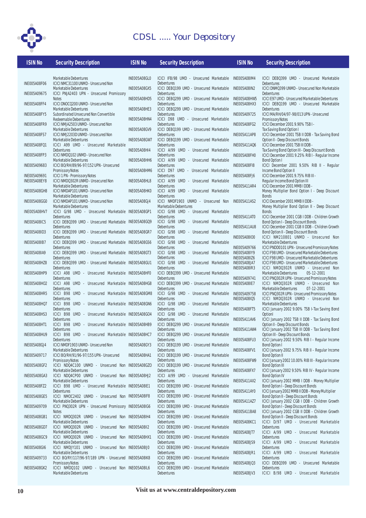

| <b>ISIN No</b>      | <b>Security Description</b>                                                     | <b>ISIN No</b>      | <b>Security Description</b>                                | <b>ISIN No</b>                             | <b>Security Description</b>                                                                        |
|---------------------|---------------------------------------------------------------------------------|---------------------|------------------------------------------------------------|--------------------------------------------|----------------------------------------------------------------------------------------------------|
|                     |                                                                                 |                     |                                                            |                                            |                                                                                                    |
|                     | Marketable Debentures                                                           | INE005A08GL0        | ICICI IFB/98 UMD - Unsecured Marketable                    | INE005A08IM4                               | ICICI DEB0399 UMD - Unsecured Marketable                                                           |
| INE005A08F06        | ICICI NMC31100 UNMD - Unsecured Non<br>Marketable Debentures                    | INE005A08GX5        | Debentures<br>ICICI DEBQ199 UMD - Unsecured Marketable     | INE005A08IN2                               | Debentures<br>ICICI DNMQ399 UNMD - Unsecured Non Marketable                                        |
| <b>INE005A09675</b> | ICICI PNJA2403 UPN - Unsecured Promissory                                       |                     | <b>Debentures</b>                                          |                                            | Debentures                                                                                         |
|                     | <b>Notes</b>                                                                    | INE005A08HD5        | ICICI DEBQ299 UMD - Unsecured Marketable                   | INE005A08HW5                               | ICICI E97 UMD - Unsecured Marketable Debentures                                                    |
| INE005A08FF4        | ICICI DNOCQ200 UNMD - Unsecured Non<br>Marketable Debentures                    | INE005A08HE3        | Debentures<br>ICICI DEBQ299 UMD - Unsecured Marketable     | INE005A08HX3                               | ICICI DEB0199 UMD - Unsecured Marketable<br>Debentures                                             |
| INE005A08FY5        | Subordinated Unsecured Non Convertible                                          |                     | Debentures                                                 | INE005A09725                               | ICICI MA/RH/04/97-98/013 UPN - Unsecured                                                           |
|                     | Redeemable Debentures                                                           | INE005A08HN4        | ICICI D98 UMD - Unsecured Marketable                       |                                            | <b>Promissory Notes</b>                                                                            |
| INE005A08FR9        | ICICI NMJA2503 UNMD - Unsecured Non<br>Marketable Debentures                    | <b>INE005A08GV9</b> | Debentures<br>ICICI DEBQ199 UMD - Unsecured Marketable     | INE005A08FG2                               | ICICI December 2001 9.90% TSB I -<br>Tax Saving Bond Option I                                      |
| INE005A08FS7        | ICICI NMJ2203D UNMD - Unsecured Non                                             |                     | Debentures                                                 | INE005A11AP8                               | ICICI December 2001 TSB II DDB - Tax Saving Bond                                                   |
| INE005A08FQ1        | Marketable Debentures<br>ICICI A99 UMD - Unsecured Marketable                   | INE005A08GW7        | ICICI DEBQ199 UMD - Unsecured Marketable<br>Debentures     | <b>INE005A11AQ6</b>                        | Option II - Deep Discount Bonds<br>ICICI December 2001 TSB III DDB -                               |
|                     | Debentures                                                                      | INE005A08HI4        | ICICI A/99 UMD - Unsecured Marketable                      |                                            | Tax Saving Bond Option III - Deep Discount Bonds                                                   |
| INE005A08FP3        | ICICI NMDQ102 UNMD - Unsecured Non                                              |                     | Debentures                                                 | INE005A08FH0                               | ICICI December 2001 9.25% RIB I - Regular Income                                                   |
| INE005A09683        | Marketable Debentures<br>ICICI BO/RH/89/96-97/152 UPN - Unsecured               | INE005A08HH6        | ICICI A/99 UMD - Unsecured Marketable<br>Debentures        | INE005A08FI8                               | Bond Option I<br>ICICI December 2001 9.50% RIB II - Regular                                        |
|                     | Promissory Notes                                                                | INE005A08HM6        | ICICI D97 UMD - Unsecured Marketable                       |                                            | Income Bond Option II                                                                              |
| INE005A09691        | <b>ICICI 1 PN - Promissory Notes</b>                                            |                     | Debentures                                                 | INE005A08FJ6                               | ICICI December 2001 9.75% RIB III -                                                                |
| INE005A08EY8        | ICICI NMDQ302R UNMD - Unsecured Non<br>Marketable Debentures                    | INE005A08HL8        | ICICI A/99 UMD - Unsecured Marketable<br>Debentures        | INE005A11AR4                               | Regular Income Bond Option III<br>ICICI December 2001 MMB I DDB -                                  |
| INE005A08GH8        | ICICI NMDAP101 UNMD - Unsecured Non                                             | INE005A08HK0        | ICICI A/99 UMD - Unsecured Marketable                      |                                            | Money Multiplier Bond Option I - Deep Discount                                                     |
| INE005A08GG0        | Marketable Debentures<br>ICICI NMDAP101 UNMD - Unsecured Non                    | INE005A08GJ4        | Debentures<br>ICICI NMDF1903 UNMD - Unsecured Non          | <b>INE005A11AS2</b>                        | <b>Bonds</b><br>ICICI December 2001 MMB II DDB -                                                   |
|                     | Marketable Debentures                                                           |                     | Marketable Debentures                                      |                                            | Money Multiplier Bond Option II - Deep Discount                                                    |
| INE005A08HV7        | ICICI G/98 UMD - Unsecured Marketable INE005A08GP1                              |                     | ICICI G/98 UMD - Unsecured Marketable                      |                                            | <b>Bonds</b>                                                                                       |
| INE005A08IC5        | Debentures<br>ICICI DEB0399 UMD - Unsecured Marketable INE005A08GQ9             |                     | Debentures<br>ICICI G/98 UMD - Unsecured Marketable        | INE005A11AT0                               | ICICI December 2001 CGB I DDB - Children Growth<br>Bond Option I - Deep Discount Bonds             |
|                     | Debentures                                                                      |                     | Debentures                                                 | INE005A11AU8                               | ICICI December 2001 CGB II DDB - Children Growth                                                   |
| INE005A08ID3        | ICICI DEBQ399 UMD - Unsecured Marketable INE005A08GR7<br>Debentures             |                     | ICICI G/98 UMD - Unsecured Marketable<br><b>Debentures</b> | <b>INE005A08IO0</b>                        | Bond Option II - Deep Discount Bonds<br>ICICI NM210801 UNMD - Unsecured Non                        |
| INE005A08IB7        | ICICI DEBQ399 UMD - Unsecured Marketable INE005A08GS6                           |                     | ICICI G/98 UMD - Unsecured Marketable                      |                                            | Marketable Debentures                                                                              |
|                     | Debentures                                                                      |                     | Debentures                                                 | INE005A09766                               | ICICI PNDD0101 UPN - Unsecured Promissory Notes                                                    |
| INE005A08IA9        | ICICI DEBQ399 UMD - Unsecured Marketable INE005A08GT3<br>Debentures             |                     | ICICI G/98 UMD - Unsecured Marketable<br>Debentures        | <b>INE005A08IY9</b><br><b>INE005A08IZ6</b> | ICICI F98 UMD - Unsecured Marketable Debentures<br>ICICI F98 UMD - Unsecured Marketable Debentures |
| INE005A08HZ8        | ICICI DEB0399 UMD - Unsecured Marketable INE005A08GU1                           |                     | ICICI G/98 UMD - Unsecured Marketable                      | INE005A08JA7                               | ICICI F98 UMD - Unsecured Marketable Debentures                                                    |
|                     | Debentures                                                                      |                     | Debentures                                                 | <b>INE005A08IR3</b>                        | ICICI NMDQ302R UNMD - Unsecured Non                                                                |
| INE005A08HP9        | ICICI A98 UMD - Unsecured Marketable INE005A08HF0<br>Debentures                 |                     | ICICI DEBQ399 UMD - Unsecured Marketable<br>Debentures     | INE005A09741                               | Marketable Debentures<br>05-12-2001<br>ICICI PNQ302R UPN - Unsecured Promissory Notes              |
| INE005A08HO2        | ICICI A98 UMD - Unsecured Marketable INE005A08HG8                               |                     | ICICI DEB0399 UMD - Unsecured Marketable                   | INE005A08IE7                               | ICICI NMDQ302R UNMD - Unsecured Non                                                                |
| INE005A08HR5        | Debentures<br>ICICI B98 UMD - Unsecured Marketable INE005A08GM8                 |                     | Debentures<br>ICICI G/98 UMD - Unsecured Marketable        | INE005A09758                               | Marketable Debentures<br>07-12-2001<br>ICICI PNQ302R UPN - Unsecured Promissory Notes              |
|                     | Debentures                                                                      |                     | Debentures                                                 | <b>INE005A08IQ5</b>                        | ICICI NMDQ302R UNMD - Unsecured Non                                                                |
| INE005A08HQ7        | ICICI B98 UMD - Unsecured Marketable INE005A08GN6                               |                     | ICICI G/98 UMD - Unsecured Marketable                      |                                            | Marketable Debentures                                                                              |
| INE005A08HS3        | Debentures<br>ICICI B98 UMD - Unsecured Marketable INE005A08G04                 |                     | Debentures<br>ICICI G/98 UMD - Unsecured Marketable        | INE005A08FT5                               | ICICI January 2002 9.00% TSB I-Tax Saving Bond<br>Optionl                                          |
|                     | Debentures                                                                      |                     | Debentures                                                 | INE005A11AV6                               | ICICI January 2002 TSB II DDB - Tax Saving Bond                                                    |
| INE005A08HT1        | ICICI B98 UMD - Unsecured Marketable INE005A08HB9<br>Debentures                 |                     | ICICI DEBQ299 UMD - Unsecured Marketable<br>Debentures     | INE005A11AW4                               | Option II - Deep Discount Bonds<br>ICICI January 2002 TSB III DDB - Tax Saving Bond                |
| INE005A08HU9        | ICICI B98 UMD - Unsecured Marketable INE005A08HC7                               |                     | ICICI DEBQ299 UMD - Unsecured Marketable                   |                                            | Option III - Deep Discount Bonds                                                                   |
|                     | <b>Debentures</b>                                                               |                     | Debentures                                                 | INE005A08FU3                               | ICICI January 2002 9.50% RIB I - Regular Income                                                    |
| INE005A08GJ4        | ICICI NMDF1903 UNMD - Unsecured Non<br>Marketable Debentures                    | INE005A08GY3        | ICICI DEBQ199 UMD - Unsecured Marketable<br>Debentures     | INE005A08FV1                               | Bond Option I<br>ICICI January 2002 9.75% RIB II - Regular Income                                  |
| <b>INE005A09717</b> | ICICI BO/RH/91/96-97/155 UPN - Unsecured                                        | INE005A08HA1        | ICICI DEBQ199 UMD - Unsecured Marketable                   |                                            | Bond Option II                                                                                     |
| INE005A08GF2        | <b>Promissory Notes</b><br>ICICI NDQ4C100 UNMD - Unsecured Non INE005A08GZO     |                     | Debentures<br>ICICI DEBQ199 UMD - Unsecured Marketable     | INE005A08FW9                               | ICICI January 2002 10.00% RIB III - Regular Income<br><b>Bond Option III</b>                       |
|                     | Marketable Debentures                                                           |                     | Debentures                                                 | INE005A08FX7                               | ICICI January 2002 9.50% RIB IV - Regular Income                                                   |
| INE005A08GA3        | ICICI NDQ4CP00 UNMD - Unsecured Non INE005A08HJ2                                |                     | ICICI A/99 UMD - Unsecured Marketable                      |                                            | <b>Bond Option IV</b>                                                                              |
| INE005A08FZ2        | Marketable Debentures<br>ICICI B98 UMD - Unsecured Marketable INE005A08IE1      |                     | Debentures<br>ICICI DEBQ399 UMD - Unsecured Marketable     | INE005A11AX2                               | ICICI January 2002 MMB I DDB - Money Multiplier<br>Bond Option I - Deep Discount Bonds             |
|                     | Debentures                                                                      |                     | Debentures                                                 | INE005A11AY0                               | ICICI January 2002 MMB II DDB - Money Multiplier                                                   |
| INE005A08GE5        | ICICI NMOC2402 UNMD - Unsecured Non INE005A08IF8<br>Marketable Debentures       |                     | ICICI DEBQ399 UMD - Unsecured Marketable<br>Debentures     | INE005A11AZ7                               | Bond Option II - Deep Discount Bonds<br>ICICI January 2002 CGB I DDB - Children Growth             |
| INE005A09709        | ICICI PNQ302R UPN - Unsecured Promissory INE005A08IG6                           |                     | ICICI DEBQ399 UMD - Unsecured Marketable                   |                                            | Bond Option I - Deep Discount Bonds                                                                |
|                     | <b>Notes</b>                                                                    |                     | Debentures                                                 | INE005A11BA8                               | ICICI January 2002 CGB II DDB - Children Growth                                                    |
| INE005A08GB1        | ICICI NMDQ302R UNMD - Unsecured Non INE005A08IH4<br>Marketable Debentures       |                     | ICICI DEBQ399 UMD - Unsecured Marketable<br>Debentures     | INE005A08KC1                               | Bond Option II - Deep Discount Bonds<br>ICICI D/97 UMD - Unsecured Marketable                      |
| INE005A08GD7        | ICICI NMDQ302R UNMD - Unsecured Non INE005A08II2                                |                     | ICICI DEBQ399 UMD - Unsecured Marketable                   |                                            | Debentures                                                                                         |
|                     | Marketable Debentures                                                           |                     | Debentures                                                 | INE005A08JT7                               | ICICI A/99 UMD - Unsecured Marketable                                                              |
| INE005A08GC9        | ICICI NMDQ302R UNMD - Unsecured Non INE005A08HX1<br>Marketable Debentures       |                     | ICICI DEBQ399 UMD - Unsecured Marketable<br>Debentures     | <b>INE005A08JS9</b>                        | Debentures<br>ICICI A/99 UMD - Unsecured Marketable                                                |
| INE005A08GI6        | ICICI NMDJY101 UNMD - Unsecured Non INE005A08IJ0                                |                     | ICICI DEBQ399 UMD - Unsecured Marketable                   |                                            | Debentures                                                                                         |
| INE005A09733        | Marketable Debentures<br>ICICI BO/RY/117/96-97/189 UPN - Unsecured INE005A08IK8 |                     | Debentures<br>ICICI DEBQ399 UMD - Unsecured Marketable     | INE005A08JR1                               | ICICI A/99 UMD - Unsecured Marketable<br>Debentures                                                |
|                     | <b>Promissory Notes</b>                                                         |                     | Debentures                                                 | <b>INE005A08JQ3</b>                        | ICICI DEB0399 UMD - Unsecured Marketable                                                           |
| INE005A08GK2        | ICICI NMDQ102 UNMD - Unsecured Non INE005A08IL6                                 |                     | ICICI DEBQ399 UMD - Unsecured Marketable                   |                                            | Debentures                                                                                         |
|                     | Marketable Debentures                                                           |                     | Debentures                                                 | INE005A08JV3                               | ICICI B/98 UMD - Unsecured Marketable                                                              |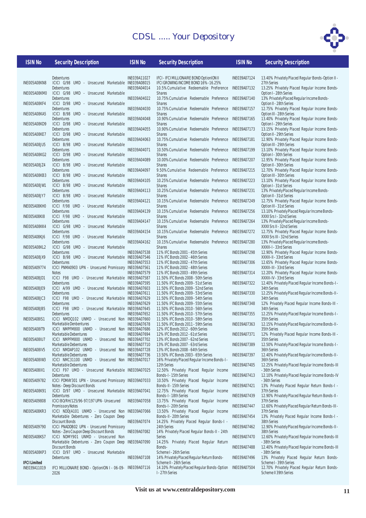

INE005A08KN8

INF005A08KM0

INE005A08KF4

INE005A08KA5

INF005A08KD9

INE005A08KE7

INF005A08JU5

**INE005A08KG2** 

 $INFORMSANGI$ 

INF005A08KB3

INF005A08 IW1

INF005A08JY7

INE005A08KH0

INE005A08KI8

INE005A08KK4

INE005A08KJ6

INF005A08KL2

INE005A08JX9

**INF005A09774** 

INE005A08JD1

INE005A08JE9

INE005A08 IC3

INE005A08JB5

**INF005A08IS1** 

**INFOO5AO8IT9** 

**INE005A08IU7** 

INF005A08IV5

**INFOO5AO8IW3** 

INF005A08IX1

INE005A09782

INF005A08K91

INE005A09808

| <b>ISIN No</b>     | <b>Security Description</b>                                                           | <b>ISIN No</b> | <b>Security Description</b>                                                          | <b>ISIN No</b> | <b>Security Description</b>                                    |
|--------------------|---------------------------------------------------------------------------------------|----------------|--------------------------------------------------------------------------------------|----------------|----------------------------------------------------------------|
|                    | Debentures                                                                            | INE039A11027   | IFCI - IFCI MILLIONAIRE BOND OptionION II                                            | INE039A07124   | 13.40% Privately Placed Regula                                 |
| VE005A08KN8        | ICICI G/98 UMD - Unsecured Marketable INE039A08015                                    |                | IFCI GROWING INCOME BOND 16%-16.25%                                                  |                | 27th Series                                                    |
| VE005A08KM0        | Debentures<br>ICICI G/98 UMD - Unsecured Marketable                                   | INE039A04014   | 10.5% Cumulative Redeemable Preference<br><b>Shares</b>                              | INE039A07132   | 13.25% Privately Placed Regu<br>Option I - 28th Series         |
| VE005A08KF4        | Debentures<br>ICICI D/98 UMD - Unsecured Marketable                                   | INE039A04022   | 10.75% Cumulative Redeemable Preference<br><b>Shares</b>                             | INE039A07140   | 13% Privately Placed Regular In<br>Option II - 28th Series     |
| VE005A08KA5        | Debentures<br>ICICI B/98 UMD - Unsecured Marketable                                   | INE039A04030   | 10.75% Cumulative Redeemable Preference<br><b>Shares</b>                             | INE039A07157   | 12.75% Privately Placed Regu<br>Option III - 28th Series       |
|                    | Debentures<br>ICICI D/98 UMD - Unsecured Marketable                                   | INE039A04048   | 10.90% Cumulative Redeemable Preference<br><b>Shares</b>                             | INE039A07165   | 13.40% Privately Placed Regu<br>Option I - 29th Series         |
| VE005A08KD9        | Debentures                                                                            | INE039A04055   | 10.90% Cumulative Redeemable Preference                                              | INE039A07173   | 13.15% Privately Placed Regu                                   |
| VE005A08KE7        | ICICI D/98 UMD - Unsecured Marketable<br>Debentures                                   | INE039A04063   | <b>Shares</b><br>10.75% Cumulative Redeemable Preference                             | INE039A07181   | Option II - 29th Series<br>12.90% Privately Placed Regu        |
| <b>VE005A08JU5</b> | ICICI B/98 UMD - Unsecured Marketable<br>Debentures                                   | INE039A04071   | <b>Shares</b><br>10.50% Cumulative Redeemable Preference                             | INE039A07199   | Option III - 29th Series<br>13.10% Privately Placed Regu       |
| VE005A08KG2        | ICICI D/98 UMD - Unsecured Marketable<br>Debentures                                   | INE039A04089   | <b>Shares</b><br>10.00%Cumulative Redeemable Preference                              | INE039A07207   | Option I - 30th Series<br>12.95% Privately Placed Regu         |
| VE005A08JZ4        | ICICI B/98 UMD - Unsecured Marketable                                                 |                | <b>Shares</b>                                                                        |                | Option II - 30th Series                                        |
| VE005A08KB3        | Debentures<br>ICICI B/98 UMD - Unsecured Marketable                                   | INE039A04097   | 9.50% Cumulative Redeemable Preference<br><b>Shares</b>                              | INE039A07215   | 12.70% Privately Placed Regu<br>Option III - 30th Series       |
| VE005A08JW1        | Debentures<br>ICICI B/98 UMD - Unsecured Marketable                                   | INE039A04105   | 10.25% Cumulative Redeemable Preference<br><b>Shares</b>                             | INE039A07223   | 13.10% Privately Placed Regu<br>Option I - 31st Series         |
| VE005A08JY7        | Debentures<br>ICICI B/98 UMD - Unsecured Marketable                                   | INE039A04113   | 10.25%Cumulative Redeemable Preference<br><b>Shares</b>                              | INE039A07231   | 13% Privately Placed Regular In<br>Option II - 31st Series     |
|                    | Debentures                                                                            | INE039A04121   | 10.15% Cumulative Redeemable Preference                                              | INE039A07249   | 12.75% Privately Placed Regu                                   |
| VEOO5AO8KHO        | ICICI F/98 UMD - Unsecured Marketable<br>Debentures                                   | INE039A04139   | <b>Shares</b><br>10.15%Cumulative Redeemable Preference                              | INE039A07256   | Option III - 31st Series<br>13.10% Privately Placed Regula     |
| VEOO5AO8KI8        | ICICI F/98 UMD - Unsecured Marketable<br>Debentures                                   | INE039A04147   | <b>Shares</b><br>10.15%Cumulative Redeemable Preference                              | INE039A07264   | XXXII Srs I - 32nd Series<br>13% Privately Placed Regular In   |
| VEOO5AO8KK4        | ICICI G/98 UMD - Unsecured Marketable<br>Debentures                                   | INE039A04154   | <b>Shares</b><br>10.15%Cumulative Redeemable Preference                              | INE039A07272   | XXXII Srs II - 32nd Series<br>12.75% Privately Placed Regu     |
| VEOO5AO8KJ6        | ICICI F/98 UMD - Unsecured Marketable<br>Debentures                                   | INE039A04162   | <b>Shares</b><br>10.15% Cumulative Redeemable Preference                             | INE039A07280   | XXXII Srs III - 32nd Series<br>13% Privately Placed Regular In |
| VE005A08KL2        | ICICI G/98 UMD - Unsecured Marketable                                                 |                | <b>Shares</b>                                                                        |                | XXXIII-I - 33rd Series                                         |
| VE005A08JX9        | Debentures<br>ICICI B/98 UMD - Unsecured Marketable INE039A07546                      | INE039A07538   | 11% IFC Bonds 2001 - 45th Series<br>11% IFC Bonds 2002 - 46th Series                 | INE039A07298   | 12.90% Privately Placed Regu<br>XXXIII-II - 33rd Series        |
| <b>VEOO5A09774</b> | Debentures<br>ICICI PNMA0903 UPN - Unsecured Promissory INE039A07561                  | INE039A07553   | 11% IFC Bonds 2002 - 47th Series<br>11% IFC Bonds 2002 - 48th Series                 | INE039A07306   | 12.65% Privately Placed Regu<br>XXXIII-III - 33rd Series       |
| VE005A08JD1        | <b>Notes</b><br>ICICI F98 UMD - Unsecured Marketable INE039A07587                     | INE039A07579   | 11% IFC Bonds 2003 - 49th Series<br>11.50% IFC Bonds 2008 - 50th Series              | INE039A07314   | 12.20% Privately Placed Regu<br>XXXIII-IV - 33rd Series        |
|                    | Debentures                                                                            | INE039A07595   | 11.50% IFC Bonds 2009 - 51st Series                                                  | INE039A07322   | 12.40% Privately Placed Regula                                 |
| VEOO5A08JE9        | ICICI A/99 UMD - Unsecured Marketable INE039A07603<br>Debentures                      | INE039A07611   | 11.50% IFC Bonds 2009 - 52nd Series<br>11.50% IFC Bonds 2009 - 53rd Series           | INE039A07330   | 34th Series<br>12.25% Privately Placed Regula                  |
| VE005A08JC3        | ICICI F98 UMD - Unsecured Marketable INE039A07629<br>Debentures                       | INE039A07629   | 11.50% IFC Bonds 2009 - 54th Series<br>11.50% IFC Bonds 2009 - 55th Series           | INE039A07348   | 34th Series<br>12% Privately Placed Regular                    |
| VEOO5AO8JB5        | ICICI F98 UMD - Unsecured Marketable INE039A07645<br>Debentures                       | INE039A07652   | 11.50% IFC Bonds 2010 - 56th Series<br>11.50% IFC Bonds 2010 - 57th Series           | INE039A07355   | 34th Series<br>12.25% Privately Placed Regula                  |
| <b>VEOO5AO8IS1</b> | ICICI NMDQ102 UNMD - Unsecured Non INE039A07660<br>Marketable Denbentures             | INE039A07678   | 11.50% IFC Bonds 2010 - 58th Series<br>11.50% IFC Bonds 2011 - 59th Series           | INE039A07363   | 35th Series<br>12.15% Privately Placed Regula                  |
| VE005A08IT9        | ICICI NMPFM800 UNMD - Unsecured Non INE039A07686                                      |                | 12% IFC Bonds 2012 - 60th Series                                                     |                | 35th Series                                                    |
| VE005A08IU7        | Marketable Debentures<br>ICICI NMPFM800 UNMD - Unsecured Non INE039A07702             | INE039A07694   | 12% IFC Bonds 2012 - 61st Series<br>13% IFC Bonds 2007 - 62nd Series                 | INE039A07371   | 12% Privately Placed Regular<br>35th Series                    |
| VE005A08IV5        | Marketable Debentures<br>ICICI NMDAP102 UNMD - Unsecured Non INE039A07728             | INE039A07710   | 13% IFC Bonds 2007 - 63rd Series<br>13% IFC Bonds 2008 - 64th Series                 | INE039A07389   | 12.50% Privately Placed Regula<br>36th Series                  |
| VEOO5AO8IW3        | Marketable Debentures<br>ICICI NMC31100 UNMD - Unsecured Non INE039A07017             | INE039A07736   | 13.50% IFC Bonds 2003 - 65th Series<br>16% Privately Placed Regular Income Bonds-I - | INE039A07397   | 12.40% Privately Placed Regula<br>36th Series                  |
|                    | Marketable Debentures                                                                 |                | 12th Series                                                                          | INE039A07405   | 12.25% Privately Placed Regula                                 |
| VEOO5AO8IX1        | ICICI F97 UMD - Unsecured Marketable INE039A07025<br>Debentures                       |                | 12.50% Privately Placed Regular Income<br>Bonds-I - 15th Series                      | INE039A07413   | - 36th Series<br>12.10% Privately Placed Regula                |
| VE005A09782        | ICICI PDMAY301 UPN - Unsecured Promissory INE039A07033<br>Notes - Deep Discount Bonds |                | 10.50% Privately Placed Regular Income<br>Bonds-II - 15th Series                     | INE039A07421   | - 36th Series<br>13% Privately Placed Regular                  |
| VE005A08K91        | ICICI D/97 UMD - Unsecured Marketable INE039A07041<br>Debentures                      |                | 12.75% Privately Placed Regular Income<br>Bonds-I - 18th Series                      | INE039A07439   | 37th Series<br>12.90% Privately Placed Regula                  |
| <b>VEOO5AO9808</b> | ICICI BO/RH/125/96-97/197 UPN - Unsecured<br><b>Promissory Notes</b>                  | INE039A07058   | 13.75% Privately Placed Regular Income<br>Bonds-I - 20th Series                      | INE039A07447   | 37th Series<br>12.60% Privately Placed Regula                  |
| VEOO5AO8KR3        | ICICI NDDJA101 UNMD - Unsecured Non INE039A07066                                      |                | 13.50% Privately Placed Regular Income                                               |                | 37th Series                                                    |

INE005A08KR3 Marketable Debentures - Zero Coupon Deep Discount Bonds INE005A09790 ICICI PNADDB02 UPN - Unsecured Promissory Notes - Zero Coupon Deep Discount Bonds INE005A08KS7 ICICI NDMY901 UNMD - Unsecured Non Marketable Debentures - Zero Coupon Deep Discount Bonds INE039A07074 INE039A07082 INE039A07090

INE005A08KP3 ICICI D/97 UMD - Unsecured Marketable Debentures **IFCI Limited** INE039A07108

INE039A11019 IFCI MILLIONAIRE BOND - OptionION I - 06-09- INE039A07116 14.10% Privately Placed Regular Bonds-Option 2026

| INE039A11027                 | IFCI - IFCI MILLIONAIRE BOND OptionION II                                  | <b>INE039</b> |
|------------------------------|----------------------------------------------------------------------------|---------------|
| INE039A08015                 | IFCI GROWING INCOME BOND 16%-16.25%                                        |               |
| INE039A04014                 | 10.5% Cumulative Redeemable Preference                                     | <b>INE039</b> |
| INE039A04022                 | <b>Shares</b><br>10.75%Cumulative<br>Redeemable Preference                 | <b>INE039</b> |
|                              | <b>Shares</b>                                                              |               |
| INE039A04030                 | 10.75%Cumulative<br>Redeemable<br>Preference                               | <b>INE039</b> |
|                              | <b>Shares</b>                                                              |               |
| INE039A04048                 | 10.90%Cumulative<br>Redeemable<br>Preference                               | <b>INE039</b> |
| INE039A04055                 | <b>Shares</b><br>10.90% Cumulative Redeemable Preference                   | <b>INE039</b> |
|                              | <b>Shares</b>                                                              |               |
| INE039A04063                 | 10.75%Cumulative<br>Redeemable<br>Preference                               | <b>INE039</b> |
|                              | <b>Shares</b>                                                              |               |
| INE039A04071                 | 10.50%Cumulative<br>Redeemable<br>Preference<br><b>Shares</b>              | <b>INE039</b> |
| INE039A04089                 | 10.00%Cumulative<br>Redeemable<br>Preference                               | <b>INE039</b> |
|                              | <b>Shares</b>                                                              |               |
| INE039A04097                 | 9.50%Cumulative<br>Redeemable<br>Preference                                | <b>INE039</b> |
| INE039A04105                 | <b>Shares</b><br>10.25%Cumulative<br>Redeemable Preference                 | <b>INE039</b> |
|                              | <b>Shares</b>                                                              |               |
| INE039A04113                 | 10.25%Cumulative<br>Preference<br>Redeemable                               | <b>INE039</b> |
| INE039A04121                 | <b>Shares</b><br>Preference                                                |               |
|                              | 10.15%Cumulative<br>Redeemable<br><b>Shares</b>                            | <b>INE039</b> |
| INE039A04139                 | 10.15%Cumulative<br>Redeemable<br>Preference                               | <b>INE039</b> |
|                              | <b>Shares</b>                                                              |               |
| INE039A04147                 | 10.15%Cumulative<br>Redeemable<br>Preference<br><b>Shares</b>              | <b>INF039</b> |
| INE039A04154                 | 10.15%Cumulative<br>Redeemable<br>Preference                               | <b>INE039</b> |
|                              | <b>Shares</b>                                                              |               |
| INE039A04162                 | 10.15% Cumulative Redeemable Preference                                    | <b>INE039</b> |
|                              | <b>Shares</b>                                                              |               |
| INE039A07538<br>INE039A07546 | 11% IFC Bonds 2001 - 45th Series<br>11% IFC Bonds 2002 - 46th Series       | <b>INE039</b> |
| INE039A07553                 | 11% IFC Bonds 2002 - 47th Series                                           | <b>INE039</b> |
| INE039A07561                 | 11% IFC Bonds 2002 - 48th Series                                           |               |
| INE039A07579                 | 11% IFC Bonds 2003 - 49th Series                                           | <b>INE039</b> |
| INE039A07587<br>INE039A07595 | 11.50% IFC Bonds 2008 - 50th Series<br>11.50% IFC Bonds 2009 - 51st Series | <b>INE039</b> |
| INE039A07603                 | 11.50% IFC Bonds 2009 - 52nd Series                                        |               |
| INE039A07611                 | 11.50% IFC Bonds 2009 - 53rd Series                                        | <b>INE039</b> |
| INE039A07629                 | 11.50% IFC Bonds 2009 - 54th Series                                        |               |
| INE039A07629<br>INE039A07645 | 11.50% IFC Bonds 2009 - 55th Series<br>11.50% IFC Bonds 2010 - 56th Series | <b>INE039</b> |
| INE039A07652                 | 11.50% IFC Bonds 2010 - 57th Series                                        | <b>INE039</b> |
| INE039A07660                 | 11.50% IFC Bonds 2010 - 58th Series                                        |               |
| INE039A07678                 | 11.50% IFC Bonds 2011 - 59th Series                                        | <b>INE039</b> |
| INE039A07686                 | 12% IFC Bonds 2012 - 60th Series                                           |               |
| INE039A07694<br>INE039A07702 | 12% IFC Bonds 2012 - 61st Series<br>13% IFC Bonds 2007 - 62nd Series       | <b>INE039</b> |
| INE039A07710                 | 13% IFC Bonds 2007 - 63rd Series                                           | <b>INE039</b> |
| INE039A07728                 | 13% IFC Bonds 2008 - 64th Series                                           |               |
| INE039A07736                 | 13.50% IFC Bonds 2003 - 65th Series                                        | <b>INE039</b> |
| INE039A07017                 | 16% Privately Placed Regular Income Bonds-I -<br>12th Series               | <b>INE039</b> |
| INE039A07025                 | 12.50% Privately Placed<br>Regular Income                                  |               |
|                              | Bonds-I - 15th Series                                                      | <b>INE039</b> |
| INE039A07033                 | 10.50% Privately Placed<br>Regular<br>Income                               |               |
| INE039A07041                 | Bonds-II - 15th Series<br>12.75% Privately Placed<br>Regular Income        | <b>INE039</b> |
|                              | Bonds-I - 18th Series                                                      | <b>INE039</b> |
| INE039A07058                 | 13.75% Privately Placed<br>Regular Income                                  |               |
|                              | Bonds-I - 20th Series                                                      | <b>INE039</b> |
| INE039A07066                 | 13.50% Privately Placed<br>Regular Income<br>Bonds-II - 20th Series        | <b>INE039</b> |
| INE039A07074                 | 14.25% Privately Placed Regular Bonds-I -                                  |               |
|                              | 24th Series                                                                | <b>INE039</b> |
| INE039A07082                 | 14% Privately Placed Regular Bonds-II - 24th                               |               |
| INE039A07090                 | Series<br>14.25% Privately Placed Regular Return                           | <b>INE039</b> |
|                              | Bonds-                                                                     | <b>INE039</b> |
|                              | Scheme I - 26th Series                                                     |               |
| INE039A07108                 | 14% Privately Placed Regular Return Bonds-                                 | <b>INE039</b> |
| INE039A07116                 | Scheme II - 26th Series<br>14.10% Privately Placed Regular Bonds-Option    | <b>INE039</b> |
|                              | I-27th Series                                                              |               |

A07124 13.40% Privately Placed Regular Bonds-Option II -27th Series A07132 13.25% Privately Placed Regular Income Bonds-Option I - 28th Series A07140 13% Privately Placed Regular Income Bonds-Option II - 28th Series A07157 12.75% Privately Placed Regular Income Bonds-Option III - 28th Series A07165 13.40% Privately Placed Regular Income Bonds-Option I - 29th Series A07173 13.15% Privately Placed Regular Income Bonds-Option II - 29th Series A07181 12.90% Privately Placed Regular Income Bonds-Option III - 29th Series A07199 13.10% Privately Placed Regular Income Bonds-Option I - 30th Series A07207 12.95% Privately Placed Regular Income Bonds-Option II - 30th Series A07215 12.70% Privately Placed Regular Income Bonds-Option III - 30th Series A07223 13.10% Privately Placed Regular Income Bonds-Option I - 31st Series A07231 13% Privately Placed Regular Income Bonds-Option II - 31st Series INE039A07249 12.75% Privately Placed Regular Income Bonds-Option III - 31st Series INE039A07256 13.10% Privately Placed Regular Income Bonds-XXXII Srs I - 32nd Series A07264 13% Privately Placed Regular Income Bonds-XXXII Srs II - 32nd Series A07272 12.75% Privately Placed Regular Income Bonds-XXXII Srs III - 32nd Series A07280 13% Privately Placed Regular Income Bonds-XXXIII-I - 33rd Series INE039A07298 12.90% Privately Placed Regular Income Bonds-XXXIII-II - 33rd Series A07306 12.65% Privately Placed Regular Income Bonds-XXXIII-III - 33rd Series A07314 12.20% Privately Placed Regular Income Bonds-XXXIII-IV - 33rd Series A07322 12.40% Privately Placed Regular Income Bonds-I -34th Series A07330 12.25% Privately Placed Regular Income Bonds-II -34th Series A07348 12% Privately Placed Regular Income Bonds-III -34th Series A07355 12.25% Privately Placed Regular Income Bonds-I -35th Series A07363 12.15% Privately Placed Regular Income Bonds-II -35th Series A07371 12% Privately Placed Regular Income Bonds-III -35th Series A07389 12.50% Privately Placed Regular Income Bonds-I -36th Series A07397 12.40% Privately Placed Regular Income Bonds-II -36th Series A07405 12.25% Privately Placed Regular Income Bonds-III - 36th Series A07413 12.10% Privately Placed Regular Income Bonds-IV - 36th Series A07421 13% Privately Placed Regular Return Bonds-I -37th Series A07439 12.90% Privately Placed Regular Return Bonds-II -37th Series A07447 12.60% Privately Placed Regular Return Bonds-III -37th Series A07454 13% Privately Placed Regular Income Bonds-I -38th Series INE039A07462 12.90% Privately Placed Regular Income Bonds-II - 38th Series A07470 12.60% Privately Placed Regular Income Bonds-III - 38th Series A07488 12.40% Privately Placed Regular Income Bonds-III - 38th Series A07496 13% Privately Placed Regular Return Bonds-Scheme I - 39th Series A07504 12.70% Privately Placed Regular Return Bonds-Scheme II 39th Series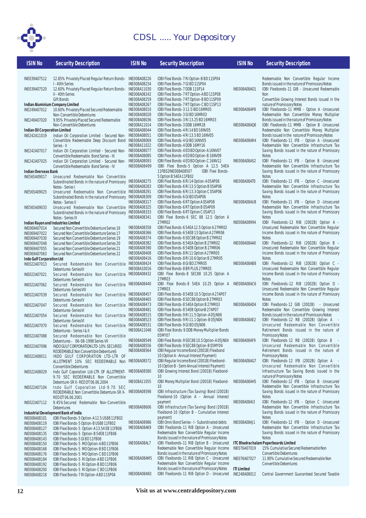

| <b>ISIN No</b>                            | <b>Security Description</b>                                                          | <b>ISIN No</b>                      | <b>Security Description</b>                                                                   | <b>ISIN No</b>     | <b>Security Description</b>                                                                      |
|-------------------------------------------|--------------------------------------------------------------------------------------|-------------------------------------|-----------------------------------------------------------------------------------------------|--------------------|--------------------------------------------------------------------------------------------------|
|                                           |                                                                                      |                                     |                                                                                               |                    |                                                                                                  |
| INE039A07512                              | 12.85% Privately Placed Regular Return Bonds- INE008A08226<br>I - 40th Series        | INE008A08234                        | IDBI Flexi Bonds-7 RI Option-B BD 11SP04<br>IDBI Flexi Bonds-7 GI BD 11SP04                   |                    | Redeemable Non Convertible Regular Income                                                        |
| INE039A07520                              | 12.60% Privately Placed Regular Return Bonds- INE008A11030                           |                                     | IDBI Flexi Bonds-7 DDB 11SP14                                                                 | INE008A08A01       | Bonds issued in the nature of Promissory Notes<br>IDBI Flexibonds-11 GIB - Unsecured Redeemable  |
|                                           | II - 40th Series                                                                     | INE008A08242                        | IDBI Flexi Bonds-7 RT Option-A BD 11SP08                                                      |                    | Non                                                                                              |
|                                           | <b>Gift Bonds</b>                                                                    | INE008A08259                        | IDBI Flexi Bonds-7 RT Option-B BD 11SP09                                                      |                    | Convertible Growing Interest Bonds issued in the                                                 |
|                                           | Indian Aluminium Company Limited                                                     | INE008A08267                        | IDBI Flexi Bonds-7 RT Option-C BD 11SP13                                                      |                    | nature of Promissory Notes                                                                       |
| INE249A07012                              | 10.60% Privately Placed Secured Redeemable                                           | <b>INE008A08010</b>                 | IDBI Flexi Bonds-3 12.5 IBD 16MR05                                                            | INE008A08AP8       | IDBI Flexibonds-11 MMB - Option A -Unsecured                                                     |
|                                           | Non-Convertible Debentures                                                           | <b>INE008A08028</b>                 | IDBI Flexi Bonds-3 GI BD 16MR03                                                               |                    | Redeemable Non Convertible Money Multiplier                                                      |
| INE249A07020                              | 9.95% Privately Placed Secured Redeemable                                            | INE008A08036                        | IDBI Flexi Bonds-3 RI 13.25 BD 16MR03                                                         |                    | Bonds issued in the nature of Promissory Notes                                                   |
| Indian Oil Corporation Limited            | Non-Convertible Debentures                                                           | INE008A11014<br><b>INE008A08044</b> | IDBI Flexi Bonds-3 DDB 16MR28<br>IDBI Flexi Bonds-4 RI 14 BD 16NV05                           | INE008A08AQ6       | IDBI Flexibonds-11 MMB - Option B - Unsecured<br>Redeemable Non Convertible Money Multiplier     |
| INE242A11019                              | Indian Oil Corporation Limited - Secured Non- INE008A08051                           |                                     | IDBI Flexi Bonds-4 RI 13.5 BD 16NV05                                                          |                    | Bonds issued in the nature of Promissory Notes                                                   |
|                                           | Convertible Redeemable Deep Discount Bond INE008A08069                               |                                     | IDBI Flexi Bonds-4 GI BD 16NV05                                                               | INE008A08AR4       | IDBI Flexibonds-11 IFB - Option A -Unsecured                                                     |
|                                           | Series - II                                                                          | INE008A11022                        | IDBI Flexi Bonds-4 DDB 16MY16                                                                 |                    | Redeemable Non Convertible Infrastructure Tax                                                    |
| INE242A07017                              | Indian Oil Corporation Limited - Secured Non- INE008A08077                           |                                     | IDBI Flexi Bonds-4 ED BD Option-A 16NV07                                                      |                    | Saving Bonds issued in the nature of Promissory                                                  |
|                                           | Convertible Redeemable Bond Series - III                                             | <b>INE008A08085</b>                 | IDBI Flexi Bonds-4 ED BD Option-B 16NV09                                                      |                    | <b>Notes</b>                                                                                     |
| INE242A07025                              | Indian Oil Corporation Limited - Secured Non- INE008A08093                           |                                     | IDBI Flexi Bonds-4 ED BD Option-C 16NV12                                                      | INE008A08AS2       | IDBI Flexibonds-11 IFB - Option B - Unsecured                                                    |
| Indian Overseas Bank                      | Convertible Redeemable Bond Series - IV                                              | INE008A08499                        | IDBI Flexi Bonds-5 Option A 12.5 54EA<br><b>IDBI Flexi Bonds-</b><br>11FB02INE008A08507       |                    | Redeemable Non Convertible Infrastructure Tax<br>Saving Bonds issued in the nature of Promissory |
| INE565A09017                              | Unsecured Redeemable Non Convertible                                                 |                                     | 5 Option B 54EA 11FB02                                                                        |                    | <b>Notes</b>                                                                                     |
|                                           | Subordinated Bonds in the nature of Promissory INE008A08275                          |                                     | IDBI Flexi Bonds-6 RI 14 Option-A 05AP06                                                      | INEO08A08AT0       | IDBI Flexibonds-11 IFB - Option C - Unsecured                                                    |
|                                           | Notes - Series I                                                                     | INE008A08283                        | IDBI Flexi Bonds-6 RI 13.5 Option B 05AP06                                                    |                    | Redeemable Non Convertible Infrastructure Tax                                                    |
| INE565A09025                              | Unsecured Redeemable Non Convertible INE008A08291                                    |                                     | IDBI Flexi Bonds-6 RI 13.3 Option C 05AP06                                                    |                    | Saving Bonds issued in the nature of Promissory                                                  |
|                                           | Subordinated Bonds in the nature of Promissory INE008A08309                          |                                     | IDBI Flexi Bonds-6 GI BD 05AP06                                                               |                    | <b>Notes</b>                                                                                     |
|                                           | Notes - Series II                                                                    | INE008A08317                        | IDBI Flexi Bonds-6 RT Option A 05AP08                                                         | INE008A08AU8       | IDBI Flexibonds-11 IFB - Option D -Unsecured                                                     |
| INE565A09033                              | Unsecured Redeemable Non Convertible INE008A08325                                    |                                     | IDBI Flexi Bonds-6 RT Option B 05AP09                                                         |                    | Redeemable Non Convertible Infrastructure Tax                                                    |
|                                           | Subordinated Bonds in the nature of Promissory INE008A08333                          | INE008A08341                        | IDBI Flexi Bonds-6 RT Option C 05AP13<br>IDBI Flexi Bonds-6 SEC 88 12.5 Option A              |                    | Saving Bonds issued in the nature of Promissory<br><b>Notes</b>                                  |
|                                           | Notes - Series III<br>Indian Rayon and Industries Limited                            |                                     | 27MR02                                                                                        | INE008A08994       | IDBI Flexibonds-12 RIB (2002B) Option A -                                                        |
| INE069A07014                              | Secured Non Convertible Debenture Series 16                                          | INE008A08358                        | IDBI Flexi Bonds-654EA12.5 Option A27MR02                                                     |                    | Unsecured Redeemable Non Convertible Regular                                                     |
| INE069A07022                              | Secured Non Convertible Debenture Series 17                                          | <b>INE008A08366</b>                 | IDBI Flexi Bonds-654EB 13 Option A 27MR06                                                     |                    | Income Bonds issued in the nature of Promissory                                                  |
| INE069A07030                              | Secured Non Convertible Debenture Series 19                                          | INE008A08374                        | IDBI Flexi Bonds-6 SEC88 Option B 27MR02                                                      |                    | <b>Notes</b>                                                                                     |
| INE069A07048                              | Secured Non Convertible Debenture Series 20                                          | INE008A08382                        | IDBI Flexi Bonds-654EA Option B 27MR02                                                        | INE008A08AA0       | IDBI Flexibonds-12 RIB (2002B) Option B -                                                        |
| INE069A07055                              | Secured Non Convertible Debenture Series 21                                          | <b>INE008A08390</b>                 | IDBI Flexi Bonds-654EB Option B 27MR06                                                        |                    | Unsecured Redeemable Non Convertible Regular                                                     |
| INE069A07063                              | Secured Non Convertible Debenture Series 22                                          | <b>INE008A08408</b>                 | IDBI Flexi Bonds-8 RI 11 Option A 27MR05                                                      |                    | Income Bonds issued in the nature of Promissory                                                  |
| Indo Gulf Corporation Ltd<br>INE022A07013 | Secured Redeemable Non Convertible INE008A08424                                      | INE008A08416                        | IDBI Flexi Bonds-8 RI 10.6 Option B 27MR05<br>IDBI Flexi Bonds-8 GI BD 27MR05                 | INE008A08AB8       | <b>Notes</b><br>IDBI Flexibonds-12 RIB (2002B) Option C -                                        |
|                                           | Debentures-SeriesIII                                                                 | INE008A10016                        | IDBI Flexi Bonds-8 BR PLUS 27MR05                                                             |                    | Unsecured Redeemable Non Convertible Regular                                                     |
| INE022A07021                              | Secured Redeemable Non Convertible INE008A08432                                      |                                     | IDBI Flexi Bonds-8 SEC88 10.25 Option A                                                       |                    | Income Bonds issued in the nature of Promissory                                                  |
|                                           | Debentures-SeriesIII                                                                 |                                     | 27MR03                                                                                        |                    | <b>Notes</b>                                                                                     |
| INE022A07062                              | Secured Redeemable Non Convertible INE008A08440                                      |                                     | IDBI Flexi Bonds-8 54EA 10.25 Option A                                                        | INEO08A08AC6       | IDBI Flexibonds-12 RIB (2002B) Option D -                                                        |
|                                           | Debentures-SeriesVIII                                                                |                                     | 27MR03                                                                                        |                    | Unsecured Redeemable Non Convertible Regular                                                     |
| INE022A07039                              | Secured Redeemable Non Convertible INE008A08457                                      |                                     | IDBI Flexi Bonds-854EB 10.5 Option A 27AP07                                                   |                    | Income Bonds issued in the nature of Promissory                                                  |
|                                           | Debentures-SeriesIV                                                                  | INE008A08465                        | IDBI Flexi Bonds-8 SEC88 Option B 27MR03<br>IDBI Flexi Bonds-8 54EA Option B 27MR03           | INE008A08AD4       | <b>Notes</b><br>IDBI Flexibonds-12 GIB (2002B) - Unsecured                                       |
| INE022A07047                              | Secured Redeemable Non Convertible INE008A08473<br>Debentures-SeriesVI               | INE008A08481                        | IDBI Flexi Bonds-854EB OptionB 27AP07                                                         |                    | Redeemable Non Convertible Growing Interest                                                      |
| INE022A07054                              | Secured Redeemable Non Convertible INE008A08515                                      |                                     | IDBI Flexi Bonds-9 RI 11.5 Option-A 05JN06                                                    |                    | Bonds issued in the nature of Promissory Notes                                                   |
|                                           | Debentures-SeriesVI                                                                  | INE008A08523                        | IDBI Flexi Bonds-9 RI 11.1 Option-B 05JN06                                                    | INE008A08AE2       | IDBI Flexibonds-12 RB (2002B) Option A                                                           |
| INE022A07070                              | Secured Redeemable Non Convertible INE008A08531                                      |                                     | IDBI Flexi Bonds-9 GI BD 05JN06                                                               |                    | Unsecured Redeemable Non Convertible                                                             |
|                                           | Debentures - Series I & II                                                           | INE008A11048                        | IDBI Flexi Bonds-9 DDB Money Multiplier Bonds                                                 |                    | Retirement Bonds issued in the nature of                                                         |
| INE022A07088                              | Secured Redeemable Non Convertible                                                   |                                     | 05MY07                                                                                        |                    | <b>Promissory Notes</b>                                                                          |
|                                           | Debentures - 06-08-1998 Series VII                                                   | INE008A08549<br><b>INE008A08556</b> | IDBI Flexi Bonds-9 SEC88 10.5 Option-A 05JN04                                                 | INE008A08AF9       | IDBI Flexibonds-12 RB (2002B) Option B<br>$\sim$<br>Unsecured Redeemable Non Convertible         |
| INE022A07096                              | INDO GULF CORPORATION LTD-10% SECURED<br>REDEEMABLE Non Convertible DebentureS       | INE008A08564                        | IDBI Flexi Bonds-9 SEC88 Option-B 05MY04<br>IDBI Regular Income Bond (2001B) Flexibond        |                    | Retirement Bonds issued in the nature of                                                         |
| INE022A08011                              | INDO GULF CORPORATION LTD-LTR OF                                                     |                                     | 10 (Option A - Annual Interest Payment)                                                       |                    | <b>Promissory Notes</b>                                                                          |
|                                           | ALLOTMENT 10% SEC REDEEMABLE Non INE008A08572                                        |                                     | IDBI Regular Income Bond (2001B) Flexibond-                                                   | INE008A08AG7       | IDBI Flexibonds-12 IFB (2002B) Option A -                                                        |
|                                           | Convertible Debentures                                                               |                                     | 10 (Option B - Semi Annual Interest Payment)                                                  |                    | Unsecured Redeemable Non Convertible                                                             |
| INE022A08029                              | Indo Gulf Coporation Ltd-LTR OF ALLOTMENT-                                           | <b>INE008A08580</b>                 | IDBI Growing Interest Bond (2001B) Flexibond-                                                 |                    | Infrastructure Tax Saving Bonds issued in the                                                    |
|                                           | 9.70 SEC REDEEMABLE Non Convertible                                                  |                                     | 10                                                                                            |                    | nature of Promissory Notes                                                                       |
|                                           | Debenture-SR X-RED DT 06.06.2004                                                     | INE008A11055                        | IDBI Money Multiplier Bond (2001B) Flexibond-                                                 | INE008A08AH5       | IDBI Flexibonds-12 IFB - Option B -Unsecured                                                     |
| INE022A07104                              | Indo Gulf Coporation Ltd-9.70 SEC                                                    |                                     | 10<br>IDBI Infrastructure (Tax Saving) Bond (2001B)                                           |                    | Redeemable Non Convertible Infrastructure Tax<br>Saving Bonds issued in the nature of Promissory |
|                                           | REDEEMABLE Non Convertible Debenture-SR X- INE008A08598<br>RED DT 06.06.2001         |                                     | Flexibond-10 (Option A - Annual Interest                                                      |                    | <b>Notes</b>                                                                                     |
| INE022A07112                              | 9.45%Secured Redemable Non-Convertible                                               |                                     | payment                                                                                       | INEO08A08AI3       | IDBI Flexibonds-12 IFB - Option C - Unsecured                                                    |
|                                           | Debentures                                                                           | <b>INE008A08606</b>                 | IDBI Infrastructure (Tax Saving) Bond (2001B)                                                 |                    | Redeemable Non Convertible Infrastructure Tax                                                    |
|                                           | Industrial Development Bank of India                                                 |                                     | Flexibond-10 (Option B - Cumulative Interest                                                  |                    | Saving Bonds issued in the nature of Promissory                                                  |
| INE008A08101                              | IDBI Flexi Bonds-5 Option-A12.5 US88 11FB02                                          |                                     | payment)                                                                                      |                    | <b>Notes</b>                                                                                     |
| INE008A08119                              | IDBI Flexi Bonds-5 Option-B US88 11FB02                                              | <b>INE008A08986</b>                 | IDBI Omni Bond Series - I - Subordinated debts                                                | INE008A08AJ1       | IDBI Flexibonds-12 IFB - Option D -Unsecured                                                     |
| INE008A08127                              | IDBI Flexi Bonds-5 Option-A13.54 EB11FB06                                            | INE008A08AK9                        | IDBI Flexibonds-11 RIB Option A - Unsecured                                                   |                    | Redeemable Non Convertible Infrastructure Tax                                                    |
| INE008A08135                              | IDBI Flexi Bonds-5 Option-B 54EB 11FB06                                              |                                     | Redeemable Non Convertible Regular Income                                                     |                    | Saving Bonds issued in the nature of Promissory<br><b>Notes</b>                                  |
| INE008A08143                              | IDBI Flexi Bonds-5 GI BD 11FB06                                                      | INE008A08AL7                        | Bonds issued in the nature of Promissory Notes<br>IDBI Flexibonds-11 RIB Option B - Unsecured |                    | ITC Bhadrachalam Paperboards Limited                                                             |
| INE008A08150<br>INE008A08168              | IDBI Flexi Bonds-5 MO Option-A BD 11FB06<br>IDBI Flexi Bonds-5 MO Option-B BD 11FB06 |                                     | Redeemable Non Convertible Regular Income                                                     | INE076A07019       | 15% Cumulative Secured Redeemable Non                                                            |
| INE008A08176                              | IDBI Flexi Bonds-5 MO Option-C BD 11FB06                                             |                                     | Bonds issued in the nature of Promissory Notes                                                |                    | <b>Convertible Debentures</b>                                                                    |
| INE008A08184                              | IDBI Flexi Bonds-5 RI Option-A BD 11FB06                                             | INE008A08AM5                        | IDBI Flexibonds-11 RIB Option C - Unsecured                                                   | INE076A07027       | 11.90% Cumulative Secured Redeemable Non                                                         |
| INE008A08192                              | IDBI Flexi Bonds-5 RI Option-B BD 11FB06                                             |                                     | Redeemable Non Convertible Regular Income                                                     |                    | Convertible Debentures                                                                           |
| INE008A08200                              | IDBI Flexi Bonds-5 RI Option-C BD 11FB06                                             |                                     | Bonds issued in the nature of Promissory Notes                                                | <b>ITI Limited</b> |                                                                                                  |
| INE008A08218                              | IDBI Flexi Bonds-7 RI Option-A BD 11SP04                                             | INEO08A08AN3                        | IDBI Flexibonds-11 RIB Option D - Unsecured                                                   | INE248A08012       | Central Government Guaranteed Secured Taxable                                                    |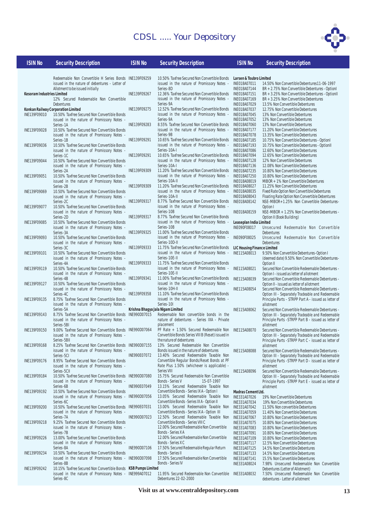issued in the nature of Promissory Notes -



#### **ISIN No Security Description**

Series-8D

| <b>ISIN No</b> | Security Description |
|----------------|----------------------|
|                |                      |

Redeemable Non Convertible H Series Bonds issued in the nature of debentures - Letter of Allotment to be issued initially INE139F09259 10.50% Taxfree Secured Non Convertible Bonds **Larsen & Toubro Limited**

| <b>INF139F</b><br>Kesoram Industries Limited |  |  |                                        |  |  |  |  |
|----------------------------------------------|--|--|----------------------------------------|--|--|--|--|
|                                              |  |  | 12% Secured Redeemable Non Convertible |  |  |  |  |
| <b>Debentures</b>                            |  |  |                                        |  |  |  |  |

#### INE139F09010 10.50% Taxfree Secured Non Convertible Bonds issued in the nature of Promissory Notes Series-1A INE139F09028 10.50% Taxfree Secured Non Convertible Bonds issued in the nature of Promissory Notes Series-1B INE139F09036 10.50% Taxfree Secured Non Convertible Bonds issued in the nature of Promissory Notes - Series-1C INE139F09044 10.50% Taxfree Secured Non Convertible Bonds issued in the nature of Promissory Notes Series-2A INE139F09051 10.50% Taxfree Secured Non Convertible Bonds issued in the nature of Promissory Notes Series-2B INE139F09069 10.50% Taxfree Secured Non Convertible Bonds issued in the nature of Promissory Notes Series-2C INE139F09077 10.50% Taxfree Secured Non Convertible Bonds issued in the nature of Promissory Notes Series-2D INE139F09085 10.50% Taxfree Secured Non Convertible Bonds issued in the nature of Promissory Notes Series-3A INE139F09093 10.50% Taxfree Secured Non Convertible Bonds issued in the nature of Promissory Notes Series-3C INE139F09101 10.50% Taxfree Secured Non Convertible Bonds issued in the nature of Promissory Notes Series-4A INE139F09119 10.50% Taxfree Secured Non Convertible Bonds issued in the nature of Promissory Notes - Series-4B INE139F09127 10.50% Taxfree Secured Non Convertible Bonds issued in the nature of Promissory Notes - Series-4C INE139F09135 8.75% Taxfree Secured Non Convertible Bonds issued in the nature of Promissory Notes Series-5A INE139F09143 8.75% Taxfree Secured Non Convertible Bonds issued in the nature of Promissory Notes -Series-5BI INE139F09150 9.00% Taxfree Secured Non Convertible Bonds **Konkan Railway Corporation Limited**

issued in the nature of Promissory Notes - Series-5BII INE139F09168 8.25% Taxfree Secured Non Convertible Bonds INE990D07155 issued in the nature of Promissory Notes Series-5CI INE139F09176 8.95% Taxfree Secured Non Convertible Bonds issued in the nature of Promissory Notes Series-5CII INE139F09184 10.50% Taxfree Secured Non Convertible Bonds issued in the nature of Promissory Notes Series-6B INE139F09192 10.50% Taxfree Secured Non Convertible Bonds issued in the nature of Promissory Notes - Series-6C INE139F09200 10.50% Taxfree Secured Non Convertible Bonds issued in the nature of Promissory Notes Series-7A INE139F09218 9.25% Taxfree Secured Non Convertible Bonds issued in the nature of Promissory Notes Series-7B INE139F09226 13.00% Taxfree Secured Non Convertible Bonds issued in the nature of Promissory Notes Series-8A INE139F09234 10.50% Taxfree Secured Non Convertible Bonds issued in the nature of Promissory Notes - Series-8B INE139F09242 10.15% Taxfree Secured Non Convertible Bonds **KSB Pumps Limited** issued in the nature of Promissory Notes - INE999A07012 Series-8C INE990D07098 17.50% Secured Redeemable Non Convertible

INE139F09267 12.36% Taxfree Secured Non Convertible Bonds issued in the nature of Promissory Notes - Series-9A INE139F09275 12.52% Taxfree Secured Non Convertible Bonds issued in the nature of Promissory Notes - Series-9A INE139F09283 8.55% Taxfree Secured Non Convertible Bonds issued in the nature of Promissory Notes - Series-9B INE139F09291 10.65% Taxfree Secured Non Convertible Bonds issued in the nature of Promissory Notes - Series-10A-I INE139F09291 10.65% Taxfree Secured Non Convertible Bonds issued in the nature of Promissory Notes - Series-10A-I INE139F09309 11.20% Taxfree Secured Non Convertible Bonds issued in the nature of Promissory Notes - Series-10A-II INE139F09309 11.20% Taxfree Secured Non Convertible Bonds issued in the nature of Promissory Notes - Series-10A-II INE139F09317 8.77% Taxfree Secured Non Convertible Bonds issued in the nature of Promissory Notes Series-10B INE139F09317 8.77% Taxfree Secured Non Convertible Bonds issued in the nature of Promissory Notes - Series-10B INE139F09325 11.00% Taxfree Secured Non Convertible Bonds issued in the nature of Promissory Notes - Series-10D-II INE139F09333 11.75% Taxfree Secured Non Convertible Bonds issued in the nature of Promissory Notes - Series-10E-II INE139F09333 11.75% Taxfree Secured Non Convertible Bonds issued in the nature of Promissory Notes - Series-10E-II INE139F09341 11.00% Taxfree Secured Non Convertible Bonds issued in the nature of Promissory Notes - Series-10H-II INE139F09358 11.10% Taxfree Secured Non Convertible Bonds issued in the nature of Promissory Notes Series-10I Redeemable Non convertible bonds in the nature of debentures - Series IXA - Private placement PF Rate + 1.50% Secured Redeemable Non Convertible Bonds Series VIII B (Reset) issued in the nature of debentures 13% Secured Redeemable Non Convertible Bonds issued in the nature of debentures INE990E07072 13.40% Secured Redeemable Taxable Non Convertible Regular Bonds/Reset Bonds at PF Rate Plus 1.50% (whichever is applicable) Series VIII 15.75% Secured Redeemable Non Convertible<br>Bonds - Series V 15-07-1997 Bonds - Series V INE990E07049 13.15% Secured Redeemable Taxable Non Convertible Bonds - Series IX A - Option I INE990D07056 13.05% Secured Redeemable Taxable Non Convertible Bonds -Series IX A - Option II 13.00% Secured Redeemable Taxable Non Convertible Bonds - Series IX A - Option III INE990D07023 12.50% Secured Redeemable Taxable Non Convertible Bonds - Series VIII C 12.00% Secured Redeemable Non Convertible Bonds - Series X A 12.00% Secured Redeemable Non Convertible Bonds - Series X C INE990D07106 17.50% Secured Redeemable Regular Return **Krishna Bhagya Jala Nigam Limited**

**Leaseplan India Limited LIC Housing Finance Limited Madras Cement Ltd.** INE018A07011 14.50% Non Convertible Debentures11-06-1997 INE018A07144 BR + 2.75% Non Convertible Debentures - OptionI INE018A07151 BR + 3.25% Non Convertible Debentures - OptionII INE018A07169 BR + 3.25% Non Convertible Debentures INE018A07029 13.5% Non Convertible Debentures INE018A07037 12.75% Non Convertible Debentures INE018A07045 13% Non Convertible Debentures<br>INF018A07052 13% Non Convertible Debentures INE018A07052 13% Non Convertible Debentures<br>INE018A07060 13% Non Convertible Debentures INE018A07060 13% Non Convertible Debentures<br>INE018A07177 11.20% Non Convertible Debentu INE018A07177 11.20% Non Convertible Debentures INE018A07078 13.35% Non Convertible Debentures INE018A07185 10.75% Non Convertible Debentures - OptionI INE018A07193 10.75% Non Convertible Debentures - OptionII INE018A07086 12.60% Non Convertible Debentures<br>INE018A07094 12.65% Non Convertible Debentures INE018A07094 12.65% Non Convertible Debentures INE018A07128 12% Non Convertible Debentures<br>INE018A07136 12.08% Non Convertible Debentu INE018A07136 12.08% Non Convertible Debentures<br>INF018A07235 10.80% Non Convertible Debentures INE018A07235 10.80% Non Convertible Debentures<br>INE018A07250 10.80% Non Convertible Debentures INE018A07250 10.80% Non Convertible Debentures<br>INE018A08019 MIBOR + 1% Non Convertible Deben INE018A08019 MIBOR + 1% Non Convertible Debentures INE018A08027 11.25% Non Convertible Debentures INE018A08142 NSE-MIBOR+1.25% Non Convertible Debentures-Option I INE018A08159 NSE-MIBOR + 1.25% Non Convertible Debentures - Option II (Book Building) Unsecured Redeemable Non Convertible Debentures INE090F08025 Unsecured Redeemable Non Convertible Debentures INE115A08013 9.50% Non Convertible Debentures-Option I (deemed date) 9.50% Non Convertible Debentures-Option II INE331A07026 19% Non Convertible Debentures<br>INE331A07034 19% Non Convertible Debentures INE331A07034 19% Non Convertible Debentures<br>INE331A07042 11.50% Non convertible Debentur INE331A07042 11.50% Non convertible Debentures<br>INE331A07059 11.40% Non Convertible Debentures INE331A07059 11.40% Non Convertible Debentures<br>INE331A07067 10.80% Non Convertible Debentures INE331A07067 10.80% Non Convertible Debentures<br>INE331A07075 10.80% Non Convertible Debentures INE331A07075 10.80% Non Convertible Debentures<br>INE331A07083 10.80% Non Convertible Debentures INE331A07083 10.80% Non Convertible Debentures<br>INE331A07091 10.80% Non Convertible Debentures 10.80% Non Convertible Debentures INE331A07109 10.80% Non Convertible Debentures INE331A07117 12.5% Non Convertible Debentures<br>INE331407125 14.5% Non Convertible Debentures INE331A07125 14.5% Non Convertible Debentures<br>INE331407133 14.5% Non Convertible Debentures 14.5% Non Convertible Debentures INE331A07141 15.5% Non Convertible Debentures INE018A08035 Fixed Rate Option Non Convertible Debentures Floating Rate Option Non Convertible Debentures INE115A08021 Secured Non Convertible Redeemable Debentures - Option I - issued as letter of allotment INE115A08039 Secured Non Convertible Redeemable Debentures - Option II - issued as letter of allotment INE115A08054 Secured Non Convertible Redeemable Debentures - Option III - Separately Tradeable and Redeemable Principle Parts - STRPP Part A - issued as letter of allotment INE115A08062 Secured Non Convertible Redeemable Debentures - Option III - Separately Tradeable and Redeemable Principle Parts -STRPP Part B - issued as letter of allotment INE115A08070 Secured Non Convertible Redeemable Debentures - Option III - Separately Tradeable and Redeemable Principle Parts -STRPP Part C - issued as letter of allotment INE115A08088 Secured Non Convertible Redeemable Debentures - Option III - Separately Tradeable and Redeemable Principle Parts -STRPP Part D - issued as letter of allotment INE115A08096 Secured Non Convertible Redeemable Debentures - Option III - Separately Tradeable and Redeemable Principle Parts -STRPP Part E - issued as letter of allotment INE331A08024 7.98% Unsecured Redeemable Non Convertible Debentures (Letter of Allotment)

INE331A08032 7.50% Unsecured Redeemable Non Convertible debentures - Letter of allotment

11.95% Secured Redeemable Non Convertible

Bonds - Series II

Bonds - Series IV

Debentures 22-02-2000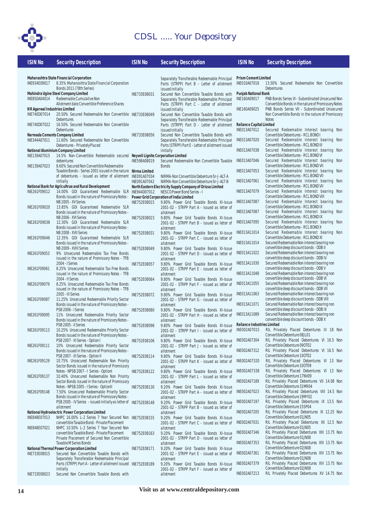

| <b>ISIN No</b>                | <b>Security Description</b>                                                                                | <b>ISIN No</b>      | <b>Security Description</b>                                                                | <b>ISIN No</b>                                     | <b>Security Description</b>                                                               |  |  |  |
|-------------------------------|------------------------------------------------------------------------------------------------------------|---------------------|--------------------------------------------------------------------------------------------|----------------------------------------------------|-------------------------------------------------------------------------------------------|--|--|--|
|                               |                                                                                                            |                     |                                                                                            |                                                    |                                                                                           |  |  |  |
|                               | Maharashtra State Financial Corporation                                                                    |                     | Separately Transferable Redeemable Principal                                               | <b>Prism Cement Limited</b>                        |                                                                                           |  |  |  |
| INE934E09017                  | 8.35% Maharashtra State Financial Corporation                                                              |                     | Parts (STRPP) Part B - Letter of allotment                                                 | INE010A07018                                       | 13.50% Secured Redeemable Non Convertible                                                 |  |  |  |
|                               | Bonds 2011 (78th Series)                                                                                   |                     | issued initially                                                                           |                                                    | <b>Debentures</b>                                                                         |  |  |  |
| INE850A04014                  | Mahindra Ugine Steel Company Limited<br>Redeemable Cumulative Non                                          | INE733E08031        | Secured Non Convertible Taxable Bonds with<br>Separately Transferable Redeemable Principal | <b>Punjab National Bank</b><br>INE160A09017        | PNB Bonds Series VI - Subordinated Unsecured Non                                          |  |  |  |
|                               | Allotment date Convertible Preference Shares                                                               |                     | Parts (STRPP) Part C - Letter of allotment                                                 |                                                    | Convertible Bonds in the nature of Promissory Notes                                       |  |  |  |
| NR Agarwal Industries Limited |                                                                                                            |                     | issued initially                                                                           | INE160A09025                                       | PNB Bonds Series VII - Subordinated Unsecured                                             |  |  |  |
| INE740D07014                  | 20.50% Secured Redeemable Non Convertible INE733E08049                                                     |                     | Secured Non Convertible Taxable Bonds with                                                 |                                                    | Non Convertible Bonds in the nature of Promissory                                         |  |  |  |
|                               | Debentures                                                                                                 |                     | Separately Transferable Redeemable Principal                                               |                                                    | <b>Notes</b>                                                                              |  |  |  |
| INE740D07022                  | 16.50% Secured Redeemable Non Convertible<br><b>Debentures</b>                                             |                     | Parts (STRPP) Part D - Letter of allotment<br>issued initially                             | <b>Reliance Capital Limited</b><br>INE013A07012    | Secured Redeemable Interest bearing Non                                                   |  |  |  |
|                               | Narmada Cements Company Limited                                                                            | INE733E08056        | Secured Non Convertible Taxable Bonds with                                                 |                                                    | Convertible Debentures - RCL BOND I                                                       |  |  |  |
| INE344A07011                  | 11.60% Secured Redeemable Non Convertible                                                                  |                     | Separately Transferable Redeemable Principal                                               | INE013A07020                                       | Secured Redeemable Interest bearing Non                                                   |  |  |  |
|                               | Debentures - Privately Placed                                                                              |                     | Parts (STRPP) Part E - Letter of allotment issued                                          |                                                    | Convertible Debentures - RCL BOND III                                                     |  |  |  |
|                               | National Aluminium Company Limited                                                                         |                     | initially                                                                                  | INE013A07038                                       | Secured Redeemable Interest bearing Non<br>Convertible Debentures - RCL BOND VI           |  |  |  |
| INE139A07015                  | 14.5% Non-Convertible Redeemable secured Neyveli Lignite Corporation Limited<br>debentures                 | INE598A08019        | Secured Redeemable Non Convertible Taxable                                                 | INE013A07046                                       | Secured Redeemable Interest bearing Non                                                   |  |  |  |
| INE139A07023                  | 8.60% Secured Non Convertible Redeemable                                                                   |                     | <b>Bonds</b>                                                                               |                                                    | Convertible Debentures - RCL BOND VII                                                     |  |  |  |
|                               | Taxable Bonds - Series 2001 issued in the nature Nirma Limited                                             |                     |                                                                                            | INE013A07053                                       | Secured Redeemable Interest bearing Non                                                   |  |  |  |
|                               | of debentures - issued as letter of allotment INE091A07034                                                 |                     | NIRMA-Non Convertible Debenture Sr-J-ALT-A                                                 |                                                    | Convertible Debentures - RCL BOND VII                                                     |  |  |  |
|                               | initially<br>National Bank for Agricultrue and Rural Development                                           | INE091A07042        | NIRMA-Non Convertible Debenture Sr-J-ALT-B                                                 | INE013A07061                                       | Secured Redeemable Interest bearing Non<br>Convertible Debentures - RCL BOND VII          |  |  |  |
| INE261F09012                  | 14.00% GOI Guaranteed Redeemable SLR INE944D07012                                                          |                     | North Eastern Electricity Supply Company of Orissa Limited<br>NESCO Power Bond Series - I  | INE013A07079                                       | Secured Redeemable Interest bearing Non                                                   |  |  |  |
|                               | Bonds issued in the nature of Promissory Notes - Power Grid Corporation of India Limited                   |                     |                                                                                            |                                                    | Convertible Debentures - RCL BOND VIII                                                    |  |  |  |
|                               | NB 2005 - XV Series                                                                                        | INF752F08015        | 9.80% Power Grid Taxable Bonds XI-Issue                                                    | INE013A07087                                       | Secured Redeemable Interest bearing Non                                                   |  |  |  |
| INE261F09020                  | 13.85% GOI Guaranteed Redeemable SLR                                                                       |                     | 2001-02 - STRPP Part A - issued as letter of                                               |                                                    | Convertible Debentures - RCL BOND IX                                                      |  |  |  |
|                               | Bonds issued in the nature of Promissory Notes -<br>NB 2006 - XVI Series                                   | INE752E08023        | allotment<br>9.80% Power Grid Taxable Bonds XI-Issue                                       | INE013A07087                                       | Secured Redeemable Interest bearing Non<br>Convertible Debentures - RCL BOND IX           |  |  |  |
| INE261F09038                  | 12.30% GOI Guaranteed Redeemable SLR                                                                       |                     | 2001-02 - STRPP Part B - issued as letter of                                               | INE013A07095                                       | Secured Redeemable Interest bearing Non                                                   |  |  |  |
|                               | Bonds issued in the nature of Promissory Notes -                                                           |                     | allotment                                                                                  |                                                    | Convertible Debentures - RCL BOND X                                                       |  |  |  |
|                               | NB 2008 - XVII Series                                                                                      | INE752E08031        | 9.80% Power Grid Taxable Bonds XI-Issue                                                    | INE013A11014                                       | Secured Redeemable Interest bearing Non                                                   |  |  |  |
| INE261F09046                  | 12.35% GOI Guaranteed Redeemable SLR                                                                       |                     | 2001-02 - STRPP Part C - issued as letter of                                               | INE013A11014                                       | Convertible Debentures - RCL BOND XI<br>Secured Redeemable Non interest bearing non       |  |  |  |
|                               | Bonds issued in the nature of Promissory Notes -<br>NB 2009 - XVIII Series                                 | INE752E08049        | allotment<br>9.80% Power Grid Taxable Bonds XI-Issue                                       |                                                    | convertible deep discount bonds - DDB II                                                  |  |  |  |
| INE261F09053                  | 9% Unsecured Redeemable Tax Free Bonds                                                                     |                     | 2001-02 - STRPP Part D - issued as letter of                                               | INE013A11022                                       | Secured Redeemable Non interest bearing non                                               |  |  |  |
|                               | issued in the nature of Promissory Notes - TFB                                                             |                     | allotment                                                                                  |                                                    | convertible deep discount bonds - DDB IV                                                  |  |  |  |
|                               | 2004 - I Series                                                                                            | INE752E08057        | 9.80% Power Grid Taxable Bonds XI-Issue                                                    | INE013A11030                                       | Secured Redeemable Non interest bearing non                                               |  |  |  |
| INE261F09061                  | 8.25% Unsecured Redeemable Tax Free Bonds                                                                  |                     | 2001-02 - STRPP Part E - issued as letter of                                               | INE013A11048                                       | convertible deep discount bonds - DDB V<br>Secured Redeemable Non interest bearing non    |  |  |  |
|                               | issued in the nature of Promissory Notes - TFB<br>2004 - Il Series                                         | INE752E08064        | allotment<br>9.80% Power Grid Taxable Bonds XI-Issue                                       |                                                    | convertible deep discount bonds - DDB VI                                                  |  |  |  |
| INE261F09079                  | 8.25% Unsecured Redeemable Tax Free Bonds                                                                  |                     | 2001-02 - STRPP Part F - issued as letter of                                               | INE013A11055                                       | Secured Redeemable Non interest bearing non                                               |  |  |  |
|                               | issued in the nature of Promissory Notes - TFB                                                             |                     | allotment                                                                                  |                                                    | convertible deep discount bonds - DDB VII                                                 |  |  |  |
|                               | 2005 - III Series                                                                                          | INE752E08072        | 9.80% Power Grid Taxable Bonds XI-Issue                                                    | INE013A11063                                       | Secured Redeemable Non interest bearing non                                               |  |  |  |
| INE261F09087                  | 11.25% Unsecured Redeemable Priority Sector<br>Bonds issued in the nature of Promissory Notes -            |                     | 2001-02 - STRPP Part G - issued as letter of<br>allotment                                  | INE013A11071                                       | convertible deep discount bonds - DDB VIII<br>Secured Redeemable Non interest bearing non |  |  |  |
|                               | PSB 2006 - I Series                                                                                        | <b>INE752E08080</b> | 9.80% Power Grid Taxable Bonds XI-Issue                                                    |                                                    | convertible deep discount bonds - DDB IX                                                  |  |  |  |
| INE261F09095                  | 11% Unsecured Redeemable Priority Sector                                                                   |                     | 2001-02 - STRPP Part H - issued as letter of                                               | INE013A11089                                       | Secured Redeemable Non interest bearing non                                               |  |  |  |
|                               | Bonds issued in the nature of Promissory Notes -                                                           |                     | allotment                                                                                  |                                                    | convertible deep discount bonds - DDB X                                                   |  |  |  |
| INE261F09113                  | PSB 2005 - Il Series                                                                                       | INE752E08098        | 9.80% Power Grid Taxable Bonds XI-Issue                                                    | <b>Reliance Industries Limited</b><br>INE002A07015 | RIL Privately Placed Debentures III 18 Non                                                |  |  |  |
|                               | 10.25% Unsecured Redeemable Priority Sector<br>Bonds issued in the nature of Promissory Notes -            |                     | 2001-02 - STRPP Part I - issued as letter of<br>allotment                                  |                                                    | Convertible Debenture 08JL01                                                              |  |  |  |
|                               | PSB 2007 - III Series - Option I                                                                           | INE752E08106        | 9.80% Power Grid Taxable Bonds XI-Issue                                                    | INE002A07304                                       | RIL Privately Placed Debentures VI 16.5 Non                                               |  |  |  |
| INE261F09111                  | 10% Unsecured Redeemable Priority Sector                                                                   |                     | 2001-02 - STRPP Part J - issued as letter of                                               |                                                    | Convertible Debenture 090T02                                                              |  |  |  |
|                               | Bonds issued in the nature of Promissory Notes -                                                           |                     | allotment                                                                                  | INE002A07312                                       | RIL Privately Placed Debentures VI 16.5 Non                                               |  |  |  |
| INE261F09129                  | PSB 2007 - III Series - Option II<br>10.75% Unsecured Redeemable Non Priority                              | INE752E08114        | 9.80% Power Grid Taxable Bonds XI-Issue<br>2001-02 - STRPP Part K - issued as letter of    | INE002A07320                                       | Convertible Debenture 100T02<br>RIL Privately Placed Debentures VI 13 Non                 |  |  |  |
|                               | Sector Bonds issued in the nature of Promissory                                                            |                     | allotment                                                                                  |                                                    | Convertible Debenture 100T09                                                              |  |  |  |
|                               | Notes - NPSB 2007 - I Series - Optionl                                                                     | INE752E08122        | 9.80% Power Grid Taxable Bonds XI-Issue                                                    | INE002A07338                                       | RIL Privately Placed Debentures VI 13 Non                                                 |  |  |  |
| INE261F09137                  | 10.40% Unsecured Redeemable Non Priority                                                                   |                     | 2001-02 - STRPP Part L - issued as letter of                                               |                                                    | Convertible Debenture 17NV09                                                              |  |  |  |
|                               | Sector Bonds issued in the nature of Promissory<br>Notes - NPSB 2005 - I Series - OptionII                 |                     | allotment                                                                                  | INE002A07189                                       | RIL Privately Placed Debentures VII 14.08 Non<br>Convertible Debenture 31MR04             |  |  |  |
| INE261F09148                  | 7.50% Unsecured Redeemable Priority Sector                                                                 | INE752E08130        | 9.20% Power Grid Taxable Bonds XI-Issue<br>2001-02 - STRPP Part A - issued as letter of    | INE002A07023                                       | RIL Privately Placed Debentures VIII 14.5 Non                                             |  |  |  |
|                               | Bonds issued in the nature of Promissory Notes -                                                           |                     | allotment                                                                                  |                                                    | Convertible Debenture 19MY02                                                              |  |  |  |
|                               | PSB 2005 - IV Series - issued initially as letter of INE752E08148                                          |                     | 9.20% Power Grid Taxable Bonds XI-Issue                                                    | INE002A07197                                       | RIL Privately Placed Debentures IX 13.5 Non                                               |  |  |  |
|                               | allotment                                                                                                  |                     | 2001-02 - STRPP Part B - issued as letter of                                               |                                                    | Convertible Debenture 15SP04                                                              |  |  |  |
| INE848E07013                  | National Hydroelectric Power Corporation Limited<br>NHPC 16.00% L-2 Series 7 Year Secured Non INE752E08155 |                     | allotment<br>9.20% Power Grid Taxable Bonds XI-Issue                                       | INE002A07205                                       | RIL Privately Placed Debentures XI 12.25 Non<br>Convertible Debenture 01JN05              |  |  |  |
|                               | convertible Taxable Bond - Private Placement                                                               |                     | 2001-02 - STRPP Part C - issued as letter of                                               | INE002A07031                                       | RIL Privately Placed Debentures XII 12.5 Non                                              |  |  |  |
| INE848E07021                  | NHPC 10.50% L-2 Series 7 Year Secured Non                                                                  |                     | allotment                                                                                  |                                                    | Convertible Debenture 01JN05                                                              |  |  |  |
|                               | convertible Taxable Bond - Private Placement                                                               | INE752E08163        | 9.20% Power Grid Taxable Bonds XI-Issue                                                    | INE002A07346                                       | RIL Privately Placed Debentures XIII 13.75 Non                                            |  |  |  |
|                               | Private Placement of Secured Non Convertible                                                               |                     | 2001-02 - STRPP Part D - issued as letter of                                               | INE002A07353                                       | Convertible Debenture 01JN08<br>RIL Privately Placed Debentures XIII 13.75 Non            |  |  |  |
|                               | Taxable M Series Bonds<br>National Thermal Power Corporation Limited                                       | INE752E08171        | allotment<br>9.20% Power Grid Taxable Bonds XI-Issue                                       |                                                    | Convertible Debenture 02JN08                                                              |  |  |  |
| INE733E08015                  | Secured Non Convertible Taxable Bonds with                                                                 |                     | 2001-02 - STRPP Part E - issued as letter of                                               | INE002A07361                                       | RIL Privately Placed Debentures XIV 13.75 Non                                             |  |  |  |
|                               | Separately Transferable Redeemable Principal                                                               |                     | allotment                                                                                  |                                                    | Convertible Debenture 01JN08                                                              |  |  |  |
|                               | Parts (STRPP) Part A - Letter of allotment issued INE752E08189                                             |                     | 9.20% Power Grid Taxable Bonds XI-Issue                                                    | INE002A07379                                       | RIL Privately Placed Debentures XIV 13.75 Non                                             |  |  |  |
| INE733E08023                  | initially<br>Secured Non Convertible Taxable Bonds with                                                    |                     | 2001-02 - STRPP Part F - issued as letter of<br>allotment                                  | INE002A07213                                       | Convertible Debenture 02JN08<br>RIL Privately Placed Debentures XV 14.75 Non              |  |  |  |
|                               |                                                                                                            |                     |                                                                                            |                                                    |                                                                                           |  |  |  |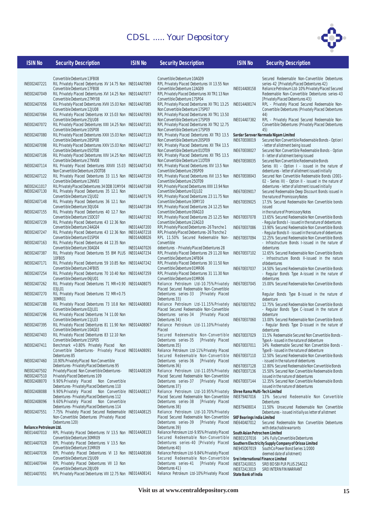

| <b>ISIN No</b>               | <b>Security Description</b>                                                                         | <b>ISIN No</b> | <b>Security Description</b>                                                                  | <b>ISIN No</b>                     | <b>Security Description</b>                                                                                 |
|------------------------------|-----------------------------------------------------------------------------------------------------|----------------|----------------------------------------------------------------------------------------------|------------------------------------|-------------------------------------------------------------------------------------------------------------|
|                              |                                                                                                     |                |                                                                                              |                                    |                                                                                                             |
|                              | Convertible Debenture 13FB08                                                                        |                | Convertible Debenture 10AG09                                                                 |                                    | Secured Redeemable Non-Convertible Debentures                                                               |
| INE002A07221                 | RIL Privately Placed Debentures XV 14.75 Non INE014A07069<br>Convertible Debenture 17FB08           |                | RPL Privately Placed Debentures IX 13.55 Non<br>Convertible Debenture 12AG09                 | INE014A08158                       | series-42 [Privately Placed Debentures 42]<br>Reliance Petroleum Ltd-10% Privately Placed Secured           |
| INE002A07049                 | RIL Privately Placed Debentures XVI 14.25 Non INE014A07077                                          |                | RPL Privately Placed Debentures XII TR1 13 Non                                               |                                    | Redeemable Non-Convertible Debentures series-43                                                             |
| INE002A07056                 | Convertible Debenture 27MY08<br>RIL Privately Placed Debentures XVIII 15.03 Non INE014A07085        |                | Convertible Debenture 17SP04<br>RPL Privately Placed Debentures XII TR1 13.25                | INE014A08174                       | [Privately Placed Debentures 43]<br>RPL - Privately Placed Secured Redeemable Non-                          |
|                              | Convertible Debenture 12JU08                                                                        |                | Non Convertible Debenture 17SP07                                                             |                                    | Convertible Debentures (Privately Placed Debentures                                                         |
| INE002A07064                 | RIL Privately Placed Debentures XX 15.03 Non INE014A07093<br>Convertible Debenture 25JU08           |                | RPL Privately Placed Debentures XII TR1 13.50<br>Non Convertible Debenture 17SP09            | INE014A07382                       | 44)<br>RPL - Privately Placed Secured Redeemable Non-                                                       |
| INE002A07072                 | RIL Privately Placed Debentures XXII 14.25 Non INE014A07101                                         |                | RPL Privately Placed Debentures XII TR2 12.75                                                |                                    | <b>Convertible Debentures (Privately Placed Debentures</b>                                                  |
| INE002A07080                 | Convertible Debenture 10SP08<br>RIL Privately Placed Debentures XXIII 15.03 Non INE014A07119        |                | Non Convertible Debenture 17SP09<br>RPL Privately Placed Debentures XII TR3 13.5             |                                    | 45)<br>Sardar Sarovar Narmada Nigam Limited                                                                 |
|                              | Convertible Debenture 28SP08                                                                        |                | Non Convertible Debenture 20SP09                                                             | INE670E08019                       | Secured Non Convertible Redeemable Bonds - Option I                                                         |
| INE002A07098                 | RIL Privately Placed Debentures XXIV 15.03 Non INE014A07127<br>Convertible Debenture 050T08         |                | RPL Privately Placed Debentures XII TR4 13.5<br>Non Convertible Debenture 010T09             | INE670E08027                       | - letter of allotment being issued<br>Secured Non Convertible Redeemable Bonds - Option                     |
| INE002A07106                 | RIL Privately Placed Debentures XXV 14.25 Non INE014A07135                                          |                | RPL Privately Placed Debentures XII TR5 13.5                                                 |                                    | II - letter of allotment being issued                                                                       |
| INE002A07114                 | Convertible Debenture 27NV08<br>RIL Privately Placed Debentures XXVIII 15.03 INE014A07143           |                | Non Convertible Debenture 110T09<br>RPL Privately Placed Debentures XIV 13.5 Non             | INE670E08035                       | Secured Non Convertible Redeemable Bonds<br>Series III) - Option I - issued in the nature of                |
|                              | Non Convertible Debenture 200T08                                                                    |                | Convertible Debenture 29SP09                                                                 |                                    | debentures - letter of allotment issued initially                                                           |
| INE002A07122                 | RIL Privately Placed Debentures 33 11.5 Non INE014A07150<br>Convertible Debenture 12NV03            |                | RPL Privately Placed Debentures XVI 13.5 Non<br>Convertible Debenture 250T09                 | INE670E08043                       | Secured Non Convertible Redeemable Bonds (2001-                                                             |
| INE002A11017                 | RIL Privately Placed Debentures 34 DDB 31MY04 INE014A07168                                          |                | RPL Privately Placed Debentures XXII 13.94 Non                                               |                                    | 02 - Series III) - Option II - issued in the nature of<br>debentures - letter of allotment issued initially |
| INE002A07130                 | RIL Privately Placed Debentures 35 12.1 Non                                                         |                | Convertible Debenture 01JL02                                                                 | INE670E09017                       | Secured Redeemable Deep Discount Bonds issued in                                                            |
| INE002A07148                 | Convertible Debenture 15JU02<br>RIL Privately Placed Debentures 36 12.1 Non                         | INE014A07176   | RPL Privately Placed Debentures 23 11.75 Non<br>Convertible Debenture 30MY10                 | INE670E09025                       | the nature of Promissory Notes<br>17.5% Secured Redeemable Non Convertible bonds                            |
|                              | Convertible Debenture 30JU04                                                                        | INE014A07184   | RPL Privately Placed Debentures 24 12.25 Non                                                 |                                    | issued                                                                                                      |
| INE002A07155                 | RIL Privately Placed Debentures 40 12.7 Non<br>Convertible Debenture 15DC07                         | INE014A07192   | Convertible Debenture 09AG10<br>RPL Privately Placed Debentures 25 12.25 Non                 | INE670E07078                       | in the nature of Promissory Notes<br>13.65% Secured Redeemable Non Convertible Bonds                        |
| INE002A07239                 | RIL Privately Placed Debentures 43 12.36 Non                                                        |                | Convertible Debenture 22AG10                                                                 |                                    | - Regular Bonds I - issued in the nature of debentures                                                      |
| INE002A07247                 | Convertible Debenture 24AG04<br>RIL Privately Placed Debentures 43 12.36 Non INE014A07218           | INE014A07200   | RPL Privately Placed Debentures-26 Tranche 1<br>RPL Privately Placed Debentures-26 Tranche 2 | INE670E07086                       | 13.90% Secured Redeemable Non Convertible Bonds<br>- Regular Bonds II - issued in the nature of debentures  |
|                              | Convertible Debenture 01SP04                                                                        | INE014A08026   | RPL 11.50% Secured Redeemable Non-                                                           | INE670E07094                       | 12.25% Secured Redeemable Non Convertible Bonds                                                             |
| INE002A07163                 | RIL Privately Placed Debentures 44 12.35 Non<br>Convertible Debenture 30AG04                        | INE014A07026   | Convertible<br>debentures - Privately Placed Debentures 28                                   |                                    | - Infrastructure Bonds I-issued in the nature of<br>debentures                                              |
| INE002A07387                 | RIL Privately Placed Debentures 55 BM PLUS INE014A07234                                             |                | RPL Privately Placed Debentures 29 11.20 Non INE670E07102                                    |                                    | 12.65% Secured Redeemable Non Convertible Bonds                                                             |
| INE002A07171                 | 10FB05<br>RIL Privately Placed Debentures 59 10.85 Non INE014A07242                                 |                | Convertible Debenture 24FB04<br>RPL Privately Placed Debentures 30 11.50 Non                 |                                    | - Infrastructure Bonds II-issued in the nature<br>ofdebentures                                              |
|                              | Convertible Debenture 24FB05                                                                        |                | Convertible Debenture 01MR06                                                                 | INE670E07037                       | 14.50% Secured Redeemable Non Convertible Bonds                                                             |
| INE002A07254                 | RIL Privately Placed Debentures 70 10.40 Non INE014A07259<br>Convertible Debenture 06JU01           |                | RPL Privately Placed Debentures 31 11.30 Non<br>Convertible Debenture 01MR06                 |                                    | - Regular Bonds Type A-issued in the nature of<br>debentures                                                |
| INE002A07262                 | RIL Privately Placed Debentures 71 MR+0.90 INE014A08075                                             |                | Reliance Petroleum Ltd-10.75% Privately                                                      | INE670E07045                       | 15.00% Secured Redeemable Non Convertible Bonds                                                             |
|                              | 03JL01                                                                                              |                | Placed Secured Redeemable Non-Convertible                                                    |                                    |                                                                                                             |
| INE002A07270                 | RIL Privately Placed Debentures 72 MR+0.75<br>30MR01                                                |                | Debentures series-33<br>[Privately Placed<br>Debentures 33}                                  |                                    | Regular Bonds Type B-issued in the nature of<br>debenture                                                   |
| INE002A07288                 | RIL Privately Placed Debentures 73 10.8 Non INE014A08083                                            |                | Reliance Petroleum Ltd-11.15% Privately                                                      | INE670E07052                       | 12.75% Secured Redeemable Non Convertible Bonds                                                             |
| INE002A07296                 | Convertible Debenture 02JL01<br>RIL Privately Placed Debentures 74 11.00 Non                        |                | Placed Secured Redeemable Non-Convertible<br>Debentures series-34<br>[Privately Placed       |                                    | - Regular Bonds Type C-issued in the nature of<br>debenture                                                 |
|                              | Convertible Debenture 11JL03                                                                        |                | Debentures 34}                                                                               | INE670E07060                       | 13.00% Secured Redeemable Non Convertible Bonds                                                             |
| INE002A07395                 | RIL Privately Placed Debentures 81 11.90 Non INE014A08067<br>Convertible Debenture 10AG03           |                | Reliance Petroleum Ltd-11.10%Privately<br>Placed                                             |                                    | - Regular Bonds Type D-issued in the nature of<br>debentures                                                |
| INE002A07403                 | RIL Privately Placed Debentures 83 12.10 Non                                                        |                | Secured Redeemable Non-Convertible                                                           | INE670E07029                       | 11.5% Redeemable Secured Non Convertible Bonds -                                                            |
| INE002A07411                 | Convertible Debenture 15SP05<br>Benchmark +0.80% Privately Placed Non                               |                | Debentures series-35<br>[Privately Placed<br>Debentures 35}                                  | INE670E07011                       | Type A - issued in the nature of debenture<br>14% Redeemable Secured Non Convertible Bonds -                |
|                              | Convertible Debentures- Privately Placed INE014A08091                                               |                | Reliance Petroleum Ltd-11%Privately Placed                                                   |                                    | Type B - issued in the nature of debenture                                                                  |
| INE002A07460                 | Debentures 85<br>10.90% Privately Placed Non Convertible                                            |                | Secured Redeemable Non-Convertible<br>Debentures series-36<br>[Privately Placed              | INE670E07110                       | 12.50% Secured Redeemable Non Convertible Bonds<br>- issued in the nature of debentures                     |
|                              | Debentures-Privately Placed Debentures 95                                                           |                | Debentures 36}                                                                               | INE670E07128                       | 12.80% Secured Redeemable Non Convertible Bonds                                                             |
| INE002A07502<br>INE002A07510 | Privately Placed Non Convertible Debentures-<br>Privately Placed Debentures 109                     | INE014A08109   | Reliance Petroleum Ltd-11.05%Privately<br>Placed Secured Redeemable Non-Convertible          | INE670E07136                       | 15.50% Secured Non Convertible Redeemable Bonds<br>issued in the nature of debentures                       |
| INE002A08070                 | 9.90%Privately Placed<br>Non Convertible                                                            |                | Debentures series-37<br>[Privately Placed                                                    | INE670E07144                       | 12.35% Secured Non Convertible Redeemable Bonds                                                             |
| INE002A08088                 | Debentures-Privately Placed Debentures 110<br>9.90%Privately Placed<br>Non Convertible INE014A08117 |                | Debentures 37}<br>Reliance Petroleum Ltd-10.95%Privately                                     | Shree Rama Multi-Tech Limited      | issued in the nature of debentures                                                                          |
|                              | Debentures-Privately Placed Debentures 112                                                          |                | Placed Secured Redeemable Non-Convertible                                                    | INE879A07016                       | 13% Secured Redeemable Non Convertible                                                                      |
| INE002A08096                 | 9.60%Privately Placed<br>Non Convertible<br>Debentures-Privately Placed Debentures 114              |                | Debentures series-38<br>[Privately Placed<br>Debentures 38}                                  |                                    | Debentures<br>11.50% Unsecured Redeemable Non Convertible                                                   |
| INE002A07551                 | 7.75% Privately Placed Secured Redeemable INE014A08125                                              |                | Reliance Petroleum Ltd-10.70%Privately                                                       | INE879A08014                       | Debentures - issued initially as letter of allotment                                                        |
|                              | Non-Convertible Debentures (Privately Placed                                                        |                | Placed Secured Redeemable Non-Convertible                                                    | <b>SKF Bearings India Limited</b>  |                                                                                                             |
| Reliance Petroleum Ltd.      | Debentures 120)                                                                                     |                | Debentures series-39<br>[Privately Placed<br>Debentures 39}                                  | INE640A07012                       | Secured Redeemable Non Convertible Debentures<br>with detachable warrants                                   |
| INE014A07010                 | RPL Privately Placed Debentures IV 13.5 Non INE014A08133                                            |                | Reliance Petroleum Ltd-9.95% Privately Placed                                                | South Asian Petrochem Limited      |                                                                                                             |
| INE014A07028                 | Convertible Debenture 30MR09<br>RPL Privately Placed Debentures V 13.5 Non                          |                | Secured Redeemable Non-Convertible<br>Debentures series-40 [Privately Placed                 | INE801C07016                       | 14% Fully Convertible Debentures<br>Southern Electricity Supply Company of Orissa Limited                   |
|                              | Convertible Debenture 31MR09                                                                        |                | Debentures 40}                                                                               | INE945D07019                       | SouthCo Power Bond Series 1/2000                                                                            |
| INE014A07036                 | RPL Privately Placed Debentures VI 13 Non INE014A08166<br>Convertible Debenture 15JU09              |                | Reliance Petroleum Ltd-9.84% Privately Placed<br>Secured Redeemable Non-Convertible          | Srei International Finance Limited | deemed date of allotment)                                                                                   |
| INE014A07044                 | RPL Privately Placed Debentures VII 13 Non                                                          |                | Debentures series-41<br>[Privately Placed                                                    | INE872A10015                       | SREI BD SBI PLR PLUS 25AG12                                                                                 |
|                              | Convertible Debenture 28JU09                                                                        |                | Debentures 41}                                                                               | INE872A13019                       | SREI INTERN FIN WARRANT                                                                                     |

**State Bank of India**

INE014A08141 Reliance Petroleum Ltd-10%Privately Placed

INE014A07051 RPL Privately Placed Debentures VIII 12.75 Non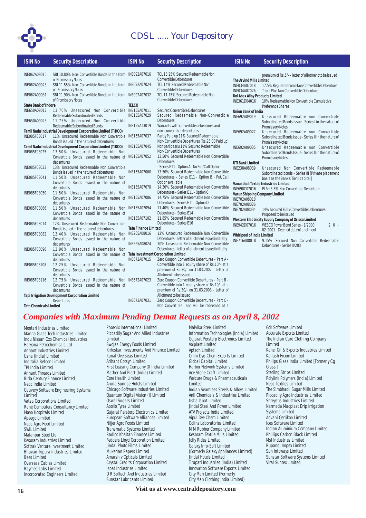

| <b>ISIN No</b>                | <b>Security Description</b>                                                                       | <b>ISIN No</b>              | <b>Security Description</b>                                                                     | <b>ISIN No</b>                                 | <b>Security Description</b>                                    |
|-------------------------------|---------------------------------------------------------------------------------------------------|-----------------------------|-------------------------------------------------------------------------------------------------|------------------------------------------------|----------------------------------------------------------------|
| INE062A09015                  | SBI 10.80% Non-Convertible Bonds in the form INE092A07016                                         |                             | TCL 13.25% Secured Redeemable Non                                                               |                                                | premium of Rs.5/--letter of allotment to be issued             |
|                               | of Promissory Notes                                                                               |                             | <b>Convertible Debentures</b>                                                                   | <b>The Arvind Mills Limited</b>                |                                                                |
| INE062A09023                  | SBI 11.55% Non-Convertible Bonds in the form INE092A07024                                         |                             | TCL 14% Secured Redeemable Non                                                                  | INE034A07018                                   | 17.5% Regular Income Non Convertible Debenture                 |
|                               | of Promissory Notes                                                                               |                             | <b>Convertible Debentures</b>                                                                   | INE034A07026                                   | Triple Plus Non Convertible Debenture                          |
| INE062A09031                  | SBI 11.90% Non-Convertible Bonds in the form INE092A07032<br>of Promissory Notes                  |                             | TCL 11.15% Secured Redeemable Non<br><b>Convertible Debentures</b>                              | Uni Abex Alloy Products Limited                |                                                                |
| <b>State Bank of Indore</b>   |                                                                                                   | <b>TELCO</b>                |                                                                                                 | INE361D04016                                   | 10% Redeemable Non Convertible Cumulative<br>Preference Shares |
| INE650A09017                  | 13.70% Unsecured Non Convertible INE155A07011                                                     |                             | Secured Convertible Debentures                                                                  | <b>Union Bank of India</b>                     |                                                                |
|                               | Redeemable Subordinated Bonds                                                                     | INE155A07029                | Secured Redeemable Non-Convertible                                                              | INE692A09019                                   | Unsecured Redeemable non Convertible                           |
| INE650A09025                  | 11.75% Unsecured Non Convertible                                                                  |                             | Debentures                                                                                      |                                                | Subordinated Bonds Issue - Series I in the nature of           |
|                               | Redeemable Subordinated Bonds                                                                     | INE155A13019                | Warrants with convertible debentures and                                                        |                                                | Promissory Notes                                               |
|                               | Tamil Nadu Industrial Development Corporation Limited (TIDCO)                                     |                             | non-convertible debentures<br>Partly Paid up 11% Secured Redeemable                             | INE692A09027                                   | Unsecured Redeemable non Convertible                           |
| INE085F08017                  | 11% Unsecured Redeemable Non Convertible INE155A07037<br>Bonds issued in the nature of debentures |                             | Non-Convertible Debentures (Rs.25.00 Paid up)                                                   |                                                | Subordinated Bonds Issue - Series II in the nature of          |
|                               | Tamil Nadu Industrial Development Corporation Limited (TIDCO)                                     | INE155A07045                | Non pari passu 11% Secured Redeemable                                                           | INE692A09035                                   | Promissory Notes<br>Unsecured Redeemable non Convertible       |
| INE085F08025                  | 13.50% Unsecured Redeemable Non                                                                   |                             | Non-Convertible Debentures                                                                      |                                                | Subordinated Bonds Issue - Series II in the nature of          |
|                               | Convertible Bonds issued in the nature of INE155A07052                                            |                             | 13.50% Secured Redeemable Non Convertible                                                       |                                                | Promissory Notes                                               |
|                               | debentures                                                                                        |                             | Debentures                                                                                      | <b>UTI Bank Limited</b>                        |                                                                |
| INE085F08033                  | 13% Unsecured Redeemable Non Convertible                                                          |                             | - Series E11 - Option A - No Put/Call Option                                                    | INE238A08039                                   | Unsecured Non Convertible Redeemable                           |
|                               | Bonds issued in the nature of debentures                                                          | INE155A07060                | 13.50% Secured Redeemable Non Convertible                                                       |                                                | Subordinated bonds - Series III [Private placement             |
| INE085F08041                  | 11.50% Unsecured Redeemable Non                                                                   |                             | Debentures - Series E11 - Option B - Put/Call<br>Option available                               |                                                | basis as the Bank's Tier II capital]                           |
|                               | Convertible Bonds issued in the nature of<br>debentures                                           | INE155A07078                | 14.30% Secured Redeemable Non Convertible                                                       |                                                | Vanasthali Textile Industries Limited                          |
| INE085F08050                  | 11.50% Unsecured Redeemable Non                                                                   |                             | Debentures - Series E11 - Option C                                                              | INE698C07016<br>Varun Shipping Company Limited | PLR+3.5% Non Convertible Debenture                             |
|                               | Convertible Bonds issued in the nature of INE155A07086                                            |                             | 14.75% Secured Redeemable Non Convertible                                                       | INE702A08018                                   |                                                                |
|                               | debentures                                                                                        |                             | Debentures - Series E11 - Option D                                                              | INE702A08026                                   |                                                                |
| INE085F08066                  | 11.50% Unsecured Redeemable Non INE155A07094                                                      |                             | 11.40% Secured Redeemable Non Convertible                                                       | INE702A08034                                   | 14% Secured Fully Convertible Debentures                       |
|                               | Convertible Bonds issued in the nature of                                                         |                             | Debentures - Series E14                                                                         |                                                | Proposed to be issued                                          |
|                               | debentures<br>12% Unsecured Redeemable Non Convertible                                            | INE155A07102                | 11.85% Secured Redeemable Non Convertible<br>Debentures - Series E16                            |                                                | Western Electricity Supply Company of Orissa Limited           |
| INE085F08074                  | Bonds issued in the nature of debentures                                                          | <b>Tata Finance Limited</b> |                                                                                                 | INE942D07016                                   | WESCO Power Bond Series - 1/2000<br>$20 -$                     |
| INE085F08082                  | 13.40% Unsecured Redeemable Non INE265A08016                                                      |                             | 12% Unsecured Redeemable Non Convertible                                                        | Whirlpool of India Limited                     | 02-2001 - Deemed date of allotment                             |
|                               | Convertible Bonds issued in the nature of                                                         |                             | Debentures - letter of allotment issued initially                                               | INE716A08018                                   | 9.15% Secured Non Convertible Redeemable                       |
|                               | debentures                                                                                        | INE265A08024                | 10% Unsecured Redeemable Non Convertible                                                        |                                                | Debentures - Series II/203                                     |
| INE085F08090                  | 12.90% Unsecured Redeemable Non                                                                   |                             | Debentures - letter of allotment issued initially                                               |                                                |                                                                |
|                               | Convertible Bonds issued in the nature of Tata Investment Corporation Limited                     |                             |                                                                                                 |                                                |                                                                |
|                               | debentures                                                                                        | INE672A07015                | Zero Coupon Convertible Debentures - Part A -                                                   |                                                |                                                                |
| INE085F08108                  | 12.25% Unsecured Redeemable Non<br>Convertible Bonds issued in the nature of                      |                             | Convertible into 1 equity share of Rs.10/- at a<br>premium of Rs.30/- on 31.03.2002 - Letter of |                                                |                                                                |
|                               | debentures                                                                                        |                             | Allotment to be issued                                                                          |                                                |                                                                |
| INE085F08116                  | 12.75% Unsecured Redeemable Non INE672A07023                                                      |                             | Zero Coupon Convertible Debentures - Part B -                                                   |                                                |                                                                |
|                               | Convertible Bonds issued in the nature of                                                         |                             | Convertible into 1 equity share of Rs.10/- at a                                                 |                                                |                                                                |
|                               | debentures                                                                                        |                             | premium of Rs.30/- on 31.03.2003 - Letter of                                                    |                                                |                                                                |
|                               | Tapi Irrigation Development Corporation Limited                                                   |                             | Allotment to be issued                                                                          |                                                |                                                                |
|                               | Debentures                                                                                        | INE672A07031                | Zero Coupon Convertible Debentures - Part C -                                                   |                                                |                                                                |
| <b>Tata Chemicals Limited</b> |                                                                                                   |                             | Non Convertible and will be redeemed at a                                                       |                                                |                                                                |
|                               |                                                                                                   |                             |                                                                                                 |                                                |                                                                |

## *Companies with Maximum Pending Demat Requests as on April 8, 2002*

Montari Industries Limited Manna Glass Tech Industries Limited Indu Nissan Oxo Chemical Industries Haryana Petrochemicals Ltd Arihant Industries Limited Usha (India) Limited Inditalia Refcon Limited TPI India Limited Arihant Threads Limited Birla Century Finance Limited Nepc India Limited Cauvery Software Engineering Systems Limited Vatsa Corporations Limited Rane Computers Consultancy Limited Mayo Hospitals Limited Apeego Limited Nepc Agro Food Limited SWIL Limited Malanpur Steel Ltd Kesoram Industries Limited Softrak Venture Investment Limited Bhuvan Tripura Industries Limited Bses Limited Overseas Cables Limited Raymed Labs Limited Incorporated Engineers Limited

Phoenix International Limited Piccadily Sugar And Allied Industries Limited Swojas Energy Foods Limited Kirloskar Investments And Finance Limited Kunal Overseas Limited Arihant Cotsyn Limited First Leasing Company Of India Limited Mather And Platt (India) Limited Core Health Limited Aruna Sunrise Hotels Limited Chicago Software Industries Limited Quantum Digital Vision (I) Limited Oswal Sugars Limited Apollo Tyres Limited Gujarat Perstorp Electronics Limited European Software Alliances Limited Nijjer Agro Foods Limited Transmatic Systems Limited Radico Khaitan Finance Limited Fedders Lloyd Corporation Limited Jindal Photo Films Limited Mukerian Papers Limited Amarshiv Opticals Limited Crystal Credits Corporation Limited Ispat Industries Limited D<sub>R</sub> Softech And Industries Limited Sunstar Lubricants Limited

Malvika Steel Limited Information Technologies (India) Limited Gujarat Perstorp Electronics Limited Volplast Limited Aptech Limited Omni Dye-Chem Exports Limited Global Capital Limited Harbor Network Systems Limited Ace Stone Craft Limited Welcure Drugs & Pharmaceuticals Limited Indian Seamless Steels & Alloys Limited Anil Chemicals & Industries Limited Usha Ispat Limited Jindal Steel And Power Limited ATV Projects India Limited Vipul Dye Chem Limited Colinz Laboratories Limited M M Rubber Company Limited Kesoram Textile Mills Limited Jolly Rides Limited Galaxy Info-Soft Limited (Formerly Galaxy Appliances Limited) Jindal Hotels Limited Tirupati Industries (India) Limited Innovation Software Exports Limited City Man Limited (Formerly City Man Clothing India Limited)

Gdr Software Limited Accurate Exports Limited The Indian Card Clothing Company Limited Kanel Oil & Exports Industries Limited Kailash Ficom Limited Philips Glass India Limited [Formerly Cg Glass ] Sterling Strips Limited Polylink Polymers (India) Limited Nepc Textiles Limited The Simbhaoli Sugar Mills Limited Piccadily Agro Industries Limited Shreyans Industries Limited Narmada Macplast Drip Irrigation Systems Limited Advani Oerlikon Limited Ices Software Limited Indian Aluminium Company Limited Phillips Carbon Black Limited Msl Industries Limited Rupangi Impex Limited Sun Infoways Limited Sunstar Software Systems Limited Viral Suntex Limited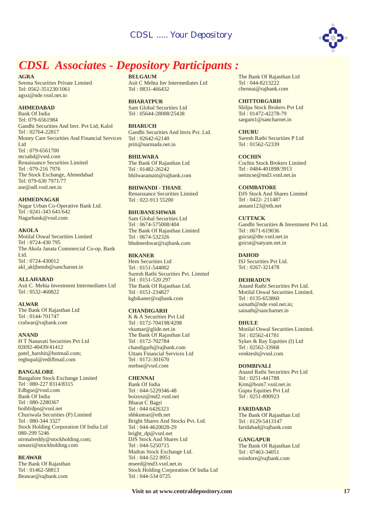

## *CDSL Associates - Depository Participants :*

**AGRA**

Seema Securities Private Limited Tel: 0562-351230/1061 agssi@nde.vsnl.net.in

#### **AHMEDABAD**

Bank Of India Tel: 079-6561984 Gandhi Securities And Invt. Pvt Ltd, Kalol Tel : 02764-22817 Money Care Securities And Financial Services Ltd Tel : 079-6561700 mcsahd@vsnl.com Renaissance Securities Limited Tel : 079-216 7976 The Stock Exchange, Ahmedabad Tel: 079-630 7971/77 ase@adl.vsnl.net.in

**AHMEDNAGAR** Nagar Urban Co-Operative Bank Ltd.

Tel : 0241-343 641/642 Nagarbank@vsnl.com

#### **AKOLA**

Motilal Oswal Securities Limited Tel : 0724-430 795 The Akola Janata Commercial Co-op. Bank Ltd. Tel : 0724-430012 akl\_akljbmnb@sancharnet.in

**ALLAHABAD**

Asit C. Mehta Investment Intermediates Ltd Tel : 0532-460822

#### **ALWAR**

The Bank Of Rajasthan Ltd Tel : 0144-701747 cralwar@rajbank.com

#### **ANAND**

H T Nanavati Securities Pvt Ltd 02692-40439/41412 patel\_harshit@hotmail.com; reghupal@rediffmail.com

#### **BANGALORE**

Bangalore Stock Exchange Limited Tel : 080-227 8314/8315 Edbgse@vsnl.com Bank Of India Tel : 080-2280367 boiblrdpo@vsnl.net Churiwala Securities (P) Limited Tel : 080-344 3327 Stock Holding Corporation Of India Ltd 080-299 5246 nirmalreddy@stockholding.com; umasri@stockholding.com

#### **BEAWAR**

The Bank Of Rajasthan Tel : 01462-58813 Beawar@rajbank.com

**BELGAUM** Asit C Mehta Inv Intermediates Ltd Tel : 0831-466432

**BHARATPUR** Sam Global Securities Ltd Tel : 05644-28008/25438

**BHARUCH** Gandhi Securities And Invts Pvt. Ltd. Tel : 02642-62140 priti@narmada.net.in

**BHILWARA** The Bank Of Rajasthan Ltd Tel : 01482-26242 bhilwaramain@rajbank.com

**BHIWANDI - THANE** Renaissance Securities Limited Tel : 022-913 55200

#### **BHUBANESHWAR**

Sam Global Securities Ltd Tel : 0674-575008/404 The Bank Of Rajasthan Limited Tel : 0674-532326 bhubneshwar@rajbank.com

#### **BIKANER**

Hem Securities Ltd Tel : 0151-544002 Suresh Rathi Securities Pvt. Limited Tel : 0151-520 297 The Bank Of Rajasthan Ltd. Tel : 0151-234827 kgbikaner@rajbank.com

#### **CHANDIGARH**

K & A Securities Pvt Ltd Tel : 0172-704198/4298 vkumar@glide.net.in The Bank Of Rajasthan Ltd Tel : 0172-702784 chandigarh@rajbank.com Uttam Financial Services Ltd Tel : 0172-301670 nsebse@vsnl.com

#### **CHENNAI**

Bank Of India Tel : 044-5229346-48 boizosz@md2.vsnl.net Bharat C Bagri Tel : 044 6426323 shhkumar@eth.net Bright Shares And Stocks Pvt. Ltd. Tel : 044-4620028-29 bright\_dp@vsnl.net DJS Stock And Shares Ltd Tel : 044-5250715 Madras Stock Exchange Ltd. Tel : 044-522 8951 mseed@md3.vsnl.net.in Stock Holding Corporation Of India Ltd Tel : 044-534 0725

The Bank Of Rajasthan Ltd Tel : 044-8213222 chennai@rajbank.com

Shilpa Stock Brokers Pvt Ltd Tel : 01472-42278-79 sargam1@sancharnet.in **CHITTORGARH**

Suresh Rathi Securities P Ltd Tel : 01562-52339 **CHURU**

Cochin Stock Brokers Limited Tel : 0484-401898/3913 netincse@md3.vsnl.net.in **COCHIN**

DJS Stock And Shares Limited Tel : 0422- 211487 annam123@eth.net **COIMBATORE**

Gandhi Securities & Investment Pvt Ltd. Tel : 0671-619036 gsicut@dte.vsnl.net.in gsicut@satyam.net.in **CUTTACK**

ISJ Securities Pvt Ltd. Tel : 0267-321478 **DAHOD**

#### **DEHRADUN**

Anand Rathi Securities Pvt Ltd. Motilal Oswal Securities Limited. Tel : 0135-653860 sainath@nde.vsnl.net.in; sainath@sancharnet.in

#### **DHULE**

Motilal Oswal Securities Limited. Tel : 02562-41781 Sykes & Ray Equities (I) Ltd Tel : 02562-33968 venktesh@vsnl.com

#### **DOMBIVALI**

Anand Rathi Securities Pvt Ltd Tel : 0251-441788 Krm@bom7.vsnl.net.in Gupta Equities Pvt Ltd Tel : 0251-890923

#### **FARIDABAD**

The Bank Of Rajasthan Ltd Tel : 0129-5413147 faridabad@rajbank.com

#### **GANGAPUR**

The Bank Of Rajasthan Ltd Tel : 07463-34051 roindore@rajbank.com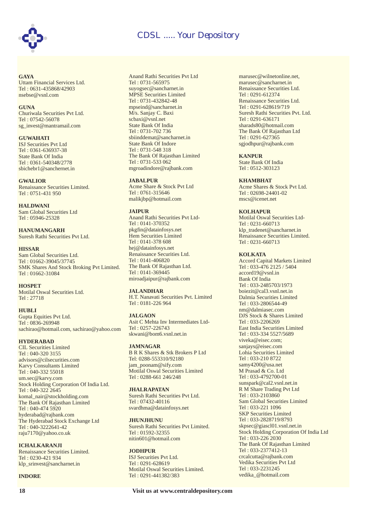

**GAYA** Uttam Financial Services Ltd. Tel : 0631-435868/42903 nsebse@vsnl.com

#### **GUNA**

Churiwala Securities Pvt Ltd. Tel : 07542-56078 sg\_invest@mantramail.com

#### **GUWAHATI**

ISJ Securities Pvt Ltd Tel : 0361-636937-38 State Bank Of India Tel : 0361-540348/2778 sbichebr1@sanchernet.in

#### **GWALIOR**

Renaissance Securities Limited. Tel : 0751-431 950

**HALDWANI** Sam Global Securities Ltd Tel : 05946-25328

**HANUMANGARH** Suresh Rathi Securities Pvt Ltd.

#### **HISSAR**

Sam Global Securities Ltd. Tel : 01662-39045/37745 SMK Shares And Stock Broking Pvt Limited. Tel : 01662-31084

#### **HOSPET**

Motilal Oswal Securities Ltd. Tel : 27718

#### **HUBLI**

Gupta Equities Pvt Ltd. Tel : 0836-269948 sachirao@hotmail.com, sachirao@yahoo.com

#### **HYDERABAD**

CIL Securities Limited Tel : 040-320 3155 advisors@cilsecurities.com Karvy Consultants Limited Tel : 040-332 55018 um.sec@karvy.com Stock Holding Corporation Of India Ltd. Tel : 040-322 2645 komal\_nair@stockholding.com The Bank Of Rajasthan Limited Tel : 040-474 5920 hyderabad@rajbank.com The Hyderabad Stock Exchange Ltd Tel : 040-3222641-42 raju7170@yahoo.co.uk

#### **ICHALKARANJI**

Renaissance Securities Limited. Tel : 0230-421 934 klp\_srinvest@sancharnet.in

#### **INDORE**

Anand Rathi Securities Pvt Ltd Tel : 0731-565975 suyogsec@sancharnet.in MPSE Securities Limited Tel : 0731-432842-48 mpseind@sancharnet.in M/s. Sanjay C. Baxi scbaxi@vsnl.net State Bank Of India Tel : 0731-702 736 sbiinddemat@sancharnet.in State Bank Of Indore Tel : 0731-548 318 The Bank Of Rajasthan Limited Tel : 0731-533 062 mgroadindore@rajbank.com

#### **JABALPUR**

Acme Share & Stock Pvt Ltd Tel : 0761-315646 malikjbp@hotmail.com

#### **JAIPUR**

Anand Rathi Securities Pvt Ltd-Tel : 0141-370352 pkgfin@datainfosys.net Hem Securities Limited Tel : 0141-378 608 hej@datainfosys.net Renaissance Securities Ltd. Tel : 0141-406820 The Bank Of Rajasthan Ltd. Tel : 0141-369445 miroadjaipur@rajbank.com

#### **JALANDHAR**

H.T. Nanavati Securities Pvt. Limited Tel : 0181-226 964

#### **JALGAON**

Asit C Mehta Inv Intermediates Ltd-Tel : 0257-226743 skwani@bom6.vsnl.net.in

#### **JAMNAGAR**

B R K Shares & Stk Brokers P Ltd Tel: 0288-553310/92180 jam\_poonam@sify.com Motilal Oswal Securities Limited Tel : 0288-661 246/248

#### **JHALRAPATAN**

Suresh Rathi Securities Pvt Ltd. Tel : 07432-40116 svardhma@datainfosys.net

#### **JHUNJHUNU**

Suresh Rathi Securities Pvt Limited. Tel : 01592-32355 nitin601@hotmail.com

#### **JODHPUR**

ISJ Securities Pvt Ltd. Tel : 0291-628619 Motilal Oswal Securities Limited. Tel : 0291-441382/383

marusec@wilnetonline.net, marusec@sancharnet.in Renaissance Securities Ltd. Tel : 0291-612374 Renaissance Securities Ltd. Tel : 0291-628619/719 Suresh Rathi Securities Pvt. Ltd. Tel : 0291-636171 sharads80@hotmail.com The Bank Of Rajasthan Ltd Tel : 0291-627365 sgjodhpur@rajbank.com

#### **KANPUR**

State Bank Of India Tel : 0512-303123

#### **KHAMBHAT**

Acme Shares & Stock Pvt Ltd. Tel : 02698-24401-02 mscs@icenet.net

#### **KOLHAPUR**

Motilal Oswal Securities Ltd-Tel : 0231-660713 klp\_tradenet@sancharnet.in Renaissance Securities Limited. Tel : 0231-660713

#### **KOLKATA**

Accord Capital Markets Limited Tel : 033-476 2125 / 5404 accord19@vsnl.in Bank Of India Tel : 033-2485703/1973 boiezit@cal3.vsnl.net.in Dalmia Securities Limited Tel : 033-2806544-49 nm@dalmiasec.com DJS Stock & Shares Limited Tel : 033-2206269 East India Securities Limited Tel : 033-334 5527/5689 viveka@eisec.com; sanjays@eisec.com Lohia Securities Limited Tel : 033-210 8722 samy4200@usa.net M Prasad & Co. Ltd Tel : 033-4792700-01 sunspark@cal2.vsnl.net.in R M Share Trading Pvt Ltd Tel : 033-2103860 Sam Global Securities Limited Tel : 033-221 1096 SKP Securities Limited Tel : 033-2828719/8793 skpsec@giascl01.vsnl.net.in Stock Holding Corporation Of India Ltd Tel : 033-226 2030 The Bank Of Rajasthan Limited Tel : 033-2377412-13 crcalcutta@rajbank.com Vedika Securities Pvt Ltd Tel : 033-2231245 vedika\_@hotmail.com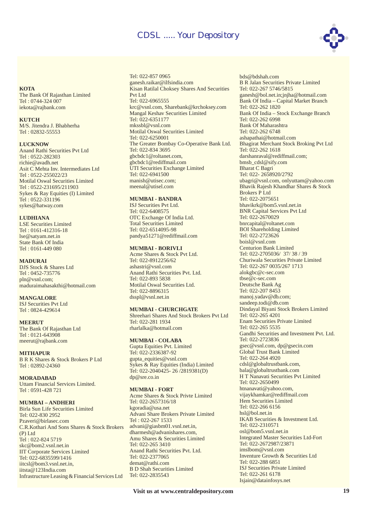

#### **KOTA**

The Bank Of Rajasthan Limited Tel : 0744-324 007 iekota@rajbank.com

#### **KUTCH**

M/S. Jitendra J. Bhabherha Tel : 02832-55553

#### **LUCKNOW**

Anand Rathi Securities Pvt Ltd Tel : 0522-282303 richie@avadh.net Asit C Mehta Inv. Intermediates Ltd Tel : 0522-255022/23 Motilal Oswal Securities Limited Tel : 0522-231695/211903 Sykes & Ray Equities (I) Limited Tel : 0522-331196 sykes@hatway.com

#### **LUDHIANA**

LSE Securities Limited Tel : 0161-412316-18 lse@satyam.net.in State Bank Of India Tel : 0161-449 080

#### **MADURAI**

DJS Stock & Shares Ltd Tel : 0452-735776 pln@vsnl.com; maduraimahasakthi@hotmail.com

#### **MANGALORE**

ISJ Securities Pvt Ltd Tel : 0824-429614

#### **MEERUT**

The Bank Of Rajasthan Ltd Tel : 0121-643908 meerut@rajbank.com

#### **MITHAPUR**

B R K Shares & Stock Brokers P Ltd Tel : 02892-24360

#### **MORADABAD**

Uttam Financial Services Limited. Tel : 0591-428 721

#### **MUMBAI – ANDHERI**

C.R.Kothari And Sons Shares & Stock Brokers (P) Ltd Tel : 022-824 5719 skc@bom2.vsnl.net.in IIT Corporate Services Limited Tel: 022-6835599/1416 iitcsl@bom3.vsnl.net.in, iitsta@123India.com Infrastructure Leasing & Financial Services Ltd Birla Sun Life Securities Limited Tel: 022-830 2952 Pzaveri@birlasec.com

#### Tel: 022-857 0965 ganesh.raikar@ilfsindia.com Kisan Ratilal Choksey Shares And Securities Pvt Ltd Tel: 022-6965555 krc@vsnl.com, Sharebank@krchoksey.com Mangal Keshav Securities Limited Tel: 022-6351177 mkssbl@vsnl.com Motilal Oswal Securities Limited Tel: 022-6250001 The Greater Bombay Co-Operative Bank Ltd. Tel: 022-834 3695 gbcbdc1@roltanet.com, gbcbdc1@rediffmail.com UTI Securities Exchange Limited Tel: 022-6941500 manish@utisec.com; meenal@utisel.com

#### **MUMBAI - BANDRA**

ISJ Securities Pvt Ltd. Tel: 022-6408575 OTC Exchange Of India Ltd. Total Securities Limited Tel: 022-6514095-98 pandya51271@rediffmail.com

#### **MUMBAI - BORIVLI**

Anand Rathi Securities Pvt. Ltd. Tel: 022-893 5838 Motilal Oswal Securities Ltd. Tel: 022-8896315 dsspl@vsnl.net.in Acme Shares & Stock Pvt Ltd. Tel: 022-8912256/62 ashastri@vsnl.com

#### **MUMBAI - CHURCHGATE**

Shreehari Shares And Stock Brokers Pvt Ltd Tel: 022-281 1934 rharlalka@hotmail.com

#### **MUMBAI - COLABA**

Gupta Equities Pvt. Limited Tel: 022-2336387-92 gupta\_equities@vsnl.com Sykes & Ray Equities (India) Limited Tel: 022-2040425- 26 /2819381(D) dp@sre.co.in

#### **MUMBAI - FORT**

Acme Shares & Stock Privte Limited Tel: 022-2657316/18 kgoradia@usa.net Advani Share Brokers Private Limited Tel : 022-267 1533 advani@giasbm01.vsnl.net.in, dharmesh@advanishares.com, Amu Shares & Securities Limited Tel: 022-265 3410 Anand Rathi Securities Pvt. Ltd. Tel: 022-2377065 demat@rathi.com B D Shah Securities Limited Tel: 022-2835543

bds@bdshah.com B R Jalan Securities Private Limited Tel: 022-267 5746/5815 ganesh@bol.net.in;jnjha@hotmail.com Bank Of India – Capital Market Branch Tel: 022-262 1820 Bank Of India – Stock Exchange Branch Tel: 022-262 6998 Bank Of Maharashtra Tel: 022-262 6748 ashapathai@hotmail.com Bhagirat Merchant Stock Broking Pvt Ltd Tel: 022-262 1618 darshanraval@rediffmail.com; bmsb\_cdsl@sify.com Bharat C Bagri Tel: 022- 2658920/2792 ubagri@vsnl.com, onlyuttam@yahoo.com Bhavik Rajesh Khandhar Shares & Stock Brokers P Ltd Tel: 022-2075651 bhavikrk@bom5.vsnl.net.in BNR Capital Services Pvt Ltd Tel: 022-2670029 bnrcapital@roltanet.com BOI Shareholding Limited Tel: 022-2723626 boisl@vsnl.com Centurion Bank Limited Tel: 022-2705036/ 37/ 38 / 39 Churiwala Securities Private Limited Tel: 022-267 0035/267 1713 alokgbc@c-sec.com tbse@c-sec.com Deutsche Bank Ag Tel: 022-207 8453 manoj.yadav@db.com; sandeep.todi@db.com Dindayal Biyani Stock Brokers Limited Tel: 022-265 4201 Enam Securities Private Limited Tel: 022-265 5535 Gandhi Securities and Investment Pvt. Ltd. Tel: 022-2723836 gsec@vsnl.com, dp@gsecin.com Global Trust Bank Limited Tel: 022-264 4920 cdsl@globaltrustbank.com, bala@globaltrustbank.com H T Nanavati Securities Pvt Limited Tel: 022-2650499 htnanavati@yahoo.com, vijaykhamkar@rediffmail.com Hem Securities Limited Tel: 022-266 6156 hsl@bol.net.in IKAB Securities & Investment Ltd. Tel: 022-2310571 osl@bom5.vsnl.net.in Integrated Master Securities Ltd-Fort Tel: 022-2672987/23871 imslbom@vsnl.com Inventure Growth & Securities Ltd Tel: 022-288 6851 ISJ Securities Private Limited Tel: 022-261 6178 Isjain@datainfosys.net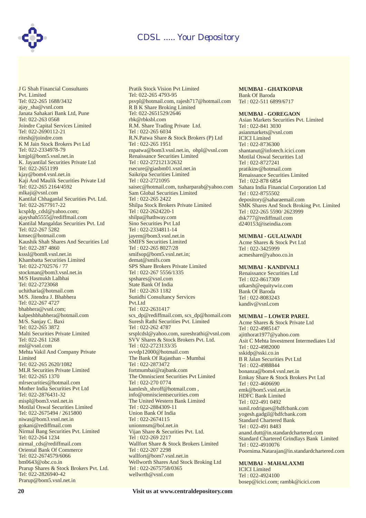

J G Shah Financial Consultants Pvt. Limited Tel: 022-265 1688/3432 ajay\_sha@vsnl.com Janata Sahakari Bank Ltd, Pune Tel: 022-263 0568 Joindre Capital Services Limited Tel: 022-2690112-21 ritesh@joindre.com K M Jain Stock Brokers Pvt Ltd Tel: 022-2334978-79 kmjpl@bom5.vsnl.net.in K. Jayantilal Securities Private Ltd Tel: 022-2651199 kjay@bom4.vsnl.net.in Kaji And Maulik Securities Private Ltd Tel: 022-265 2164/4592 mlkaji@vsnl.com Kantilal Chhaganlal Securities Pvt. Ltd. Tel: 022-2677917-22 kcspldp\_cdsl@yahoo.com; ajayshah5555@rediffmail.com Kantilal Mangaldas Securities Pvt. Ltd Tel: 022-267 5282 kmsec@hotmail.com Kaushik Shah Shares And Securities Ltd Tel: 022-287 4860 ksssl@bom8.vsnl.net.in Khambatta Securities Limited Tel: 022-2702576 / 77 stockman@bom3.vsnl.net.in M/S Hasmukh Lalbhai Tel: 022-2723068 uchitharia@hotmail.com M/S. Jitendra J. Bhabhera Tel: 022-267 4727 bhabhera@vsnl.com; kalpeshbhabhera@hotmail.com M/S. Sanjay C. Baxi Tel: 022-265 3872 Malti Securities Private Limited Tel: 022-261 1268 msl@vsnl.com Mehta Vakil And Company Private Limited Tel: 022-265 2620/1082 MLR Securities Private Limited Tel: 022-265 1370 mlrsecurities@hotmail.com Mother India Securities Pvt Ltd Tel: 022-2876431-32 mispl@bom3.vsnl.net.in Motilal Oswal Securities Limited Tel: 022-2675494 / 2615800 niwas@bom3.vsnl.net.in gokani@rediffmail.com Nirmal Bang Securities Pvt. Limited Tel: 022-264 1234 nirmal\_cds@rediffmail.com Oriental Bank Of Commerce Tel: 022-2674579/6066 bm0643@obc.co.in Prarup Shares & Stock Brokers Pvt. Ltd. Tel: 022-2826940-42 Prarup@bom5.vsnl.net.in

Pratik Stock Vision Pvt Limited Tel: 022-265 4793-95 psvpl@hotmail.com, rajesh717@hotmail.com R B K Share Broking Limited Tel: 022-2651529/2646 rbk@rbksbl.com R.M. Share Trading Private Ltd. Tel : 022-265 6034 R.N.Patwa Share & Stock Brokers (P) Ltd Tel : 022-265 1951 rnpatwa@bom3.vsnl.net.in, ohpl@vsnl.com Renaissance Securities Limited Tel : 022-2721213/2632 rsecure@giasbm01.vsnl.net.in Saikripa Securities Limited Tel : 022-2721095 saisec@hotmail.com, tusharparab@yahoo.com Sam Global Securities Limited Tel : 022-265 2422 Shilpa Stock Brokers Private Limited Tel : 022-2624220-1 shilpa@hathway.com Sino Securities Pvt Ltd Tel : 022-2334811-14 jayem@bom3.vsnl.net.in SMIFS Securities Limited Tel : 022-265 8027/28 smifsop@bom5.vsnl.net.in; demat@smifs.com SPS Share Brokers Private Limited Tel : 022-267 5556/1335 spshares@vsnl.com State Bank Of India Tel : 022-263 1182 Sunidhi Consultancy Services Pvt.Ltd Tel : 022-2631417 scs\_dp@rediffmail.com, scs\_dp@homail.com Suresh Rathi Securities Pvt. Limited Tel : 022-262 4787 srsplcdsl@yahoo.com, sureshrathi@vsnl.com SVV Shares & Stock Brokers Pvt. Ltd. Tel : 022-2723133/35 svvdp12000@hotmail.com The Bank Of Rajasthan – Mumbai Tel : 022-2873472 fortmumbai@rajbank.com The Omniscient Securities Pvt Limited Tel : 022-270 0774 kamlesh\_shroff@hotmail.com , info@omniscientsecurities.com The United Western Bank Limited Tel : 022-2884309-11 Union Bank Of India Tel : 022-2674115 unionmsm@bol.net.in Vijan Share & Securities Pvt. Ltd. Tel : 022-269 2217 Wallfort Share & Stock Brokers Limited Tel : 022-207 2298 wallfort@bom7.vsnl.net.in Wellworth Shares And Stock Broking Ltd Tel : 022-2675758/0365 wellwrth@vsnl.com

#### **MUMBAI - GHATKOPAR**

Bank Of Baroda Tel : 022-511 6899/6717

#### **MUMBAI - GOREGAON**

Asian Markets Securities Pvt. Limited Tel : 022-841 3030 asianmarkets@vsnl.com ICICI Limited Tel : 022-8736300 shantanut@infotech.icici.com Motilal Oswal Securities Ltd Tel : 022-8727241 pratikinv@hotmail.com Renaissance Securities Limited Tel : 022-878 6854 Sahara India Financial Corporation Ltd Tel : 022-8755502 depository@saharaemail.com SMK Shares And Stock Broking Pvt. Limited Tel : 022-265 5590/ 2623999 dsk777@rediffmail.com d240153@iseindia.com

#### **MUMBAI - GULALWADI**

Acme Shares & Stock Pvt Ltd Tel : 022-3425999 acmeshare@yahoo.co.in

#### **MUMBAI - KANDIVALI**

Renaissance Securities Ltd Tel : 022-8617309 utkarsh@equitywiz.com Bank Of Baroda Tel : 022-8083243 kandiv@vsnl.com

#### **MUMBAI – LOWER PAREL**

Acme Shares & Stock Private Ltd Tel : 022-4985147 ajitthorat1977@yahoo.com Asit C Mehta Investment Intermediates Ltd Tel : 022-4982000 sskidp@sski.co.in B R Jalan Securities Pvt Ltd Tel : 022-4988844 bonanza@bom4.vsnl.net.in Emkay Share & Stock Brokers Pvt Ltd Tel : 022-4606690 emk@bom5.vsnl.net.in HDFC Bank Limited Tel : 022-491 0492 sunil.rodrigues@hdfcbank.com yogesh.gadgil@hdfcbank.com Standard Chartered Bank Tel : 022-491 8483 anand.dutt@in.standardchartered.com Standard Chartered Grindlays Bank Limited Tel : 022-4910076 Poornima.Natarajan@in.standardchartered.com

**MUMBAI - MAHALAXMI** ICICI Limited Tel : 022-4924100 bosep@icici.com; rambk@icici.com

**20 Visit us at www.centraldepository.com**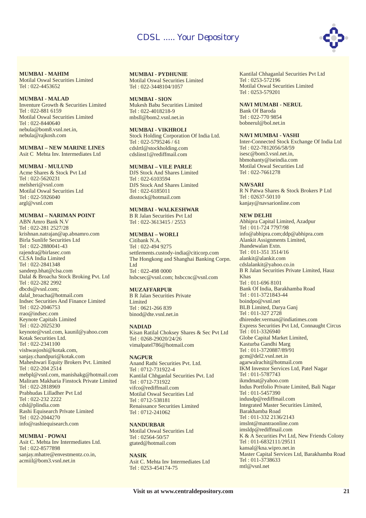

**MUMBAI - MAHIM** Motilal Oswal Securities Limited Tel : 022-4453652

#### **MUMBAI - MALAD**

Inventure Growth & Securities Limited Tel : 022-881 6159 Motilal Oswal Securities Limited Tel : 022-8440640 nebula@bom8.vsnl.net.in, nebula@rajkosh.com

#### **MUMBAI – NEW MARINE LINES**

Asit C Mehta Inv. Intermediates Ltd

#### **MUMBAI - MULUND**

Acme Shares & Stock Pvt Ltd Tel : 022-5620231 melsheri@vsnl.com Motilal Oswal Securities Ltd Tel : 022-5926040 argl@vsnl.com

#### **MUMBAI – NARIMAN POINT**

ABN Amro Bank N.V Tel : 022-281 2527/28 krishnan.natrajan@ap.abnamro.com Birla Sunlife Securities Ltd Tel : 022-2880041-43 rajendra@birlasec.com CLSA India Limited Tel : 022-2841348 sandeep.bhat@clsa.com Dalal & Broacha Stock Broking Pvt. Ltd Tel : 022-282 2992 dbcds@vsnl.com; dalal\_broacha@hotmail.com Indsec Securities And Finance Limited Tel : 022-2046753 rrao@indsec.com Keynote Capitals Limited Tel : 022-2025230 keynote@vsnl.com, kaunil@yahoo.com Kotak Securities Ltd. Tel : 022-2341100 vishwasjoshi@kotak.com, sanjay.chandpuri@kotak.com Maheshwari Equity Brokers Pvt. Limited Tel : 022-204 2514 mebpl@vsnl.com, manishakg@hotmail.com Maliram Makharia Finstock Private Limited Tel : 022-2818969 Prabhudas Lilladher Pvt Ltd Tel : 022-232 2222 cdsl@plindia.com Rashi Equisearch Private Limited Tel : 022-2044270 info@rashiequisearch.com

#### **MUMBAI - POWAI**

Asit C. Mehta Inv Intermediates Ltd. Tel : 022-8577898 sanjay.mhatre@envestmentz.co.in, acmiil@bom3.vsnl.net.in

**MUMBAI - PYDHUNIE** Motilal Oswal Securities Limited

Tel : 022-3448104/1057

#### **MUMBAI - SION**

Mukesh Babu Securities Limited Tel : 022-4018218-9 mbsll@bom2.vsnl.net.in

#### **MUMBAI - VIKHROLI**

Stock Holding Corporation Of India Ltd. Tel : 022-5795246 / 61 cdslrtl@stockholding.com cdslinst1@rediffmail.com

#### **MUMBAI – VILE PARLE**

DJS Stock And Shares Limited Tel : 022-6103594 DJS Stock And Shares Limited Tel : 022-6185011 disstock@hotmail.com

#### **MUMBAI - WALKESHWAR**

B R Jalan Securities Pvt Ltd Tel : 022-3613415 / 2553

## **MUMBAI – WORLI**

Citibank N.A. Tel : 022-494 9275 settlements.custody-india@citicorp.com The Hongkong and Shanghai Banking Corpn. Ltd Tel : 022-498 0000 hsbcsec@vsnl.com; hsbccnc@vsnl.com

#### **MUZAFFARPUR**

B R Jalan Securities Private **Limited** Tel : 0621-266 839 binod@dte.vsnl.net.in

#### **NADIAD**

Kisan Ratilal Choksey Shares & Sec Pvt Ltd Tel : 0268-29020/24/26 vimalpatel786@hotmail.com

#### **NAGPUR**

Anand Rathi Securities Pvt. Ltd. Tel : 0712-731922-4 Kantilal Chhganlal Securities Pvt. Ltd Tel : 0712-731922 vifco@rediffmail.com Motilal Oswal Securities Ltd Tel : 0712-538181 Renaissance Securities Limited Tel : 0712-241062

#### **NANDURBAR**

Motilal Oswal Securities Ltd Tel : 02564-50/57 gtated@hotmail.com

#### **NASIK**

Asit C. Mehta Inv Intermediates Ltd Tel : 0253-454174-75

Kantilal Chhaganlal Securities Pvt Ltd Tel : 0253-572196 Motilal Oswal Securities Limited Tel : 0253-579201

#### **NAVI MUMABI - NERUL**

Bank Of Baroda Tel : 022-770 9854 bobnerul@bol.net.in

#### **NAVI MUMBAI - VASHI**

Inter-Connected Stock Exchange Of India Ltd Tel : 022-7812056/58/59 isesc@bom3.vsnl.net.in, hbmohanty@iseindia.com Motilal Oswal Securities Ltd Tel: 022-7661278

#### **NAVSARI**

R N Patwa Shares & Stock Brokers P Ltd Tel : 02637-50110 kanjay@navsarionline.com

#### **NEW DELHI**

Abhipra Capital Limited, Azadpur Tel : 011-724 7797/98 info@abhipra.com;ddp@abhipra.com Alankit Assignments Limited, Jhandewalan Extn. Tel : 011-351 3514/16 alankit@alankit.com cdslalankit@yahoo.co.in B R Jalan Securities Private Limited, Hauz Khas Tel : 011-696 8101 Bank Of India, Barakhamba Road Tel : 011-3721843-44 boindpo@vsnl.net BLB Limited, Darya Ganj Tel : 011-327 2728 dhirender.verman@indiatimes.com Express Securities Pvt Ltd, Connaught Circus Tel : 011-3326940 Globe Capital Market Limited, Kasturba Gandhi Marg Tel : 011-3720887/89/91 gcm@del2.vsnl.net.in agarwalrachit@hotmail.com IKM Investor Services Ltd, Patel Nagar Tel : 011-5787743 ikmdmat@yahoo.com Indus Portfolio Private Limited, Bali Nagar Tel : 011-5457390 indusdp@rediffmail.com Integrated Master Securities Limited, Barakhamba Road Tel : 011-332 2136/2143 imslnt@mantraonline.com imsldp@rediffmail.com K & A Securities Pvt Ltd, New Friends Colony Tel : 011-6832111/29511 kansal@kna.wipro.net.in Master Capital Services Ltd, Barakhamba Road Tel : 011-3738633 mtl@vsnl.net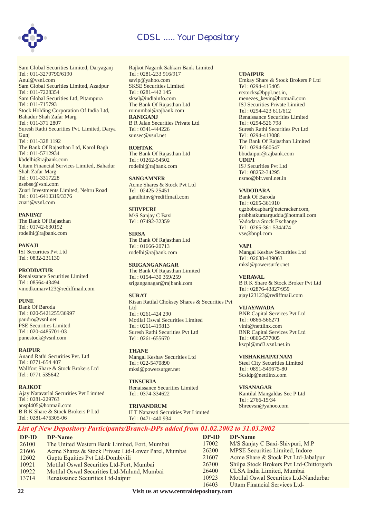

Sam Global Securities Limited, Daryaganj Tel : 011-3270790/6190 Sam Global Securities Limited, Azadpur Tel : 011-7228354 Sam Global Securities Ltd, Pitampura Tel : 011-715793 Stock Holding Corporation Of India Ltd, Bahadur Shah Zafar Marg Tel : 011-371 2807 Suresh Rathi Securities Pvt. Limited, Darya Gunj Tel : 011-328 1192 The Bank Of Rajasthan Ltd, Karol Bagh Tel : 011-5712934 kbdelhi@rajbank.com Uttam Financial Services Limited, Bahadur Shah Zafar Marg Tel : 011-3317228 nsebse@vsnl.com Zuari Investments Limited, Nehru Road Tel : 011-6413319/3376 zuari@vsnl.com Anul@vsnl.com

#### **PANIPAT**

The Bank Of Rajasthan Tel : 01742-630192 rodelhi@rajbank.com

ISJ Securities Pvt Ltd Tel : 0832-231130 **PANAJI**

#### **PRODDATUR**

Renaissance Securities Limited Tel : 08564-43494 vinodkumarv123@rediffmail.com

#### **PUNE**

Bank Of Baroda Tel : 020-5421255/36997 paudro@vsnl.net PSE Securities Limited Tel : 020-4485701-03 punestock@vsnl.com

#### **RAIPUR**

Anand Rathi Securities Pvt. Ltd Tel : 0771-654 407 Wallfort Share & Stock Brokers Ltd Tel : 0771 535642

**RAJKOT**

Ajay Natavarlal Securities Pvt Limited Tel : 0281-229763 anspl405@hotmail.com B R K Share & Stock Brokers P Ltd Tel : 0281-476305-06

Rajkot Nagarik Sahkari Bank Limited Tel : 0281-233 916/917 savip@yahoo.com SKSE Securities Limited Tel : 0281-442 145 sksel@indiainfo.com The Bank Of Rajasthan Ltd romumbai@rajbank.com B R Jalan Securities Private Ltd Tel : 0341-444226 sunsec@vsnl.net **RANIGANJ**

The Bank Of Rajasthan Ltd Tel : 01262-54502 rodelhi@rajbank.com **ROHTAK**

Acme Shares & Stock Pvt Ltd Tel : 02425-25451 gandhiinv@rediffmail.com **SANGAMNER**

M/S Sanjay C Baxi Tel : 07492-32359 **SHIVPURI**

The Bank Of Rajasthan Ltd Tel : 01666-20713 rodelhi@rajbank.com **SIRSA**

#### **SRIGANGANAGAR**

The Bank Of Rajasthan Limited Tel : 0154-430 359/259 sriganganagar@rajbank.com

#### **SURAT**

Kisan Ratilal Choksey Shares & Securities Pvt Ltd Tel : 0261-424 290 Motilal Oswal Securities Limited Tel : 0261-419813 Suresh Rathi Securities Pvt Ltd Tel : 0261-655670

Mangal Keshav Securities Ltd Tel : 022-5470890 mksl@powersurger.net **THANE**

Renaissance Securities Limited Tel : 0374-334622 **TINSUKIA**

H T Nanavati Securities Pvt Limited Tel : 0471-440 934 **TRIVANDRUM**

#### **UDAIPUR**

**UDIPI** Emkay Share & Stock Brokers P Ltd Tel : 0294-415405 rcstocks@bppl.net.in, menezes\_kevin@hotmail.com ISJ Securities Private Limited Tel : 0294-423 611/612 Renaissance Securities Limited Tel : 0294-526 798 Suresh Rathi Securities Pvt Ltd Tel : 0294-413088 The Bank Of Rajasthan Limited Tel : 0294-560547 bbudaipur@rajbank.com ISJ Securities Pvt Ltd Tel : 08252-34295 nsrao@blr.vsnl.net.in

**VADODARA**

Bank Of Baroda Tel : 0265-361910 cgzbobcapbar@netcracker.com, prabhatkumarguddu@hotmail.com Vadodara Stock Exchange Tel : 0265-361 534/474 vse@bnpl.com

**VAPI**

Mangal Keshav Securities Ltd Tel : 02638-439063 mksl@powersurfer.net

**VERAVAL**

B R K Share & Stock Broker Pvt Ltd Tel : 02876-43827/959 ajay123123@rediffmail.com

**VIJAYAWADA**

BNR Capital Services Pvt Ltd Tel : 0866-566271 vinit@nettlinx.com BNR Capital Services Pvt Ltd Tel : 0866-577005 kscpl@md3.vsnl.net.in

**VISHAKHAPATNAM** Steel City Securities Limited Tel : 0891-549675-80 Scsldp@nettlinx.com

**VISANAGAR** Kantilal Mangaldas Sec P Ltd Tel : 2766-15/34 Shreevsn@yahoo.com

## *List of New Depository Participants/Branch-DPs added from 01.02.2002 to 31.03.2002*

| DP-ID  | DP-Name                                                                                                                               | DP-ID | DP-Name                                  |
|--------|---------------------------------------------------------------------------------------------------------------------------------------|-------|------------------------------------------|
| 26100  | The United Western Bank Limited, Fort, Mumbai                                                                                         | 17002 | M/S Sanjay C Baxi-Shivpuri, M.P          |
| 21606  | Acme Shares & Stock Private Ltd-Lower Parel, Mumbai                                                                                   | 26200 | MPSE Securities Limited, Indore          |
| 12602  | Gupta Equities Pvt Ltd-Dombivili                                                                                                      | 21607 | Acme Share & Stock Pvt Ltd-Jabalpur      |
| 10921  | Motilal Oswal Securities Ltd-Fort, Mumbai                                                                                             | 26300 | Shilpa Stock Brokers Pvt Ltd-Chittorgarh |
| 10922  | Motilal Oswal Securities Ltd-Mulund, Mumbai                                                                                           | 26400 | CLSA India Limited, Mumbai               |
| 13714  | Renaissance Securities Ltd-Jaipur                                                                                                     | 10923 | Motilal Oswal Securities Ltd-Nandurbar   |
|        |                                                                                                                                       | 16403 | Uttam Financial Services Ltd-            |
| $\sim$ | $\frac{1}{2}$ , and $\frac{1}{2}$ , and $\frac{1}{2}$ , and $\frac{1}{2}$ , and $\frac{1}{2}$ , and $\frac{1}{2}$ , and $\frac{1}{2}$ |       |                                          |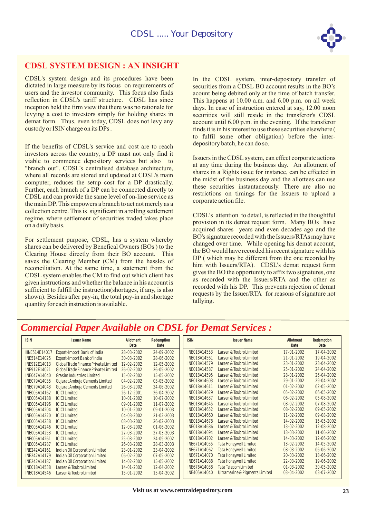

## **CDSL SYSTEM DESIGN : AN INSIGHT**

CDSL's system design and its procedures have been dictated in large measure by its focus on requirements of users and the investor community. This focus also finds reflection in CDSL's tariff structure. CDSL has since inception held the firm view that there was no rationale for levying a cost to investors simply for holding shares in demat form. Thus, even today, CDSL does not levy any custody or ISIN charge on its DPs .

If the benefits of CDSL's service and cost are to reach investors across the country, a DP must not only find it viable to commence depository services but also to "branch out". CDSL's centralised database architecture, where all records are stored and updated at CDSL's main computer, reduces the setup cost for a DP drastically. Further, each branch of a DP can be connected directly to CDSL and can provide the same level of on-line service as the main DP. This empowers a branch to act not merely as a collection centre. This is significant in a rolling settlement regime, where settlement of securities traded takes place on a daily basis.

For settlement purpose, CDSL, has a system whereby shares can be delivered by Benefical Owners (BOs ) to the Clearing House directly from their BO account. This saves the Clearing Member (CM) from the hassles of reconciliation. At the same time, a statement from the CDSL system enables the CM to find out which client has given instructions and whether the balance in his account is sufficient to fulfill the instruction(shortages, if any, is also shown). Besides after pay-in, the total pay-in and shortage quantity for each instruction is available.

In the CDSL system, inter-depository transfer of securities from a CDSL BO account results in the BO's acount being debited only at the time of batch transfer. This happens at 10.00 a.m. and 6.00 p.m. on all week days. In case of instruction entered at say, 12.00 noon securities will still reside in the transferor's CDSL account until 6.00 p.m. in the evening. If the transferor finds it is in his interest to use these securities elsewhere ( to fulfil some other obligation) before the interdepository batch, he can do so.

Issuers in the CDSL system, can effect corporate actions at any time during the business day. An allotment of shares in a Rights issue for instance, can be effected in the midst of the business day and the allottees can use these securities instantaneously. There are also no restrictions on timings for the Issuers to upload a corporate action file.

CDSL's attention to detail, is reflected in the thoughtful provision in its demat request form. Many BOs have acquired shares years and even decades ago and the BO's signature recorded with the Issuers/RTAs may have changed over time. While opening his demat account, the BO would have recorded his recent signature with his DP ( which may be different from the one recorded by him with Issuers/RTA). CDSL's demat request form gives the BO the opportunity to affix two signatures, one as recorded with the Issuers/RTA and the other as recorded with his DP. This prevents rejection of demat requests by the Issuer/RTA for reasons of signature not tallying.

## *Commercial Paper Available on CDSL for Demat Services :*

| <b>ISIN</b>          | <b>Issuer Name</b>                   | Allotment<br>Date | Redemption<br>Date | <b>ISIN</b>         | <b>Issuer Name</b>             | <b>Allotment</b><br>Date | Redemption<br>Date |
|----------------------|--------------------------------------|-------------------|--------------------|---------------------|--------------------------------|--------------------------|--------------------|
| <b>IINE514E14017</b> | Export-Import Bank of India          | 28-03-2002        | 24-09-2002         | INE018A14553        | Larsen & Toubro Limited        | 17-01-2002               | 17-04-2002         |
| <b>INE514E14025</b>  | Export-Import Bank of India          | 30-03-2002        | 28-06-2002         | INE018A14561        | Larsen & Toubro Limited        | 21-01-2002               | 19-04-2002         |
| INE912E14013         | Global Trade Finance Private Limited | 12-02-2002        | 12-05-2002         | <b>INE018A14579</b> | Larsen & Toubro Limited        | 23-01-2002               | 23-04-2002         |
| INE912E14021         | Global Trade Finance Private Limited | 26-02-2002        | 26-05-2002         | <b>INE018A14587</b> | Larsen & Toubro Limited        | 25-01-2002               | 24-04-2002         |
| <b>INE047A14040</b>  | Grasim Industries Limited            | 15-02-2002        | 15-05-2002         | <b>INE018A14595</b> | Larsen & Toubro Limited        | 28-01-2002               | 26-04-2002         |
| <b>INE079A14035</b>  | Gujarat Ambuja Cements Limited       | 04-02-2002        | 03-05-2002         | INE018A14603        | Larsen & Toubro Limited        | 29-01-2002               | 29-04-2002         |
| INE079A14043         | Gujarat Ambuja Cements Limited       | 26-03-2002        | 24-06-2002         | <b>INE018A14611</b> | Larsen & Toubro Limited        | $01 - 02 - 2002$         | 02-05-2002         |
| <b>INE005A14162</b>  | <b>ICICI Limited</b>                 | 26-12-2001        | 26-04-2002         | INE018A14629        | Larsen & Toubro Limited        | 05-02-2002               | 06-05-2002         |
| <b>INE005A14188</b>  | <b>ICICI Limited</b>                 | 10-01-2002        | 10-07-2002         | INE018A14637        | Larsen & Toubro Limited        | $06 - 02 - 2002$         | 05-08-2002         |
| <b>INE005A14196</b>  | <b>ICICI Limited</b>                 | 09-01-2002        | 11-07-2002         | <b>INE018A14645</b> | Larsen & Toubro Limited        | 08-02-2002               | 07-08-2002         |
| <b>INE005A14204</b>  | <b>ICICI Limited</b>                 | 10-01-2002        | 09-01-2003         | INE018A14652        | Larsen & Toubro Limited        | 08-02-2002               | 09-05-2002         |
| <b>INE005A14220</b>  | <b>ICICI Limited</b>                 | 04-03-2002        | 21-02-2003         | INE018A14660        | Larsen & Toubro Limited        | 11-02-2002               | 09-08-2002         |
| <b>INE005A14238</b>  | <b>ICICI Limited</b>                 | 08-03-2002        | 26-02-2003         | <b>INE018A14678</b> | Larsen & Toubro Limited        | 14-02-2002               | 15-05-2002         |
| <b>INE005A14246</b>  | <b>ICICI Limited</b>                 | 12-03-2002        | $01 - 06 - 2002$   | <b>INE018A14686</b> | Larsen & Toubro Limited        | 13-02-2002               | 12-08-2002         |
| INE005A14253         | <b>ICICI Limited</b>                 | 27-03-2002        | 27-03-2003         | INE018A14694        | Larsen & Toubro Limited        | 13-03-2002               | 11-06-2002         |
| INE005A14261         | <b>ICICI Limited</b>                 | 25-03-2002        | 24-09-2002         | INE018A14702        | Larsen & Toubro Limited        | 14-03-2002               | 12-06-2002         |
| <b>INE005A14287</b>  | <b>ICICI Limited</b>                 | 26-03-2002        | 28-03-2003         | INE671A14055        | <b>Tata Honeywell Limited</b>  | 13-02-2002               | 14-05-2002         |
| <b>INE242A14161</b>  | Indian Oil Corporation Limited       | 23-01-2002        | 23-04-2002         | INE671A14062        | <b>Tata Honeywell Limited</b>  | 08-03-2002               | 06-06-2002         |
| <b>INE242A14179</b>  | Indian Oil Corporation Limited       | $06 - 02 - 2002$  | $07 - 05 - 2002$   | INE671A14070        | <b>Tata Honeywell Limited</b>  | 20-03-2002               | 18-06-2002         |
| <b>INE242A14187</b>  | Indian Oil Corporation Limited       | 14-02-2002        | 15-05-2002         | INE671A14088        | <b>Tata Honeywell Limited</b>  | 22-03-2002               | 19-06-2002         |
| <b>INE018A14538</b>  | Larsen & Toubro Limited              | 14-01-2002        | 12-04-2002         | INE676A14038        | <b>Tata Telecom Limited</b>    | $01 - 03 - 2002$         | 30-05-2002         |
| <b>INE018A14546</b>  | Larsen & Toubro Limited              | 15-01-2002        | 15-04-2002         | INE405A14040        | Ultramarine & Pigments Limited | 03-04-2002               | 03-07-2002         |